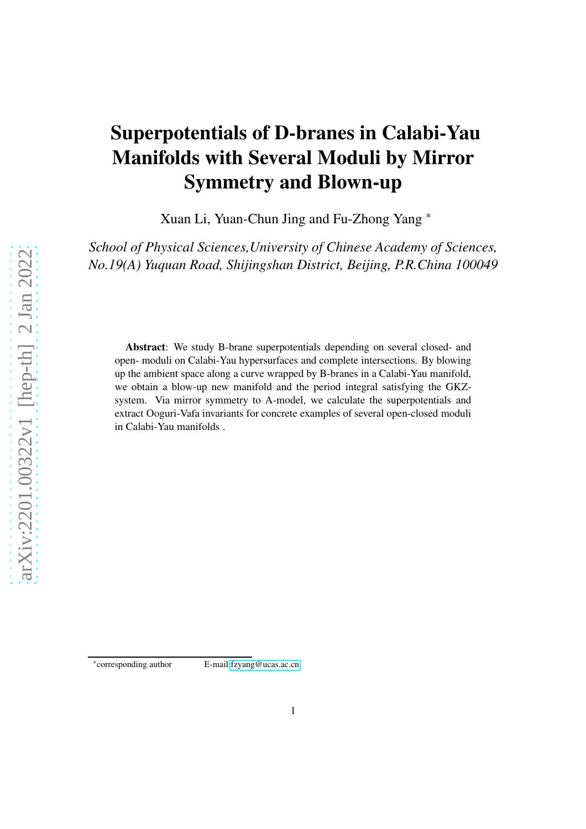# Superpotentials of D-branes in Calabi-Yau Manifolds with Several Moduli by Mirror Symmetry and Blown-up

Xuan Li, Yuan-Chun Jing and Fu-Zhong Yang \*

*School of Physical Sciences,University of Chinese Academy of Sciences, No.19(A) Yuquan Road, Shijingshan District, Beijing, P.R.China 100049*

Abstract: We study B-brane superpotentials depending on several closed- and open- moduli on Calabi-Yau hypersurfaces and complete intersections. By blowing up the ambient space along a curve wrapped by B-branes in a Calabi-Yau manifold, we obtain a blow-up new manifold and the period integral satisfying the GKZsystem. Via mirror symmetry to A-model, we calculate the superpotentials and extract Ooguri-Vafa invariants for concrete examples of several open-closed moduli in Calabi-Yau manifolds .

<sup>\*</sup>corresponding author E-mail[:fzyang@ucas.ac.cn](fzyang@ucas.ac.cn)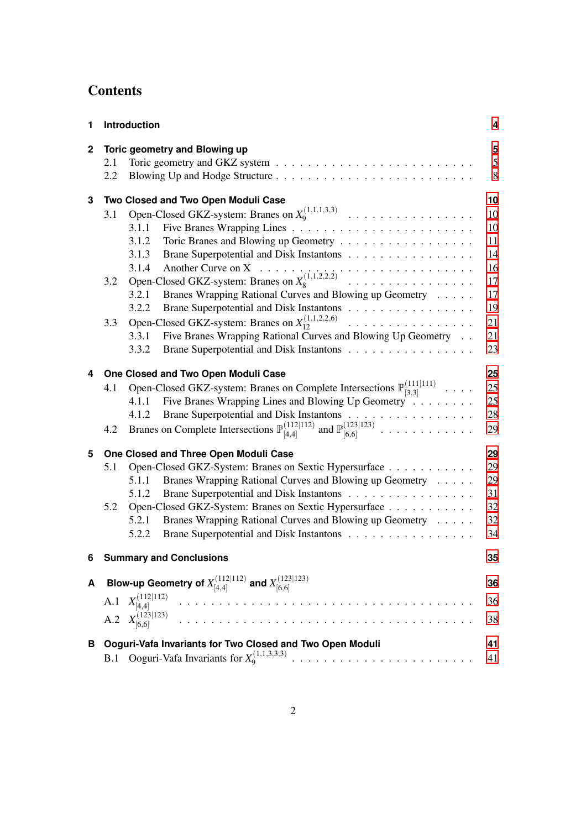## **Contents**

| 1            |     | Introduction                                                                                           | 4  |
|--------------|-----|--------------------------------------------------------------------------------------------------------|----|
| $\mathbf{2}$ |     | Toric geometry and Blowing up                                                                          | 5  |
|              | 2.1 |                                                                                                        | 5  |
|              | 2.2 |                                                                                                        | 8  |
| 3            |     | Two Closed and Two Open Moduli Case                                                                    | 10 |
|              | 3.1 |                                                                                                        | 10 |
|              |     | 3.1.1                                                                                                  | 10 |
|              |     | 3.1.2                                                                                                  | 11 |
|              |     | 3.1.3<br>Brane Superpotential and Disk Instantons                                                      | 14 |
|              |     |                                                                                                        | 16 |
|              | 3.2 |                                                                                                        | 17 |
|              |     | 3.2.1<br>Branes Wrapping Rational Curves and Blowing up Geometry                                       | 17 |
|              |     | 3.2.2<br>Brane Superpotential and Disk Instantons                                                      | 19 |
|              | 3.3 | Open-Closed GKZ-system: Branes on $X_{12}^{(1,1,2,2,6)}$                                               | 21 |
|              |     | Five Branes Wrapping Rational Curves and Blowing Up Geometry<br>3.3.1                                  | 21 |
|              |     | Brane Superpotential and Disk Instantons<br>3.3.2                                                      | 23 |
| 4            |     | One Closed and Two Open Moduli Case                                                                    | 25 |
|              | 4.1 | Open-Closed GKZ-system: Branes on Complete Intersections $\mathbb{P}^{(111 111)}_{[3,3]}$              | 25 |
|              |     | Five Branes Wrapping Lines and Blowing Up Geometry<br>4.1.1                                            | 25 |
|              |     | Brane Superpotential and Disk Instantons<br>4.1.2                                                      | 28 |
|              | 4.2 | Branes on Complete Intersections $\mathbb{P}^{(112 112)}_{[4,4]}$ and $\mathbb{P}^{(123 123)}_{[6,6]}$ | 29 |
| 5            |     | One Closed and Three Open Moduli Case                                                                  | 29 |
|              | 5.1 | Open-Closed GKZ-System: Branes on Sextic Hypersurface                                                  | 29 |
|              |     | Branes Wrapping Rational Curves and Blowing up Geometry<br>5.1.1                                       | 29 |
|              |     | Brane Superpotential and Disk Instantons<br>5.1.2                                                      | 31 |
|              | 5.2 | Open-Closed GKZ-System: Branes on Sextic Hypersurface                                                  | 32 |
|              |     | 5.2.1<br>Branes Wrapping Rational Curves and Blowing up Geometry                                       | 32 |
|              |     | 5.2.2<br>Brane Superpotential and Disk Instantons                                                      | 34 |
| 6            |     | <b>Summary and Conclusions</b>                                                                         | 35 |
| A            |     | Blow-up Geometry of $X^{(112 112)}_{[4,4]}$ and $X^{(123 123)}_{[6,6]}$                                | 36 |
|              | A.1 | $X^{(112 112)}_{[4,4]}$<br>.                                                                           | 36 |
|              |     | $X_{[6,6]}^{(123 123)}$                                                                                |    |
|              | A.2 | <u>and developed and develop</u>                                                                       | 38 |
| в            |     | Ooguri-Vafa Invariants for Two Closed and Two Open Moduli                                              | 41 |
|              | B.1 | Ooguri-Vafa Invariants for $X_9^{(1,1,3,3,3)}$                                                         | 41 |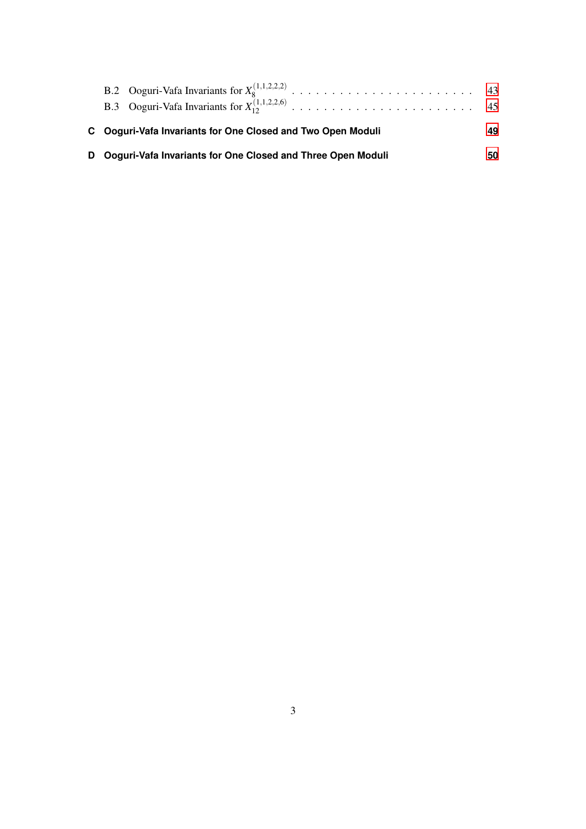|  | C Ooguri-Vafa Invariants for One Closed and Two Open Moduli   | 49 |
|--|---------------------------------------------------------------|----|
|  | D Ooguri-Vafa Invariants for One Closed and Three Open Moduli | 50 |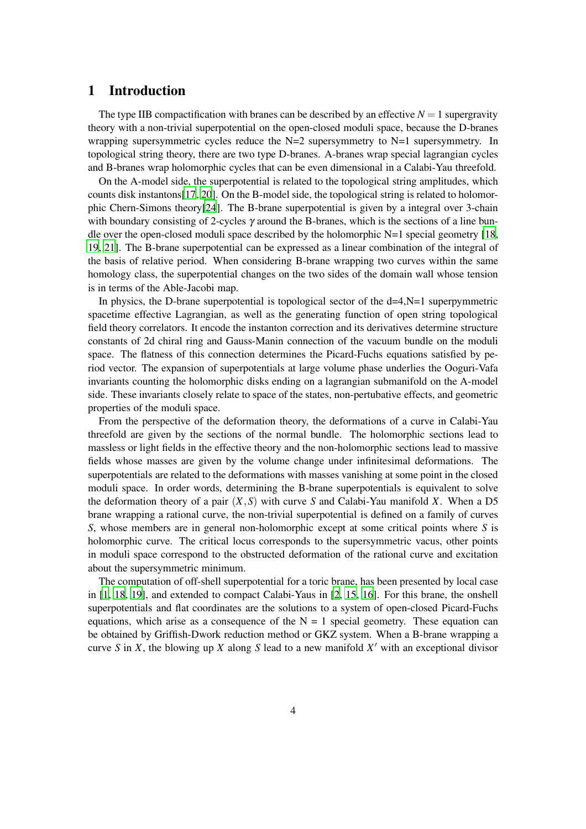#### <span id="page-3-0"></span>1 Introduction

The type IIB compactification with branes can be described by an effective  $N = 1$  supergravity theory with a non-trivial superpotential on the open-closed moduli space, because the D-branes wrapping supersymmetric cycles reduce the  $N=2$  supersymmetry to  $N=1$  supersymmetry. In topological string theory, there are two type D-branes. A-branes wrap special lagrangian cycles and B-branes wrap holomorphic cycles that can be even dimensional in a Calabi-Yau threefold.

On the A-model side, the superpotential is related to the topological string amplitudes, which counts disk instantons[\[17](#page-51-0), [20](#page-51-1)]. On the B-model side, the topological string is related to holomorphic Chern-Simons theory[\[24\]](#page-51-2). The B-brane superpotential is given by a integral over 3-chain with boundary consisting of 2-cycles  $\gamma$  around the B-branes, which is the sections of a line bundle over the open-closed moduli space described by the holomorphic  $N=1$  special geometry [\[18](#page-51-3), [19](#page-51-4), [21\]](#page-51-5). The B-brane superpotential can be expressed as a linear combination of the integral of the basis of relative period. When considering B-brane wrapping two curves within the same homology class, the superpotential changes on the two sides of the domain wall whose tension is in terms of the Able-Jacobi map.

In physics, the D-brane superpotential is topological sector of the  $d=4$ ,  $N=1$  superpymmetric spacetime effective Lagrangian, as well as the generating function of open string topological field theory correlators. It encode the instanton correction and its derivatives determine structure constants of 2d chiral ring and Gauss-Manin connection of the vacuum bundle on the moduli space. The flatness of this connection determines the Picard-Fuchs equations satisfied by period vector. The expansion of superpotentials at large volume phase underlies the Ooguri-Vafa invariants counting the holomorphic disks ending on a lagrangian submanifold on the A-model side. These invariants closely relate to space of the states, non-pertubative effects, and geometric properties of the moduli space.

From the perspective of the deformation theory, the deformations of a curve in Calabi-Yau threefold are given by the sections of the normal bundle. The holomorphic sections lead to massless or light fields in the effective theory and the non-holomorphic sections lead to massive fields whose masses are given by the volume change under infinitesimal deformations. The superpotentials are related to the deformations with masses vanishing at some point in the closed moduli space. In order words, determining the B-brane superpotentials is equivalent to solve the deformation theory of a pair (*X*,*S*) with curve *S* and Calabi-Yau manifold *X*. When a D5 brane wrapping a rational curve, the non-trivial superpotential is defined on a family of curves *S*, whose members are in general non-holomorphic except at some critical points where *S* is holomorphic curve. The critical locus corresponds to the supersymmetric vacus, other points in moduli space correspond to the obstructed deformation of the rational curve and excitation about the supersymmetric minimum.

The computation of off-shell superpotential for a toric brane, has been presented by local case in [\[1](#page-50-0), [18](#page-51-3), [19](#page-51-4)], and extended to compact Calabi-Yaus in [\[2,](#page-50-1) [15,](#page-50-2) [16\]](#page-50-3). For this brane, the onshell superpotentials and flat coordinates are the solutions to a system of open-closed Picard-Fuchs equations, which arise as a consequence of the  $N = 1$  special geometry. These equation can be obtained by Griffish-Dwork reduction method or GKZ system. When a B-brane wrapping a curve *S* in *X*, the blowing up *X* along *S* lead to a new manifold *X* ′ with an exceptional divisor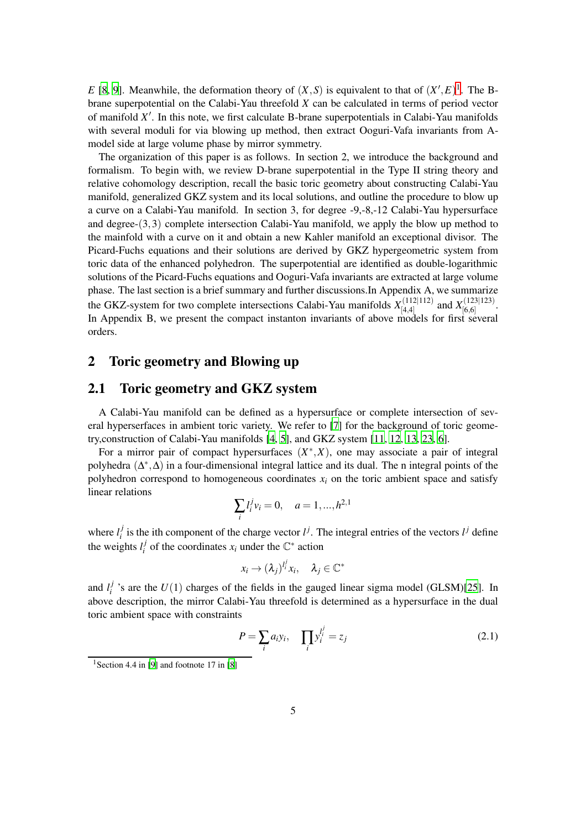*E* [\[8,](#page-50-4) [9](#page-50-5)]. Meanwhile, the deformation theory of  $(X, S)$  is equivalent to that of  $(X', E)^1$  $(X', E)^1$ . The Bbrane superpotential on the Calabi-Yau threefold *X* can be calculated in terms of period vector of manifold *X* ′ . In this note, we first calculate B-brane superpotentials in Calabi-Yau manifolds with several moduli for via blowing up method, then extract Ooguri-Vafa invariants from Amodel side at large volume phase by mirror symmetry.

The organization of this paper is as follows. In section 2, we introduce the background and formalism. To begin with, we review D-brane superpotential in the Type II string theory and relative cohomology description, recall the basic toric geometry about constructing Calabi-Yau manifold, generalized GKZ system and its local solutions, and outline the procedure to blow up a curve on a Calabi-Yau manifold. In section 3, for degree -9,-8,-12 Calabi-Yau hypersurface and degree- $(3,3)$  complete intersection Calabi-Yau manifold, we apply the blow up method to the mainfold with a curve on it and obtain a new Kahler manifold an exceptional divisor. The Picard-Fuchs equations and their solutions are derived by GKZ hypergeometric system from toric data of the enhanced polyhedron. The superpotential are identified as double-logarithmic solutions of the Picard-Fuchs equations and Ooguri-Vafa invariants are extracted at large volume phase. The last section is a brief summary and further discussions.In Appendix A, we summarize the GKZ-system for two complete intersections Calabi-Yau manifolds  $X_{[4,4]}^{(112|112)}$  $\binom{(112|112)}{44}$  and  $X^{(123|123)}_{[6,6]}$  $\frac{(123|123)}{6,6}$ . In Appendix B, we present the compact instanton invariants of above models for first several orders.

#### <span id="page-4-0"></span>2 Toric geometry and Blowing up

#### <span id="page-4-1"></span>2.1 Toric geometry and GKZ system

A Calabi-Yau manifold can be defined as a hypersurface or complete intersection of several hyperserfaces in ambient toric variety. We refer to [\[7\]](#page-50-6) for the background of toric geometry,construction of Calabi-Yau manifolds [\[4](#page-50-7), [5](#page-50-8)], and GKZ system [\[11](#page-50-9), [12,](#page-50-10) [13](#page-50-11), [23](#page-51-6), [6](#page-50-12)].

For a mirror pair of compact hypersurfaces  $(X^*, X)$ , one may associate a pair of integral polyhedra  $(\Delta^*, \Delta)$  in a four-dimensional integral lattice and its dual. The n integral points of the polyhedron correspond to homogeneous coordinates  $x_i$  on the toric ambient space and satisfy linear relations

$$
\sum_{i} l_i^j v_i = 0, \quad a = 1, ..., h^{2,1}
$$

where  $l_i^j$ <sup>*j*</sup> is the ith component of the charge vector  $l^j$ . The integral entries of the vectors  $l^j$  define the weights  $l_i^j$ *i* of the coordinates  $x_i$  under the  $\mathbb{C}^*$  action

$$
x_i \to (\lambda_j)^{l_i^j} x_i, \quad \lambda_j \in \mathbb{C}^*
$$

and  $l_i^j$  $\frac{f}{i}$  's are the *U*(1) charges of the fields in the gauged linear sigma model (GLSM)[\[25](#page-51-7)]. In above description, the mirror Calabi-Yau threefold is determined as a hypersurface in the dual toric ambient space with constraints

$$
P = \sum_{i} a_i y_i, \quad \prod_{i} y_i^{l_i^j} = z_j \tag{2.1}
$$

<span id="page-4-2"></span><sup>&</sup>lt;sup>1</sup> Section 4.4 in [\[9\]](#page-50-5) and footnote 17 in [\[8\]](#page-50-4)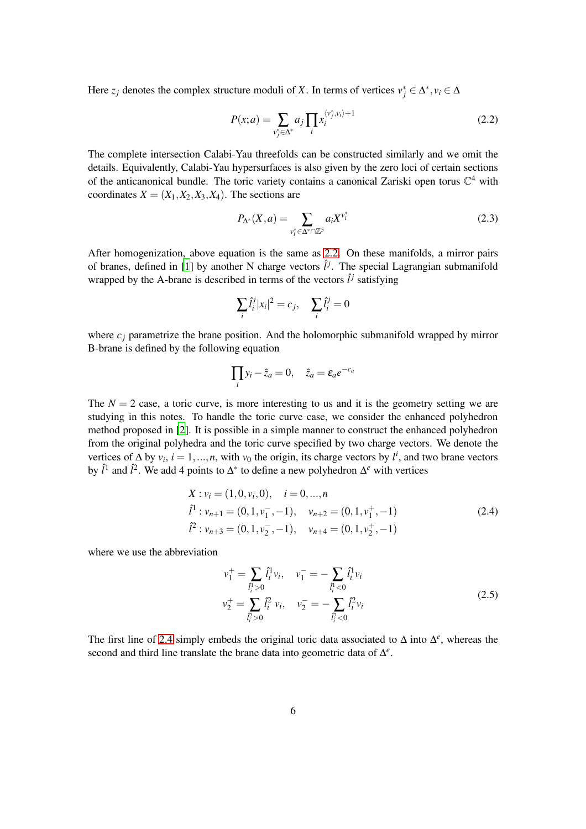Here  $z_j$  denotes the complex structure moduli of *X*. In terms of vertices  $v_j^* \in \Delta^*$ ,  $v_i \in \Delta$ 

<span id="page-5-0"></span>
$$
P(x;a) = \sum_{v_j^* \in \Delta^*} a_j \prod_i x_i^{\langle v_j^*, v_i \rangle + 1}
$$
\n(2.2)

The complete intersection Calabi-Yau threefolds can be constructed similarly and we omit the details. Equivalently, Calabi-Yau hypersurfaces is also given by the zero loci of certain sections of the anticanonical bundle. The toric variety contains a canonical Zariski open torus  $\mathbb{C}^4$  with coordinates  $X = (X_1, X_2, X_3, X_4)$ . The sections are

$$
P_{\Delta^*}(X, a) = \sum_{v_i^* \in \Delta^* \cap \mathbb{Z}^5} a_i X^{v_i^*}
$$
 (2.3)

After homogenization, above equation is the same as [2.2.](#page-5-0) On these manifolds, a mirror pairs of branes, defined in [\[1\]](#page-50-0) by another N charge vectors  $\hat{l}^j$ . The special Lagrangian submanifold wrapped by the A-brane is described in terms of the vectors  $\hat{l}^j$  satisfying

$$
\sum_{i} \hat{l}_i^j |x_i|^2 = c_j, \quad \sum_{i} \hat{l}_i^j = 0
$$

where  $c_j$  parametrize the brane position. And the holomorphic submanifold wrapped by mirror B-brane is defined by the following equation

$$
\prod_i y_i - \hat{z}_a = 0, \quad \hat{z}_a = \varepsilon_a e^{-c_a}
$$

The  $N = 2$  case, a toric curve, is more interesting to us and it is the geometry setting we are studying in this notes. To handle the toric curve case, we consider the enhanced polyhedron method proposed in [\[2\]](#page-50-1). It is possible in a simple manner to construct the enhanced polyhedron from the original polyhedra and the toric curve specified by two charge vectors. We denote the vertices of  $\Delta$  by  $v_i$ ,  $i = 1,...,n$ , with  $v_0$  the origin, its charge vectors by  $l^i$ , and two brane vectors by  $\hat{l}^1$  and  $\hat{l}^2$ . We add 4 points to  $\Delta^*$  to define a new polyhedron  $\Delta^e$  with vertices

<span id="page-5-1"></span>
$$
X: v_i = (1, 0, v_i, 0), \quad i = 0, ..., n
$$
  
\n
$$
\hat{l}^1: v_{n+1} = (0, 1, v_1^-, -1), \quad v_{n+2} = (0, 1, v_1^+, -1)
$$
  
\n
$$
\hat{l}^2: v_{n+3} = (0, 1, v_2^-, -1), \quad v_{n+4} = (0, 1, v_2^+, -1)
$$
\n(2.4)

where we use the abbreviation

$$
\begin{aligned}\n v_1^+ &= \sum_{\hat{i}_i^1 > 0} \hat{l}_i^1 v_i, \quad v_1^- = -\sum_{\hat{i}_i^1 < 0} \hat{l}_i^1 v_i \\
 v_2^+ &= \sum_{\hat{i}_i^2 > 0} \hat{l}_i^2 v_i, \quad v_2^- = -\sum_{\hat{i}_i^2 < 0} \hat{l}_i^2 v_i\n \end{aligned}\n \tag{2.5}
$$

The first line of [2.4](#page-5-1) simply embeds the original toric data associated to  $\Delta$  into  $\Delta^e$ , whereas the second and third line translate the brane data into geometric data of ∆ *e* .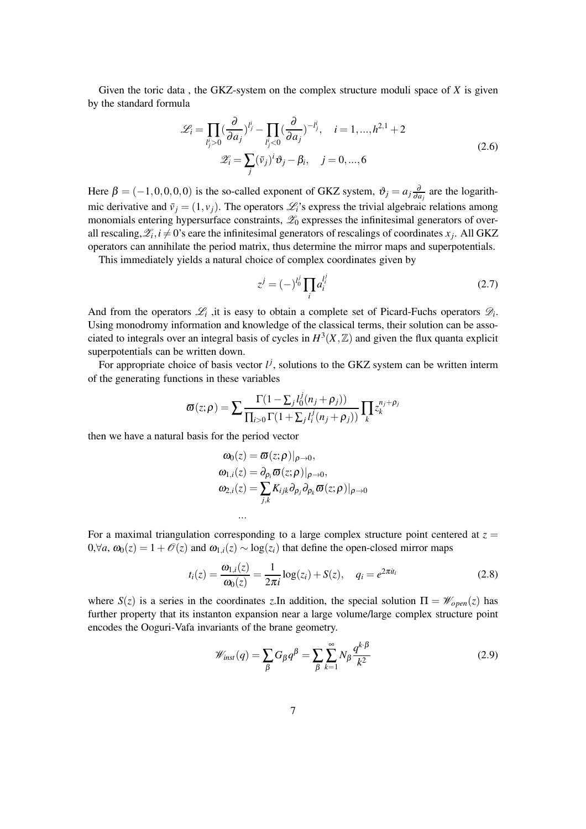Given the toric data , the GKZ-system on the complex structure moduli space of *X* is given by the standard formula

<span id="page-6-2"></span>
$$
\mathcal{L}_i = \prod_{l'_j>0} \left(\frac{\partial}{\partial a_j}\right)^{l'_j} - \prod_{l'_j<0} \left(\frac{\partial}{\partial a_j}\right)^{-l'_j}, \quad i = 1, ..., h^{2,1} + 2
$$
  

$$
\mathcal{Z}_i = \sum_j (\bar{v}_j)^i \vartheta_j - \beta_i, \quad j = 0, ..., 6
$$
\n(2.6)

Here  $\beta = (-1,0,0,0,0)$  is the so-called exponent of GKZ system,  $\vartheta_j = a_j \frac{\partial}{\partial a_j}$  $\frac{\partial}{\partial a_j}$  are the logarithmic derivative and  $\bar{v}_j = (1, v_j)$ . The operators  $\mathcal{L}_i$ 's express the trivial algebraic relations among monomials entering hypersurface constraints,  $\mathscr{Z}_0$  expresses the infinitesimal generators of overall rescaling,  $\mathscr{Z}_i$ ,  $i \neq 0$ 's eare the infinitesimal generators of rescalings of coordinates  $x_j$ . All GKZ operators can annihilate the period matrix, thus determine the mirror maps and superpotentials.

This immediately yields a natural choice of complex coordinates given by

<span id="page-6-1"></span>
$$
z^{j} = (-)^{l_0^{j}} \prod_{i} a_i^{l_i^{j}}
$$
 (2.7)

And from the operators  $\mathcal{L}_i$ , it is easy to obtain a complete set of Picard-Fuchs operators  $\mathcal{D}_i$ . Using monodromy information and knowledge of the classical terms, their solution can be associated to integrals over an integral basis of cycles in  $H^3(X, \mathbb{Z})$  and given the flux quanta explicit superpotentials can be written down.

For appropriate choice of basis vector  $l^j$ , solutions to the GKZ system can be written interm of the generating functions in these variables

$$
\varpi(z;\rho) = \sum \frac{\Gamma(1-\sum_j l_0^j(n_j+\rho_j))}{\prod_{i>0} \Gamma(1+\sum_j l_i^j(n_j+\rho_j))} \prod_k z_k^{n_j+\rho_j}
$$

then we have a natural basis for the period vector

$$
\omega_0(z) = \boldsymbol{\varpi}(z;\rho)|_{\rho \to 0},
$$
  
\n
$$
\omega_{1,i}(z) = \partial_{\rho_i} \boldsymbol{\varpi}(z;\rho)|_{\rho \to 0},
$$
  
\n
$$
\omega_{2,i}(z) = \sum_{j,k} K_{ijk} \partial_{\rho_j} \partial_{\rho_k} \boldsymbol{\varpi}(z;\rho)|_{\rho \to 0}
$$

For a maximal triangulation corresponding to a large complex structure point centered at  $z =$ 0,∀*a*,  $\omega_0(z) = 1 + \mathcal{O}(z)$  and  $\omega_{1,i}(z) \sim \log(z_i)$  that define the open-closed mirror maps

...

$$
t_i(z) = \frac{\omega_{1,i}(z)}{\omega_0(z)} = \frac{1}{2\pi i} \log(z_i) + S(z), \quad q_i = e^{2\pi i t_i}
$$
 (2.8)

<span id="page-6-0"></span>where  $S(z)$  is a series in the coordinates *z*.In addition, the special solution  $\Pi = \mathcal{W}_{open}(z)$  has further property that its instanton expansion near a large volume/large complex structure point encodes the Ooguri-Vafa invariants of the brane geometry.

$$
\mathscr{W}_{inst}(q) = \sum_{\beta} G_{\beta} q^{\beta} = \sum_{\beta} \sum_{k=1}^{\infty} N_{\beta} \frac{q^{k \cdot \beta}}{k^2}
$$
(2.9)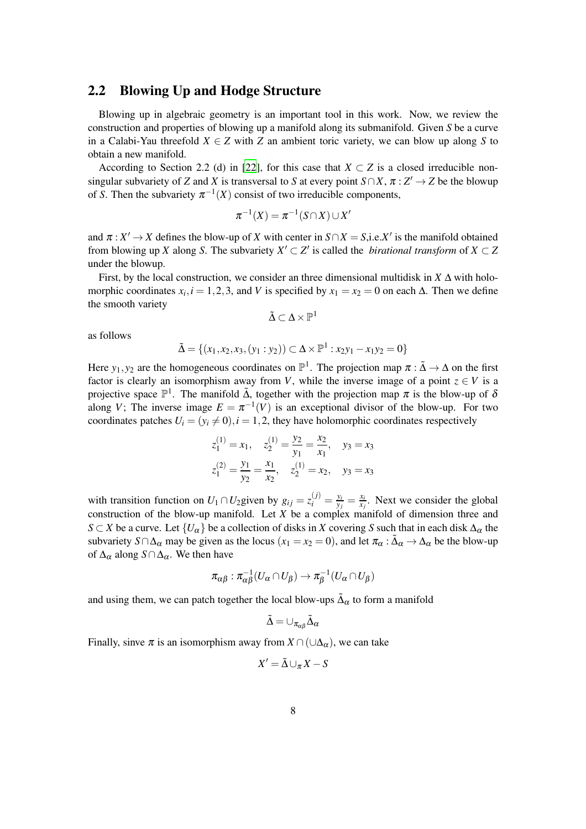#### 2.2 Blowing Up and Hodge Structure

Blowing up in algebraic geometry is an important tool in this work. Now, we review the construction and properties of blowing up a manifold along its submanifold. Given *S* be a curve in a Calabi-Yau threefold  $X \in Z$  with *Z* an ambient toric variety, we can blow up along *S* to obtain a new manifold.

According to Section 2.2 (d) in [\[22](#page-51-8)], for this case that  $X \subset Z$  is a closed irreducible nonsingular subvariety of *Z* and *X* is transversal to *S* at every point  $S \cap X$ ,  $\pi : Z' \to Z$  be the blowup of *S*. Then the subvariety  $\pi^{-1}(X)$  consist of two irreducible components,

$$
\pi^{-1}(X)=\pi^{-1}(S\cap X)\cup X'
$$

and  $\pi : X' \to X$  defines the blow-up of *X* with center in  $S \cap X = S$ , i.e. *X'* is the manifold obtained from blowing up *X* along *S*. The subvariety  $X' \subset Z'$  is called the *birational transform* of  $X \subset Z$ under the blowup.

First, by the local construction, we consider an three dimensional multidisk in *X* ∆ with holomorphic coordinates  $x_i$ ,  $i = 1, 2, 3$ , and *V* is specified by  $x_1 = x_2 = 0$  on each  $\Delta$ . Then we define the smooth variety

$$
\tilde{\Delta}\subset \Delta\times \mathbb{P}^1
$$

as follows

$$
\tilde{\Delta} = \{ (x_1, x_2, x_3, (y_1 : y_2)) \subset \Delta \times \mathbb{P}^1 : x_2y_1 - x_1y_2 = 0 \}
$$

Here  $y_1, y_2$  are the homogeneous coordinates on  $\mathbb{P}^1$ . The projection map  $\pi : \tilde{\Delta} \to \Delta$  on the first factor is clearly an isomorphism away from *V*, while the inverse image of a point  $z \in V$  is a projective space  $\mathbb{P}^1$ . The manifold  $\tilde{\Delta}$ , together with the projection map  $\pi$  is the blow-up of  $\delta$ along *V*; The inverse image  $E = \pi^{-1}(V)$  is an exceptional divisor of the blow-up. For two coordinates patches  $U_i = (y_i \neq 0), i = 1, 2$ , they have holomorphic coordinates respectively

$$
z_1^{(1)} = x_1, \quad z_2^{(1)} = \frac{y_2}{y_1} = \frac{x_2}{x_1}, \quad y_3 = x_3
$$
  

$$
z_1^{(2)} = \frac{y_1}{y_2} = \frac{x_1}{x_2}, \quad z_2^{(1)} = x_2, \quad y_3 = x_3
$$

with transition function on  $U_1 \cap U_2$  given by  $g_{ij} = z_i^{(j)} = \frac{y_i}{y_j}$  $\frac{y_i}{y_j} = \frac{x_i}{x_j}$  $\frac{x_i}{x_j}$ . Next we consider the global construction of the blow-up manifold. Let *X* be a complex manifold of dimension three and *S* ⊂ *X* be a curve. Let  ${U_\alpha}$  be a collection of disks in *X* covering *S* such that in each disk  $\Delta_\alpha$  the subvariety  $S \cap \Delta_{\alpha}$  may be given as the locus  $(x_1 = x_2 = 0)$ , and let  $\pi_{\alpha} : \tilde{\Delta}_{\alpha} \to \Delta_{\alpha}$  be the blow-up of  $\Delta_{\alpha}$  along  $S \cap \Delta_{\alpha}$ . We then have

$$
\pi_{\alpha\beta} : \pi_{\alpha\beta}^{-1}(U_{\alpha} \cap U_{\beta}) \to \pi_{\beta}^{-1}(U_{\alpha} \cap U_{\beta})
$$

and using them, we can patch together the local blow-ups  $\tilde{\Delta}_{\alpha}$  to form a manifold

$$
\tilde{\Delta}=\cup_{\pi_{\alpha\beta}}\tilde{\Delta}_{\alpha}
$$

Finally, sinve  $\pi$  is an isomorphism away from  $X \cap (\cup \Delta_{\alpha})$ , we can take

$$
X' = \tilde{\Delta} \cup_{\pi} X - S
$$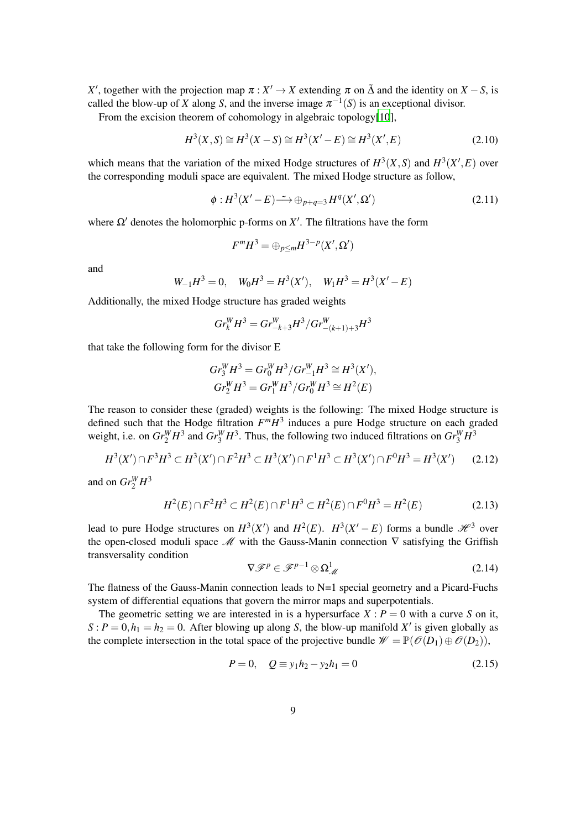*X*<sup>'</sup>, together with the projection map  $\pi$  : *X*<sup>'</sup>  $\rightarrow$  *X* extending  $\pi$  on  $\tilde{\Delta}$  and the identity on *X* − *S*, is called the blow-up of *X* along *S*, and the inverse image  $\pi^{-1}(S)$  is an exceptional divisor. From the excision theorem of cohomology in algebraic topology[\[10](#page-50-13)],

$$
H^{3}(X, S) \cong H^{3}(X - S) \cong H^{3}(X' - E) \cong H^{3}(X', E)
$$
\n(2.10)

which means that the variation of the mixed Hodge structures of  $H^3(X, S)$  and  $H^3(X', E)$  over the corresponding moduli space are equivalent. The mixed Hodge structure as follow,

$$
\phi: H^3(X'-E) \longrightarrow \bigoplus_{p+q=3} H^q(X',\Omega')
$$
\n(2.11)

where  $\Omega'$  denotes the holomorphic p-forms on  $X'$ . The filtrations have the form

$$
F^mH^3=\oplus_{p\leq m}H^{3-p}(X',\Omega')
$$

and

$$
W_{-1}H^3 = 0
$$
,  $W_0H^3 = H^3(X')$ ,  $W_1H^3 = H^3(X'-E)$ 

Additionally, the mixed Hodge structure has graded weights

$$
Gr^W_k H^3 = Gr^W_{-k+3} H^3 / Gr^W_{-(k+1)+3} H^3
$$

that take the following form for the divisor E

$$
Gr_3^W H^3 = Gr_0^W H^3 / Gr_{-1}^W H^3 \cong H^3(X'),
$$
  
\n
$$
Gr_2^W H^3 = Gr_1^W H^3 / Gr_0^W H^3 \cong H^2(E)
$$

The reason to consider these (graded) weights is the following: The mixed Hodge structure is defined such that the Hodge filtration *F <sup>m</sup>H* 3 induces a pure Hodge structure on each graded weight, i.e. on  $Gr_2^W H^3$  and  $Gr_3^W H^3$ . Thus, the following two induced filtrations on  $Gr_3^W H^3$ 

$$
H^{3}(X') \cap F^{3}H^{3} \subset H^{3}(X') \cap F^{2}H^{3} \subset H^{3}(X') \cap F^{1}H^{3} \subset H^{3}(X') \cap F^{0}H^{3} = H^{3}(X') \tag{2.12}
$$

and on  $Gr_2^W H^3$ 

$$
H^{2}(E)\cap F^{2}H^{3}\subset H^{2}(E)\cap F^{1}H^{3}\subset H^{2}(E)\cap F^{0}H^{3}=H^{2}(E)
$$
\n(2.13)

lead to pure Hodge structures on  $H^3(X')$  and  $H^2(E)$ .  $H^3(X'-E)$  forms a bundle  $\mathcal{H}^3$  over the open-closed moduli space  $\mathcal M$  with the Gauss-Manin connection  $\nabla$  satisfying the Griffish transversality condition

$$
\nabla \mathcal{F}^p \in \mathcal{F}^{p-1} \otimes \Omega^1_{\mathcal{M}} \tag{2.14}
$$

The flatness of the Gauss-Manin connection leads to N=1 special geometry and a Picard-Fuchs system of differential equations that govern the mirror maps and superpotentials.

The geometric setting we are interested in is a hypersurface  $X : P = 0$  with a curve *S* on it,  $S: P = 0, h_1 = h_2 = 0$ . After blowing up along *S*, the blow-up manifold *X'* is given globally as the complete intersection in the total space of the projective bundle  $\mathscr{W} = \mathbb{P}(\mathscr{O}(D_1) \oplus \mathscr{O}(D_2)),$ 

<span id="page-8-0"></span>
$$
P = 0, \quad Q \equiv y_1 h_2 - y_2 h_1 = 0 \tag{2.15}
$$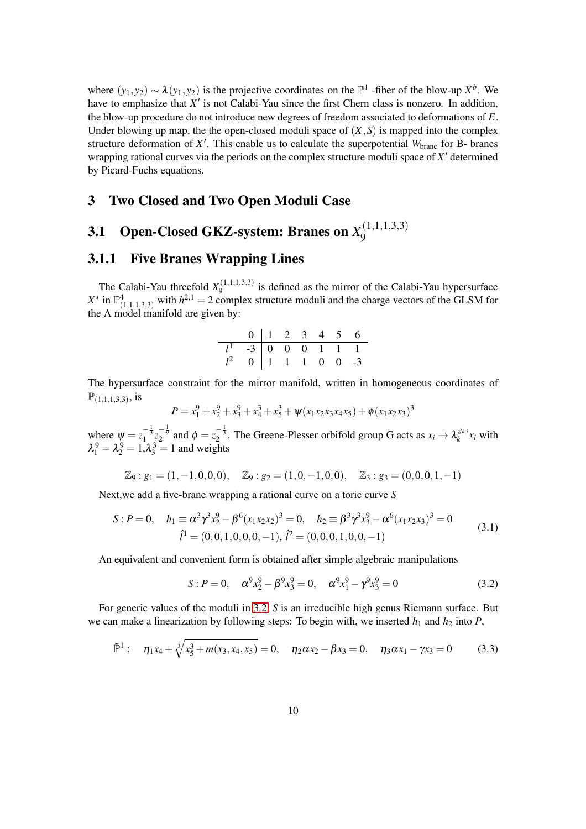where  $(y_1, y_2) \sim \lambda(y_1, y_2)$  is the projective coordinates on the  $\mathbb{P}^1$ -fiber of the blow-up  $X^b$ . We have to emphasize that *X'* is not Calabi-Yau since the first Chern class is nonzero. In addition, the blow-up procedure do not introduce new degrees of freedom associated to deformations of *E*. Under blowing up map, the the open-closed moduli space of  $(X, S)$  is mapped into the complex structure deformation of X<sup>'</sup>. This enable us to calculate the superpotential *W*<sub>brane</sub> for B- branes wrapping rational curves via the periods on the complex structure moduli space of *X* ′ determined by Picard-Fuchs equations.

#### <span id="page-9-0"></span>3 Two Closed and Two Open Moduli Case

#### <span id="page-9-1"></span>**3.1** Open-Closed GKZ-system: Branes on  $X_9^{(1,1,1,3,3)}$ 9

#### <span id="page-9-2"></span>3.1.1 Five Branes Wrapping Lines

The Calabi-Yau threefold  $X_9^{(1,1,1,3,3)}$  $\frac{9}{9}$  is defined as the mirror of the Calabi-Yau hypersurface  $X^*$  in  $\mathbb{P}^4_{(1,1,1,3,3)}$  with  $h^{2,1} = 2$  complex structure moduli and the charge vectors of the GLSM for the A model manifold are given by:

| $0$   1 2 3 4 5 6                                                                               |  |  |  |
|-------------------------------------------------------------------------------------------------|--|--|--|
| $\begin{array}{ c c c c c c c c } \hline l^1 & -3 & 0 & 0 & 0 & 1 & 1 & 1 \ \hline \end{array}$ |  |  |  |
| $l^2$ 0 1 1 1 0 0 -3                                                                            |  |  |  |

The hypersurface constraint for the mirror manifold, written in homogeneous coordinates of  $\mathbb{P}_{(1,1,1,3,3)}$ , is

$$
P = x_1^9 + x_2^9 + x_3^9 + x_4^3 + x_5^3 + \psi(x_1x_2x_3x_4x_5) + \phi(x_1x_2x_3)^3
$$

where  $\psi = z_1^{-\frac{1}{3}} z_2^{-\frac{1}{9}}$  and  $\phi = z_2^{-\frac{1}{3}}$ . The Greene-Plesser orbifold group G acts as  $x_i \to \lambda_k^{g_{k,i}}$  $k^{8k,i}x_i$  with  $\lambda_1^9 = \lambda_2^9 = 1, \lambda_3^3 = 1$  and weights

$$
\mathbb{Z}_9: g_1=(1,-1,0,0,0), \quad \mathbb{Z}_9: g_2=(1,0,-1,0,0), \quad \mathbb{Z}_3: g_3=(0,0,0,1,-1)
$$

Next,we add a five-brane wrapping a rational curve on a toric curve *S*

$$
S: P = 0, \quad h_1 \equiv \alpha^3 \gamma^3 x_2^9 - \beta^6 (x_1 x_2 x_2)^3 = 0, \quad h_2 \equiv \beta^3 \gamma^3 x_3^9 - \alpha^6 (x_1 x_2 x_3)^3 = 0
$$
  

$$
\hat{l}^1 = (0, 0, 1, 0, 0, 0, -1), \ \hat{l}^2 = (0, 0, 0, 1, 0, 0, -1)
$$
 (3.1)

An equivalent and convenient form is obtained after simple algebraic manipulations

<span id="page-9-3"></span>
$$
S: P = 0, \quad \alpha^9 x_2^9 - \beta^9 x_3^9 = 0, \quad \alpha^9 x_1^9 - \gamma^9 x_3^9 = 0 \tag{3.2}
$$

For generic values of the moduli in [3.2,](#page-9-3) *S* is an irreducible high genus Riemann surface. But we can make a linearization by following steps: To begin with, we inserted  $h_1$  and  $h_2$  into  $P$ ,

<span id="page-9-4"></span>
$$
\tilde{\mathbb{P}}^1: \quad \eta_1 x_4 + \sqrt[3]{x_5^3 + m(x_3, x_4, x_5)} = 0, \quad \eta_2 \alpha x_2 - \beta x_3 = 0, \quad \eta_3 \alpha x_1 - \gamma x_3 = 0 \tag{3.3}
$$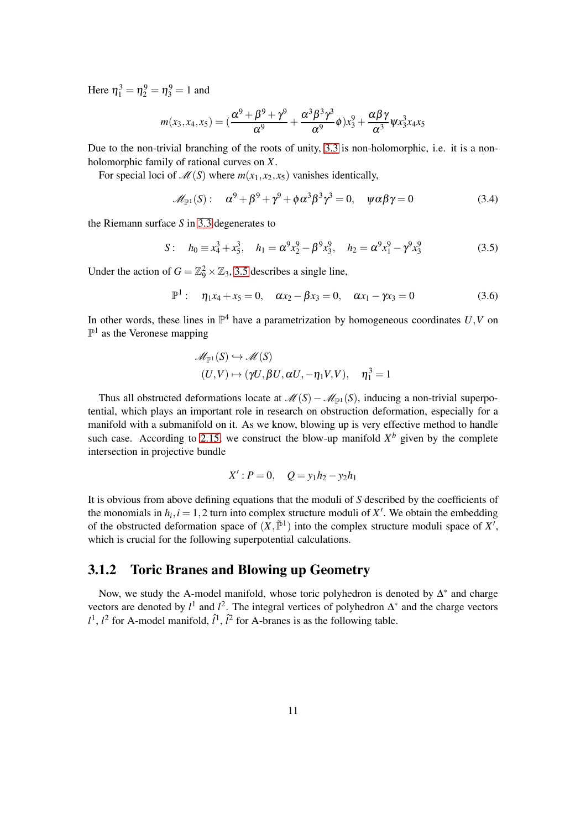Here  $\eta_1^3 = \eta_2^9 = \eta_3^9 = 1$  and

$$
m(x_3, x_4, x_5) = \left(\frac{\alpha^9 + \beta^9 + \gamma^9}{\alpha^9} + \frac{\alpha^3 \beta^3 \gamma^3}{\alpha^9} \phi\right) x_3^9 + \frac{\alpha \beta \gamma}{\alpha^3} \psi x_3^3 x_4 x_5
$$

Due to the non-trivial branching of the roots of unity, [3.3](#page-9-4) is non-holomorphic, i.e. it is a nonholomorphic family of rational curves on *X*.

For special loci of  $\mathcal{M}(S)$  where  $m(x_1, x_2, x_5)$  vanishes identically,

$$
\mathscr{M}_{\mathbb{P}^1}(S): \quad \alpha^9 + \beta^9 + \gamma^9 + \phi \alpha^3 \beta^3 \gamma^3 = 0, \quad \psi \alpha \beta \gamma = 0 \tag{3.4}
$$

the Riemann surface *S* in [3.3](#page-9-4) degenerates to

<span id="page-10-1"></span>
$$
S: \quad h_0 \equiv x_4^3 + x_5^3, \quad h_1 = \alpha^9 x_2^9 - \beta^9 x_3^9, \quad h_2 = \alpha^9 x_1^9 - \gamma^9 x_3^9 \tag{3.5}
$$

Under the action of  $G = \mathbb{Z}_9^2 \times \mathbb{Z}_3$ , [3.5](#page-10-1) describes a single line,

$$
\mathbb{P}^{1}: \quad \eta_{1}x_{4}+x_{5}=0, \quad \alpha x_{2}-\beta x_{3}=0, \quad \alpha x_{1}-\gamma x_{3}=0 \tag{3.6}
$$

In other words, these lines in  $\mathbb{P}^4$  have a parametrization by homogeneous coordinates  $U, V$  on  $\mathbb{P}^1$  as the Veronese mapping

$$
\mathcal{M}_{\mathbb{P}^1}(S) \hookrightarrow \mathcal{M}(S)
$$
  

$$
(U,V) \mapsto (\gamma U, \beta U, \alpha U, -\eta_1 V, V), \quad \eta_1^3 = 1
$$

Thus all obstructed deformations locate at  $\mathcal{M}(S) - \mathcal{M}_{\mathbb{P}^1}(S)$ , inducing a non-trivial superpotential, which plays an important role in research on obstruction deformation, especially for a manifold with a submanifold on it. As we know, blowing up is very effective method to handle such case. According to [2.15,](#page-8-0) we construct the blow-up manifold  $X^b$  given by the complete intersection in projective bundle

$$
X': P = 0, \quad Q = y_1 h_2 - y_2 h_1
$$

It is obvious from above defining equations that the moduli of *S* described by the coefficients of the monomials in  $h_i$ ,  $i = 1, 2$  turn into complex structure moduli of  $X'$ . We obtain the embedding of the obstructed deformation space of  $(X, \tilde{\mathbb{P}}^1)$  into the complex structure moduli space of X', which is crucial for the following superpotential calculations.

#### <span id="page-10-0"></span>3.1.2 Toric Branes and Blowing up Geometry

Now, we study the A-model manifold, whose toric polyhedron is denoted by  $\Delta^*$  and charge vectors are denoted by  $l^1$  and  $l^2$ . The integral vertices of polyhedron  $\Delta^*$  and the charge vectors  $l^1$ ,  $l^2$  for A-model manifold,  $\hat{l}^1$ ,  $\hat{l}^2$  for A-branes is as the following table.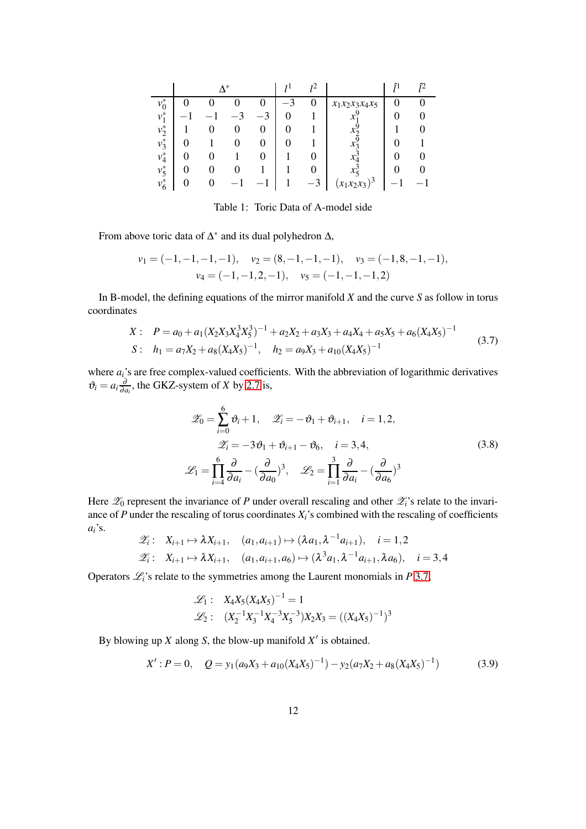|         |  | $\mathbf{A}$ * |   |   |                   |  |
|---------|--|----------------|---|---|-------------------|--|
| $v_0^*$ |  |                |   | 0 | $x_1x_2x_3x_4x_5$ |  |
| $v_1^*$ |  |                | ⌒ |   |                   |  |
| $v_2^*$ |  |                |   |   |                   |  |
| $v_3^*$ |  |                |   |   |                   |  |
| $v_4^*$ |  |                |   |   |                   |  |
| $v_5^*$ |  |                |   |   |                   |  |
| $v_6^*$ |  |                |   |   | $(x_1x_2x_3)^3$   |  |

Table 1: Toric Data of A-model side

From above toric data of  $\Delta^*$  and its dual polyhedron  $\Delta$ ,

$$
v_1 = (-1, -1, -1, -1), v_2 = (8, -1, -1, -1), v_3 = (-1, 8, -1, -1),
$$
  
 $v_4 = (-1, -1, 2, -1), v_5 = (-1, -1, -1, 2)$ 

In B-model, the defining equations of the mirror manifold *X* and the curve *S* as follow in torus coordinates

<span id="page-11-0"></span>
$$
X: \quad P = a_0 + a_1 (X_2 X_3 X_4^3 X_5^3)^{-1} + a_2 X_2 + a_3 X_3 + a_4 X_4 + a_5 X_5 + a_6 (X_4 X_5)^{-1}
$$
\n
$$
S: \quad h_1 = a_7 X_2 + a_8 (X_4 X_5)^{-1}, \quad h_2 = a_9 X_3 + a_{10} (X_4 X_5)^{-1}
$$
\n
$$
(3.7)
$$

where  $a_i$ 's are free complex-valued coefficients. With the abbreviation of logarithmic derivatives  $\vartheta_i = a_i \frac{\partial}{\partial a_i}$  $\frac{\partial}{\partial a_i}$ , the GKZ-system of *X* by [2.7](#page-6-1) is,

$$
\mathscr{Z}_0 = \sum_{i=0}^6 \vartheta_i + 1, \quad \mathscr{Z}_i = -\vartheta_1 + \vartheta_{i+1}, \quad i = 1, 2,
$$
  

$$
\mathscr{Z}_i = -3\vartheta_1 + \vartheta_{i+1} - \vartheta_6, \quad i = 3, 4,
$$
  

$$
\mathscr{L}_1 = \prod_{i=4}^6 \frac{\partial}{\partial a_i} - \left(\frac{\partial}{\partial a_0}\right)^3, \quad \mathscr{L}_2 = \prod_{i=1}^3 \frac{\partial}{\partial a_i} - \left(\frac{\partial}{\partial a_6}\right)^3
$$
 (3.8)

Here  $\mathscr{Z}_0$  represent the invariance of *P* under overall rescaling and other  $\mathscr{Z}_i$ 's relate to the invariance of *P* under the rescaling of torus coordinates *Xi*'s combined with the rescaling of coefficients *ai*'s.

$$
\mathscr{Z}_i: \quad X_{i+1} \mapsto \lambda X_{i+1}, \quad (a_1, a_{i+1}) \mapsto (\lambda a_1, \lambda^{-1} a_{i+1}), \quad i = 1, 2
$$
\n
$$
\mathscr{Z}_i: \quad X_{i+1} \mapsto \lambda X_{i+1}, \quad (a_1, a_{i+1}, a_6) \mapsto (\lambda^3 a_1, \lambda^{-1} a_{i+1}, \lambda a_6), \quad i = 3, 4
$$

Operators  $\mathcal{L}_i$ 's relate to the symmetries among the Laurent monomials in *P* [3.7,](#page-11-0)

$$
\mathcal{L}_1: X_4X_5(X_4X_5)^{-1} = 1
$$
  

$$
\mathcal{L}_2: (X_2^{-1}X_3^{-1}X_4^{-3}X_5^{-3})X_2X_3 = ((X_4X_5)^{-1})^3
$$

By blowing up  $X$  along  $S$ , the blow-up manifold  $X'$  is obtained.

$$
X': P = 0, \quad Q = y_1(a_9X_3 + a_{10}(X_4X_5)^{-1}) - y_2(a_7X_2 + a_8(X_4X_5)^{-1})
$$
(3.9)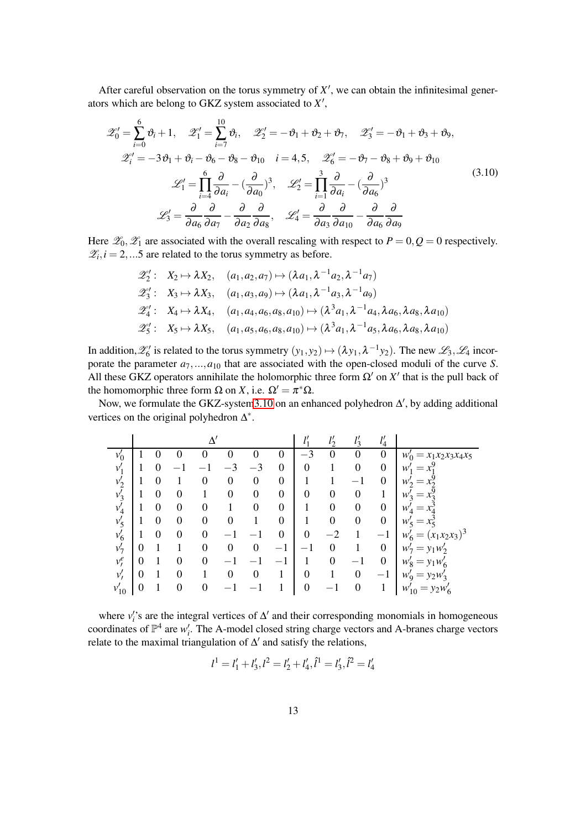After careful observation on the torus symmetry of  $X'$ , we can obtain the infinitesimal generators which are belong to GKZ system associated to *X* ′ ,

<span id="page-12-0"></span>
$$
\mathscr{Z}'_0 = \sum_{i=0}^6 \vartheta_i + 1, \quad \mathscr{Z}'_1 = \sum_{i=7}^{10} \vartheta_i, \quad \mathscr{Z}'_2 = -\vartheta_1 + \vartheta_2 + \vartheta_7, \quad \mathscr{Z}'_3 = -\vartheta_1 + \vartheta_3 + \vartheta_9,
$$
  

$$
\mathscr{Z}'_i = -3\vartheta_1 + \vartheta_i - \vartheta_6 - \vartheta_8 - \vartheta_{10} \quad i = 4, 5, \quad \mathscr{Z}'_6 = -\vartheta_7 - \vartheta_8 + \vartheta_9 + \vartheta_{10}
$$
  

$$
\mathscr{L}'_1 = \prod_{i=4}^6 \frac{\partial}{\partial a_i} - \left(\frac{\partial}{\partial a_0}\right)^3, \quad \mathscr{L}'_2 = \prod_{i=1}^3 \frac{\partial}{\partial a_i} - \left(\frac{\partial}{\partial a_6}\right)^3
$$
  

$$
\mathscr{L}'_3 = \frac{\partial}{\partial a_6} \frac{\partial}{\partial a_7} - \frac{\partial}{\partial a_2} \frac{\partial}{\partial a_8}, \quad \mathscr{L}'_4 = \frac{\partial}{\partial a_3} \frac{\partial}{\partial a_{10}} - \frac{\partial}{\partial a_6} \frac{\partial}{\partial a_9}
$$

$$
(3.10)
$$

Here  $\mathcal{Z}_0$ ,  $\mathcal{Z}_1$  are associated with the overall rescaling with respect to  $P = 0$ ,  $Q = 0$  respectively.  $\mathcal{Z}_i, i = 2,...5$  are related to the torus symmetry as before.

$$
\mathscr{Z}'_2: X_2 \mapsto \lambda X_2, (a_1, a_2, a_7) \mapsto (\lambda a_1, \lambda^{-1} a_2, \lambda^{-1} a_7) \n\mathscr{Z}'_3: X_3 \mapsto \lambda X_3, (a_1, a_3, a_9) \mapsto (\lambda a_1, \lambda^{-1} a_3, \lambda^{-1} a_9) \n\mathscr{Z}'_4: X_4 \mapsto \lambda X_4, (a_1, a_4, a_6, a_8, a_{10}) \mapsto (\lambda^3 a_1, \lambda^{-1} a_4, \lambda a_6, \lambda a_8, \lambda a_{10}) \n\mathscr{Z}'_5: X_5 \mapsto \lambda X_5, (a_1, a_5, a_6, a_8, a_{10}) \mapsto (\lambda^3 a_1, \lambda^{-1} a_5, \lambda a_6, \lambda a_8, \lambda a_{10})
$$

In addition,  $\mathscr{L}'_6$  is related to the torus symmetry  $(y_1, y_2) \mapsto (\lambda y_1, \lambda^{-1} y_2)$ . The new  $\mathscr{L}_3$ ,  $\mathscr{L}_4$  incorporate the parameter  $a_7, ..., a_{10}$  that are associated with the open-closed moduli of the curve *S*. All these GKZ operators annihilate the holomorphic three form  $\Omega'$  on  $X'$  that is the pull back of the homomorphic three form  $\Omega$  on *X*, i.e.  $\Omega' = \pi^* \Omega$ .

Now, we formulate the GKZ-syste[m3.10](#page-12-0) on an enhanced polyhedron  $\Delta'$ , by adding additional vertices on the original polyhedron  $\Delta^*$ .

|           |          |   |                  |          |          |                  |                          | 11<br>$\iota_1$        | 11               | $\mathcal{U}$<br>$l_3$ | 11<br>$\iota_4$  |                                   |
|-----------|----------|---|------------------|----------|----------|------------------|--------------------------|------------------------|------------------|------------------------|------------------|-----------------------------------|
| $v'_0$    |          |   |                  |          |          |                  | O                        | 3<br>$\hspace{0.05cm}$ | $\theta$         |                        | $\theta$         | $W'_0$<br>$= x_1 x_2 x_3 x_4 x_5$ |
| $v_1'$    |          | 0 |                  |          |          | $-3$             | $\boldsymbol{0}$         | $\overline{0}$         |                  | $\boldsymbol{0}$       | $\boldsymbol{0}$ | w<br>$=$                          |
| $v_2'$    |          | 0 |                  | 0        | $\theta$ | $\boldsymbol{0}$ | $\boldsymbol{0}$         |                        |                  |                        | $\boldsymbol{0}$ | $W_2$                             |
| $v'_3$    |          | 0 | 0                |          | 0        | 0                | $\boldsymbol{0}$         | $\boldsymbol{0}$       | 0                | $\boldsymbol{0}$       |                  | $W_2'$<br>$=$                     |
| $v_4'$    |          | 0 | 0                | 0        |          | 0                | $\boldsymbol{0}$         |                        | $\boldsymbol{0}$ | $\theta$               | $\boldsymbol{0}$ | w<br>$=$                          |
| $v'_5$    |          | 0 | 0                | $\theta$ | 0        |                  | $\boldsymbol{0}$         |                        | $\boldsymbol{0}$ | $\boldsymbol{0}$       | $\boldsymbol{0}$ | $W'_5$<br>$x_{\epsilon}$<br>$=$   |
| $v'_6$    |          | 0 | 0                | $\theta$ |          |                  | 0                        | $\overline{0}$         | $-2$             |                        | $-1$             | $(x_1x_2x_3)^3$<br>w<br>$=$       |
| $v'_7$    | $\theta$ |   |                  | $\theta$ | 0        | $\boldsymbol{0}$ | $-1$                     | —                      | 0                |                        | $\boldsymbol{0}$ | $= y_1 w_2'$<br>$W_7$             |
| $v^e_i$   | $\theta$ |   | $\theta$         | $\theta$ |          |                  | $\overline{\phantom{0}}$ |                        | $\overline{0}$   |                        | $\boldsymbol{0}$ | $= y_1 w'_6$<br>$w'_8$            |
| v'        | $\theta$ |   | $\theta$         |          | 0        | 0                | 1                        | $\boldsymbol{0}$       |                  | $\boldsymbol{0}$       | $-1$             | $= y_2w'_3$<br>$W'_9$             |
| $v_{10}'$ | 0        |   | $\boldsymbol{0}$ | 0        |          |                  |                          | $\boldsymbol{0}$       | —                | $\boldsymbol{0}$       |                  | $w'_{10} = y_2 w'_6$              |

where  $v_i$ 's are the integral vertices of  $\Delta'$  and their corresponding monomials in homogeneous coordinates of  $\mathbb{P}^4$  are  $w'_i$ . The A-model closed string charge vectors and A-branes charge vectors relate to the maximal triangulation of  $\Delta'$  and satisfy the relations,

$$
l1 = l1' + l3', l2 = l2' + l4', l1 = l3', l2 = l4'
$$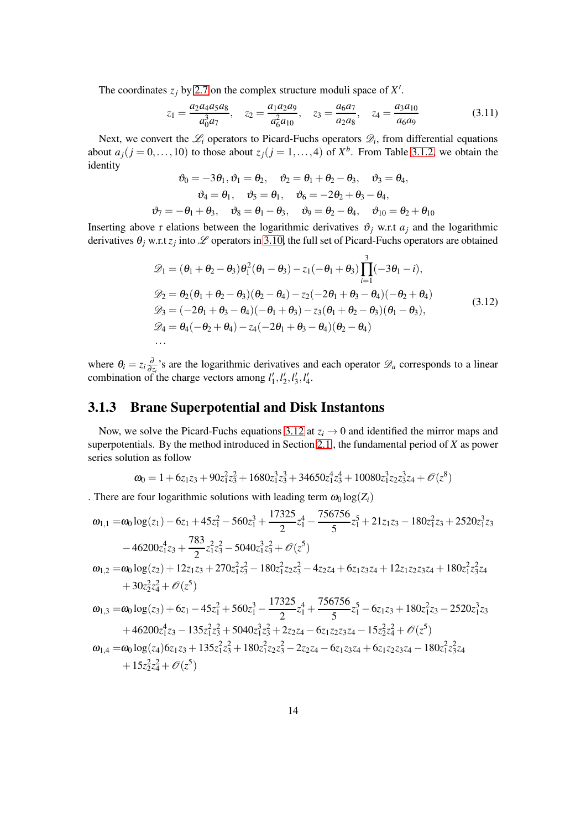The coordinates  $z_j$  by [2.7](#page-6-1) on the complex structure moduli space of  $X'$ .

$$
z_1 = \frac{a_2 a_4 a_5 a_8}{a_0^3 a_7}, \quad z_2 = \frac{a_1 a_2 a_9}{a_6^2 a_{10}}, \quad z_3 = \frac{a_6 a_7}{a_2 a_8}, \quad z_4 = \frac{a_3 a_{10}}{a_6 a_9} \tag{3.11}
$$

Next, we convert the  $\mathcal{L}_i$  operators to Picard-Fuchs operators  $\mathcal{D}_i$ , from differential equations about  $a_j$  ( $j = 0, \ldots, 10$ ) to those about  $z_j$  ( $j = 1, \ldots, 4$ ) of  $X^b$ . From Table [3.1.2,](#page-12-0) we obtain the identity

$$
\vartheta_0 = -3\theta_1, \vartheta_1 = \theta_2, \quad \vartheta_2 = \theta_1 + \theta_2 - \theta_3, \quad \vartheta_3 = \theta_4, \n\vartheta_4 = \theta_1, \quad \vartheta_5 = \theta_1, \quad \vartheta_6 = -2\theta_2 + \theta_3 - \theta_4, \n\vartheta_7 = -\theta_1 + \theta_3, \quad \vartheta_8 = \theta_1 - \theta_3, \quad \vartheta_9 = \theta_2 - \theta_4, \quad \vartheta_{10} = \theta_2 + \theta_{10}
$$

Inserting above r elations between the logarithmic derivatives  $\vartheta_i$  w.r.t  $a_i$  and the logarithmic derivatives  $\theta_j$  w.r.t  $z_j$  into  $\mathscr L$  operators in [3.10,](#page-12-0) the full set of Picard-Fuchs operators are obtained

<span id="page-13-1"></span>
$$
\mathcal{D}_1 = (\theta_1 + \theta_2 - \theta_3)\theta_1^2(\theta_1 - \theta_3) - z_1(-\theta_1 + \theta_3)\prod_{i=1}^3(-3\theta_1 - i), \n\mathcal{D}_2 = \theta_2(\theta_1 + \theta_2 - \theta_3)(\theta_2 - \theta_4) - z_2(-2\theta_1 + \theta_3 - \theta_4)(-\theta_2 + \theta_4) \n\mathcal{D}_3 = (-2\theta_1 + \theta_3 - \theta_4)(-\theta_1 + \theta_3) - z_3(\theta_1 + \theta_2 - \theta_3)(\theta_1 - \theta_3), \n\mathcal{D}_4 = \theta_4(-\theta_2 + \theta_4) - z_4(-2\theta_1 + \theta_3 - \theta_4)(\theta_2 - \theta_4)
$$
\n...\n(3.12)

<span id="page-13-0"></span>where  $\theta_i = z_i \frac{\partial}{\partial z_i}$  $\frac{\partial}{\partial z_i}$ 's are the logarithmic derivatives and each operator  $\mathscr{D}_a$  corresponds to a linear combination of the charge vectors among  $l'_1, l'_2, l'_3, l'_4$ .

#### 3.1.3 Brane Superpotential and Disk Instantons

Now, we solve the Picard-Fuchs equations [3.12](#page-13-1) at  $z_i \rightarrow 0$  and identified the mirror maps and superpotentials. By the method introduced in Section [2.1](#page-4-1) , the fundamental period of *X* as power series solution as follow

$$
\omega_0 = 1 + 6z_1z_3 + 90z_1^2z_3^2 + 1680z_1^3z_3^3 + 34650z_1^4z_3^4 + 10080z_1^3z_2z_3^3z_4 + \mathcal{O}(z^8)
$$

. There are four logarithmic solutions with leading term  $\omega_0 \log(Z_i)$ 

$$
\begin{aligned} \omega_{1,1}=&\omega_0\log(z_1)-6z_1+45z_1^2-560z_1^3+\frac{17325}{2}z_1^4-\frac{756756}{5}z_1^5+21z_1z_3-180z_1^2z_3+2520z_1^3z_3\\ &\quad -46200z_1^4z_3+\frac{783}{2}z_1^2z_3^2-5040z_1^3z_3^2+\mathcal{O}(z^5)\\ \omega_{1,2}=&\omega_0\log(z_2)+12z_1z_3+270z_1^2z_3^2-180z_1^2z_2z_3^2-4z_2z_4+6z_1z_3z_4+12z_1z_2z_3z_4+180z_1^2z_3^2z_4\\ &\quad +30z_2^2z_4^2+\mathcal{O}(z^5)\\ \omega_{1,3}=&\omega_0\log(z_3)+6z_1-45z_1^2+560z_1^3-\frac{17325}{2}z_1^4+\frac{756756}{5}z_1^5-6z_1z_3+180z_1^2z_3-2520z_1^3z_3\\ &\quad +46200z_1^4z_3-135z_1^2z_3^2+5040z_1^3z_3^2+2z_2z_4-6z_1z_2z_3z_4-15z_2^2z_4^2+\mathcal{O}(z^5)\\ \omega_{1,4}=&\omega_0\log(z_4)6z_1z_3+135z_1^2z_3^2+180z_1^2z_2z_3^2-2z_2z_4-6z_1z_3z_4+6z_1z_2z_3z_4-180z_1^2z_3^2z_4\\ &\quad +15z_2^2z_4^2+\mathcal{O}(z^5) \end{aligned}
$$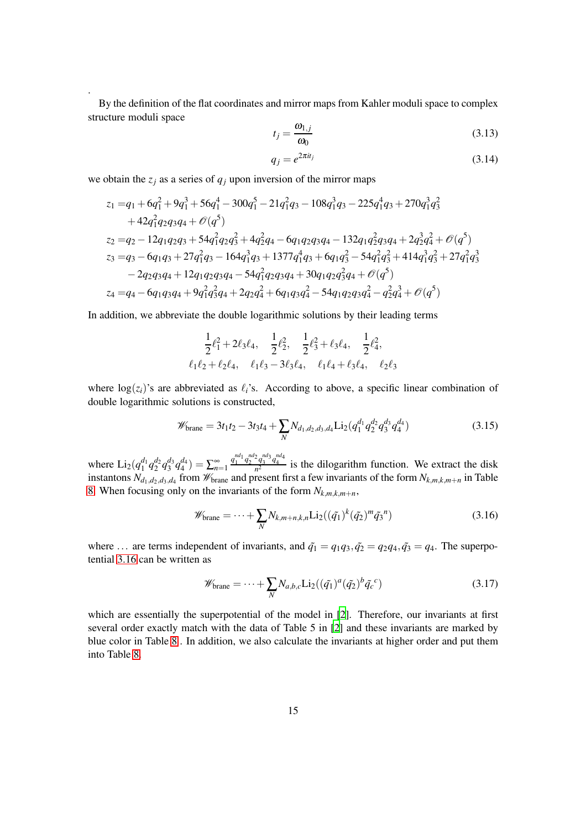By the definition of the flat coordinates and mirror maps from Kahler moduli space to complex structure moduli space

$$
t_j = \frac{\omega_{1,j}}{\omega_0} \tag{3.13}
$$

$$
q_j = e^{2\pi i t_j} \tag{3.14}
$$

we obtain the  $z_j$  as a series of  $q_j$  upon inversion of the mirror maps

.

$$
z_1 = q_1 + 6q_1^2 + 9q_1^3 + 56q_1^4 - 300q_1^5 - 21q_1^2q_3 - 108q_1^3q_3 - 225q_1^4q_3 + 270q_1^3q_3^2
$$
  
+ 
$$
42q_1^2q_2q_3q_4 + \mathcal{O}(q^5)
$$
  

$$
z_2 = q_2 - 12q_1q_2q_3 + 54q_1^2q_2q_3^2 + 4q_2^2q_4 - 6q_1q_2q_3q_4 - 132q_1q_2^2q_3q_4 + 2q_2^3q_4^2 + \mathcal{O}(q^5)
$$
  

$$
z_3 = q_3 - 6q_1q_3 + 27q_1^2q_3 - 164q_1^3q_3 + 1377q_1^4q_3 + 6q_1q_3^2 - 54q_1^2q_3^2 + 414q_1^3q_3^2 + 27q_1^2q_3^3
$$
  
- 
$$
2q_2q_3q_4 + 12q_1q_2q_3q_4 - 54q_1^2q_2q_3q_4 + 30q_1q_2q_3^2q_4 + \mathcal{O}(q^5)
$$
  

$$
z_4 = q_4 - 6q_1q_3q_4 + 9q_1^2q_3^2q_4 + 2q_2q_4^2 + 6q_1q_3q_4^2 - 54q_1q_2q_3q_4^2 - q_2^2q_4^3 + \mathcal{O}(q^5)
$$

In addition, we abbreviate the double logarithmic solutions by their leading terms

$$
\frac{1}{2}\ell_1^2 + 2\ell_3\ell_4, \quad \frac{1}{2}\ell_2^2, \quad \frac{1}{2}\ell_3^2 + \ell_3\ell_4, \quad \frac{1}{2}\ell_4^2, \ell_1\ell_2 + \ell_2\ell_4, \quad \ell_1\ell_3 - 3\ell_3\ell_4, \quad \ell_1\ell_4 + \ell_3\ell_4, \quad \ell_2\ell_3
$$

where  $log(z_i)$ 's are abbreviated as  $\ell_i$ 's. According to above, a specific linear combination of double logarithmic solutions is constructed,

$$
\mathscr{W}_{\text{brane}} = 3t_1t_2 - 3t_3t_4 + \sum_{N} N_{d_1,d_2,d_3,d_4} \text{Li}_2(q_1^{d_1} q_2^{d_2} q_3^{d_3} q_4^{d_4})
$$
(3.15)

where  $Li_2(q_1^{d_1} q_2^{d_2} q_3^{d_3} q_4^{d_4}) = \sum_{n=1}^{\infty}$  $q_1^{nd_1} q_2^{nd_2} q_3^{nd_3} q_4^{nd_4}$  is the dilogarithm function. We extract the disk instantons  $N_{d_1,d_2,d_3,d_4}$  from  $\mathcal{W}_{\text{brane}}$  and present first a few invariants of the form  $N_{k,m,k,m+n}$  in Table [8.](#page-40-1) When focusing only on the invariants of the form  $N_{k,m,k,m+n}$ ,

<span id="page-14-1"></span>
$$
\mathscr{W}_{\text{brane}} = \dots + \sum_{N} N_{k,m+n,k,n} \text{Li}_2((\tilde{q}_1)^k (\tilde{q}_2)^m \tilde{q}_3^n) \tag{3.16}
$$

where ... are terms independent of invariants, and  $\tilde{q}_1 = q_1 q_3$ ,  $\tilde{q}_2 = q_2 q_4$ ,  $\tilde{q}_3 = q_4$ . The superpotential [3.16](#page-14-1) can be written as

$$
\mathscr{W}_{\text{brane}} = \dots + \sum_{N} N_{a,b,c} \text{Li}_2((\tilde{q}_1)^a (\tilde{q}_2)^b \tilde{q}_c^c)
$$
\n(3.17)

<span id="page-14-0"></span>which are essentially the superpotential of the model in [\[2\]](#page-50-1). Therefore, our invariants at first several order exactly match with the data of Table 5 in [\[2\]](#page-50-1) and these invariants are marked by blue color in Table [8](#page-40-1) . In addition, we also calculate the invariants at higher order and put them into Table [8.](#page-40-1)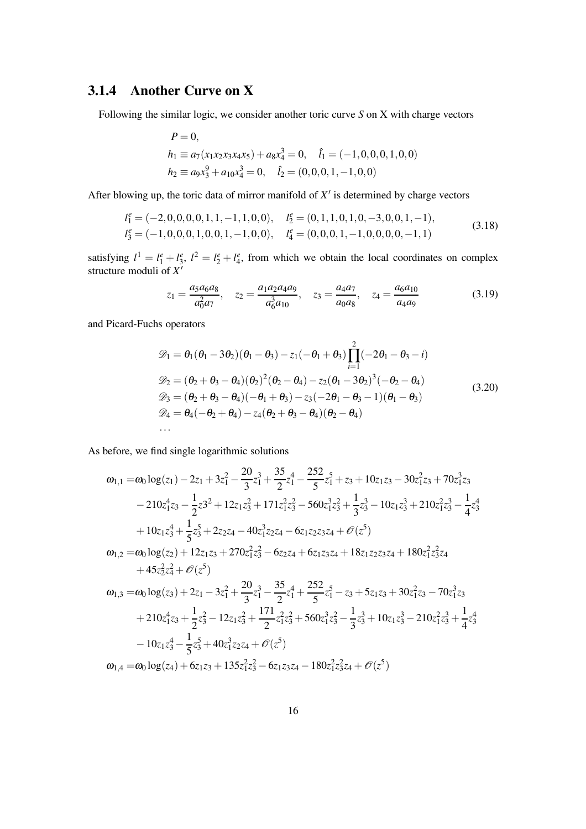### 3.1.4 Another Curve on X

Following the similar logic, we consider another toric curve *S* on X with charge vectors

$$
P = 0,
$$
  
\n
$$
h_1 \equiv a_7(x_1x_2x_3x_4x_5) + a_8x_4^3 = 0, \quad \hat{l}_1 = (-1, 0, 0, 0, 1, 0, 0)
$$
  
\n
$$
h_2 \equiv a_9x_3^9 + a_{10}x_4^3 = 0, \quad \hat{l}_2 = (0, 0, 0, 1, -1, 0, 0)
$$

After blowing up, the toric data of mirror manifold of  $X'$  is determined by charge vectors

$$
l_1^e = (-2,0,0,0,0,1,1,-1,1,0,0), \t l_2^e = (0,1,1,0,1,0,-3,0,0,1,-1), l_3^e = (-1,0,0,0,1,0,0,1,-1,0,0), \t l_4^e = (0,0,0,1,-1,0,0,0,0,-1,1)
$$
\n(3.18)

satisfying  $l^1 = l_1^e + l_3^e$ ,  $l^2 = l_2^e + l_4^e$ , from which we obtain the local coordinates on complex structure moduli of *X* ′

$$
z_1 = \frac{a_5 a_6 a_8}{a_0^2 a_7}, \quad z_2 = \frac{a_1 a_2 a_4 a_9}{a_6^3 a_{10}}, \quad z_3 = \frac{a_4 a_7}{a_0 a_8}, \quad z_4 = \frac{a_6 a_{10}}{a_4 a_9} \tag{3.19}
$$

and Picard-Fuchs operators

$$
\mathcal{D}_1 = \theta_1(\theta_1 - 3\theta_2)(\theta_1 - \theta_3) - z_1(-\theta_1 + \theta_3) \prod_{i=1}^2 (-2\theta_1 - \theta_3 - i)
$$
  
\n
$$
\mathcal{D}_2 = (\theta_2 + \theta_3 - \theta_4)(\theta_2)^2(\theta_2 - \theta_4) - z_2(\theta_1 - 3\theta_2)^3(-\theta_2 - \theta_4)
$$
  
\n
$$
\mathcal{D}_3 = (\theta_2 + \theta_3 - \theta_4)(-\theta_1 + \theta_3) - z_3(-2\theta_1 - \theta_3 - 1)(\theta_1 - \theta_3)
$$
  
\n
$$
\mathcal{D}_4 = \theta_4(-\theta_2 + \theta_4) - z_4(\theta_2 + \theta_3 - \theta_4)(\theta_2 - \theta_4)
$$
  
\n... (3.20)

As before, we find single logarithmic solutions

$$
\begin{aligned}\n\omega_{1,1} &= \omega_0 \log(z_1) - 2z_1 + 3z_1^2 - \frac{20}{3}z_1^3 + \frac{35}{2}z_1^4 - \frac{252}{5}z_1^5 + z_3 + 10z_1z_3 - 30z_1^2z_3 + 70z_1^3z_3 \\
&\quad - 210z_1^4z_3 - \frac{1}{2}z_3^2 + 12z_1z_3^2 + 171z_1^2z_3^2 - 560z_1^3z_3^2 + \frac{1}{3}z_3^3 - 10z_1z_3^3 + 210z_1^2z_3^3 - \frac{1}{4}z_3^4 \\
&\quad + 10z_1z_3^4 + \frac{1}{5}z_3^5 + 2z_2z_4 - 40z_1^3z_2z_4 - 6z_1z_2z_3z_4 + \mathcal{O}(z^5) \\
\omega_{1,2} &= \omega_0 \log(z_2) + 12z_1z_3 + 270z_1^2z_3^2 - 6z_2z_4 + 6z_1z_3z_4 + 18z_1z_2z_3z_4 + 180z_1^2z_3^2z_4 \\
&\quad + 45z_2^2z_4^2 + \mathcal{O}(z^5) \\
\omega_{1,3} &= \omega_0 \log(z_3) + 2z_1 - 3z_1^2 + \frac{20}{3}z_1^3 - \frac{35}{2}z_1^4 + \frac{252}{5}z_1^5 - z_3 + 5z_1z_3 + 30z_1^2z_3 - 70z_1^3z_3 \\
&\quad + 210z_1^4z_3 + \frac{1}{2}z_3^2 - 12z_1z_3^2 + \frac{171}{2}z_1^2z_3^2 + 560z_1^3z_3^2 - \frac{1}{3}z_3^3 + 10z_1z_3^3 - 210z_1^2z_3^3 + \frac{1}{4}z_3^4 \\
&\quad - 10z_1z_3^4 - \frac{1}{5}z_3^5 + 40z_1^3z_2z_4 + \mathcal{O}(z^5) \\
\omega_{1,4} &= \omega
$$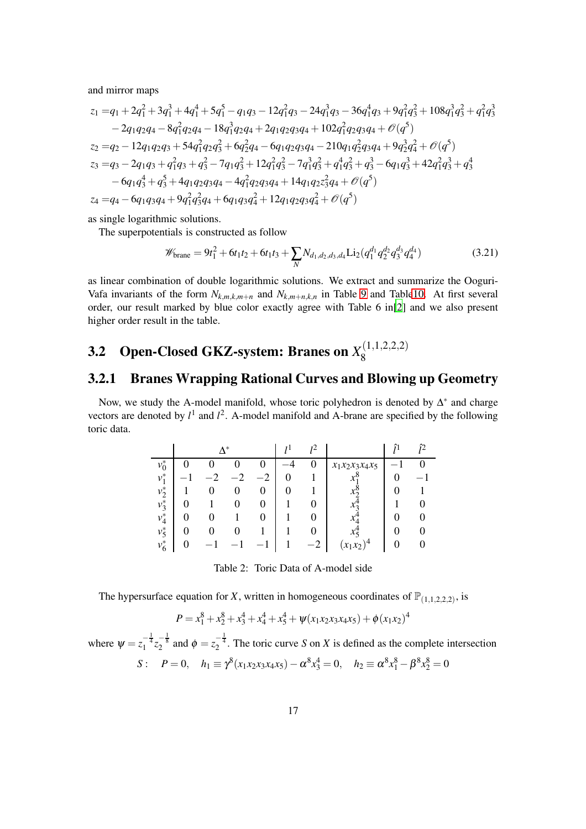and mirror maps

$$
z_1 = q_1 + 2q_1^2 + 3q_1^3 + 4q_1^4 + 5q_1^5 - q_1q_3 - 12q_1^2q_3 - 24q_1^3q_3 - 36q_1^4q_3 + 9q_1^2q_3^2 + 108q_1^3q_3^2 + q_1^2q_3^3
$$
  
\n
$$
- 2q_1q_2q_4 - 8q_1^2q_2q_4 - 18q_1^3q_2q_4 + 2q_1q_2q_3q_4 + 102q_1^2q_2q_3q_4 + \mathcal{O}(q^5)
$$
  
\n
$$
z_2 = q_2 - 12q_1q_2q_3 + 54q_1^2q_2q_3^2 + 6q_2^2q_4 - 6q_1q_2q_3q_4 - 210q_1q_2^2q_3q_4 + 9q_2^3q_4^2 + \mathcal{O}(q^5)
$$
  
\n
$$
z_3 = q_3 - 2q_1q_3 + q_1^2q_3 + q_3^2 - 7q_1q_3^2 + 12q_1^2q_3^2 - 7q_1^3q_3^2 + q_1^4q_3^2 + q_3^3 - 6q_1q_3^3 + 42q_1^2q_3^3 + q_3^4
$$
  
\n
$$
- 6q_1q_3^4 + q_3^5 + 4q_1q_2q_3q_4 - 4q_1^2q_2q_3q_4 + 14q_1q_2z_3^2q_4 + \mathcal{O}(q^5)
$$
  
\n
$$
z_4 = q_4 - 6q_1q_3q_4 + 9q_1^2q_3^2q_4 + 6q_1q_3q_4^2 + 12q_1q_2q_3q_4^2 + \mathcal{O}(q^5)
$$

as single logarithmic solutions.

The superpotentials is constructed as follow

$$
\mathscr{W}_{\text{brane}} = 9t_1^2 + 6t_1t_2 + 6t_1t_3 + \sum_N N_{d_1,d_2,d_3,d_4} \text{Li}_2(q_1^{d_1}q_2^{d_2}q_3^{d_3}q_4^{d_4})
$$
(3.21)

as linear combination of double logarithmic solutions. We extract and summarize the Ooguri-Vafa invariants of the form  $N_{k,m,k,m+n}$  and  $N_{k,m+n,k,n}$  in Table [9](#page-41-0) and Tabl[e10.](#page-42-1) At first several order, our result marked by blue color exactly agree with Table 6 in[\[2](#page-50-1)] and we also present higher order result in the table.

#### <span id="page-16-0"></span>**3.2** Open-Closed GKZ-system: Branes on  $X_8^{(1,1,2,2,2)}$

#### <span id="page-16-1"></span>3.2.1 Branes Wrapping Rational Curves and Blowing up Geometry

Now, we study the A-model manifold, whose toric polyhedron is denoted by  $\Delta^*$  and charge vectors are denoted by  $l^1$  and  $l^2$ . A-model manifold and A-brane are specified by the following toric data.

|         | $\Lambda^*$ |      | 12           |                        | ے ا |
|---------|-------------|------|--------------|------------------------|-----|
| $v_0^*$ |             |      | 0            | $x_1x_2x_3x_4x_5$      |     |
| $v_1^*$ |             | $-2$ |              | $\mathcal{X}^{\prime}$ |     |
| $v_2^*$ | 0           | 0    |              |                        |     |
| $v_3^*$ |             |      |              | $\chi_2$               |     |
| $v_4^*$ |             |      |              |                        |     |
| $v_5^*$ |             |      | $\mathbf{0}$ | $x_{5}$                |     |
| $v_6^*$ |             |      | -2           | ١4<br>$x_1x_2$         |     |

Table 2: Toric Data of A-model side

The hypersurface equation for *X*, written in homogeneous coordinates of  $\mathbb{P}_{(1,1,2,2,2)}$ , is

$$
P = x_1^8 + x_2^8 + x_3^4 + x_4^4 + x_5^4 + \psi(x_1x_2x_3x_4x_5) + \phi(x_1x_2)^4
$$

where  $\psi = z_1^{-\frac{1}{4}} z_2^{-\frac{1}{8}}$  and  $\phi = z_2^{-\frac{1}{4}}$ . The toric curve *S* on *X* is defined as the complete intersection  $S: P = 0, h_1 \equiv \gamma^8(x_1x_2x_3x_4x_5) - \alpha^8 x_3^4 = 0, h_2 \equiv \alpha^8 x_1^8 - \beta^8 x_2^8 = 0$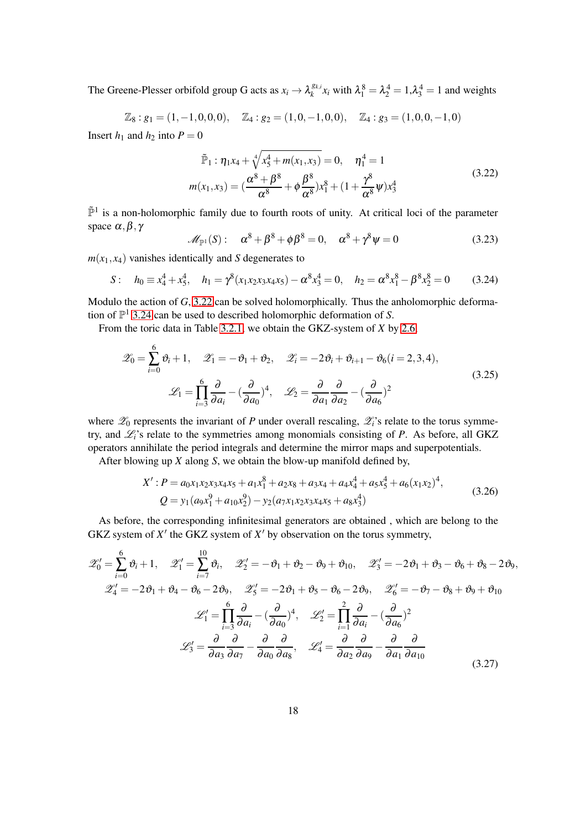The Greene-Plesser orbifold group G acts as  $x_i \rightarrow \lambda_k^{g_{k,i}}$  $\lambda_k^{g_{k,i}} x_i$  with  $\lambda_1^8 = \lambda_2^4 = 1, \lambda_3^4 = 1$  and weights

$$
\mathbb{Z}_8: g_1 = (1, -1, 0, 0, 0), \quad \mathbb{Z}_4: g_2 = (1, 0, -1, 0, 0), \quad \mathbb{Z}_4: g_3 = (1, 0, 0, -1, 0)
$$

Insert  $h_1$  and  $h_2$  into  $P = 0$ 

<span id="page-17-0"></span>
$$
\tilde{\mathbb{P}}_1 : \eta_1 x_4 + \sqrt[4]{x_5^4 + m(x_1, x_3)} = 0, \quad \eta_1^4 = 1
$$
\n
$$
m(x_1, x_3) = \left(\frac{\alpha^8 + \beta^8}{\alpha^8} + \phi \frac{\beta^8}{\alpha^8}\right) x_1^8 + \left(1 + \frac{\gamma^8}{\alpha^8} \psi\right) x_3^4
$$
\n(3.22)

 $\mathbb{P}^1$  is a non-holomorphic family due to fourth roots of unity. At critical loci of the parameter space  $\alpha, \beta, \gamma$ 

$$
\mathscr{M}_{\mathbb{P}^1}(S): \quad \alpha^8 + \beta^8 + \phi \beta^8 = 0, \quad \alpha^8 + \gamma^8 \psi = 0 \tag{3.23}
$$

 $m(x_1, x_4)$  vanishes identically and *S* degenerates to

<span id="page-17-1"></span>
$$
S: \quad h_0 \equiv x_4^4 + x_5^4, \quad h_1 = \gamma^8 (x_1 x_2 x_3 x_4 x_5) - \alpha^8 x_3^4 = 0, \quad h_2 = \alpha^8 x_1^8 - \beta^8 x_2^8 = 0 \tag{3.24}
$$

Modulo the action of *G*, [3.22](#page-17-0) can be solved holomorphically. Thus the anholomorphic deformation of P <sup>1</sup> [3.24](#page-17-1) can be used to described holomorphic deformation of *S*.

From the toric data in Table [3.2.1,](#page-16-1) we obtain the GKZ-system of *X* by [2.6,](#page-6-2)

$$
\mathscr{Z}_0 = \sum_{i=0}^6 \vartheta_i + 1, \quad \mathscr{Z}_1 = -\vartheta_1 + \vartheta_2, \quad \mathscr{Z}_i = -2\vartheta_i + \vartheta_{i+1} - \vartheta_6 (i = 2, 3, 4),
$$
  

$$
\mathscr{L}_1 = \prod_{i=3}^6 \frac{\partial}{\partial a_i} - \left(\frac{\partial}{\partial a_0}\right)^4, \quad \mathscr{L}_2 = \frac{\partial}{\partial a_1} \frac{\partial}{\partial a_2} - \left(\frac{\partial}{\partial a_6}\right)^2
$$
(3.25)

where  $\mathscr{Z}_0$  represents the invariant of *P* under overall rescaling,  $\mathscr{Z}_i$ 's relate to the torus symmetry, and  $\mathcal{L}_i$ 's relate to the symmetries among monomials consisting of *P*. As before, all GKZ operators annihilate the period integrals and determine the mirror maps and superpotentials.

After blowing up *X* along *S*, we obtain the blow-up manifold defined by,

$$
X': P = a_0x_1x_2x_3x_4x_5 + a_1x_1^8 + a_2x_8 + a_3x_4 + a_4x_4^4 + a_5x_5^4 + a_6(x_1x_2)^4,
$$
  
\n
$$
Q = y_1(a_9x_1^9 + a_{10}x_2^9) - y_2(a_7x_1x_2x_3x_4x_5 + a_8x_3^4)
$$
\n(3.26)

As before, the corresponding infinitesimal generators are obtained , which are belong to the GKZ system of  $X'$  the GKZ system of  $X'$  by observation on the torus symmetry,

<span id="page-17-2"></span>
$$
\mathcal{Z}'_0 = \sum_{i=0}^6 \vartheta_i + 1, \quad \mathcal{Z}'_1 = \sum_{i=7}^{10} \vartheta_i, \quad \mathcal{Z}'_2 = -\vartheta_1 + \vartheta_2 - \vartheta_9 + \vartheta_{10}, \quad \mathcal{Z}'_3 = -2\vartheta_1 + \vartheta_3 - \vartheta_6 + \vartheta_8 - 2\vartheta_9,
$$
  

$$
\mathcal{Z}'_4 = -2\vartheta_1 + \vartheta_4 - \vartheta_6 - 2\vartheta_9, \quad \mathcal{Z}'_5 = -2\vartheta_1 + \vartheta_5 - \vartheta_6 - 2\vartheta_9, \quad \mathcal{Z}'_6 = -\vartheta_7 - \vartheta_8 + \vartheta_9 + \vartheta_{10}
$$
  

$$
\mathcal{L}'_1 = \prod_{i=3}^6 \frac{\partial}{\partial a_i} - \left(\frac{\partial}{\partial a_0}\right)^4, \quad \mathcal{L}'_2 = \prod_{i=1}^2 \frac{\partial}{\partial a_i} - \left(\frac{\partial}{\partial a_6}\right)^2
$$
  

$$
\mathcal{L}'_3 = \frac{\partial}{\partial a_3} \frac{\partial}{\partial a_7} - \frac{\partial}{\partial a_0} \frac{\partial}{\partial a_8}, \quad \mathcal{L}'_4 = \frac{\partial}{\partial a_2} \frac{\partial}{\partial a_9} - \frac{\partial}{\partial a_1} \frac{\partial}{\partial a_{10}}
$$
(3.27)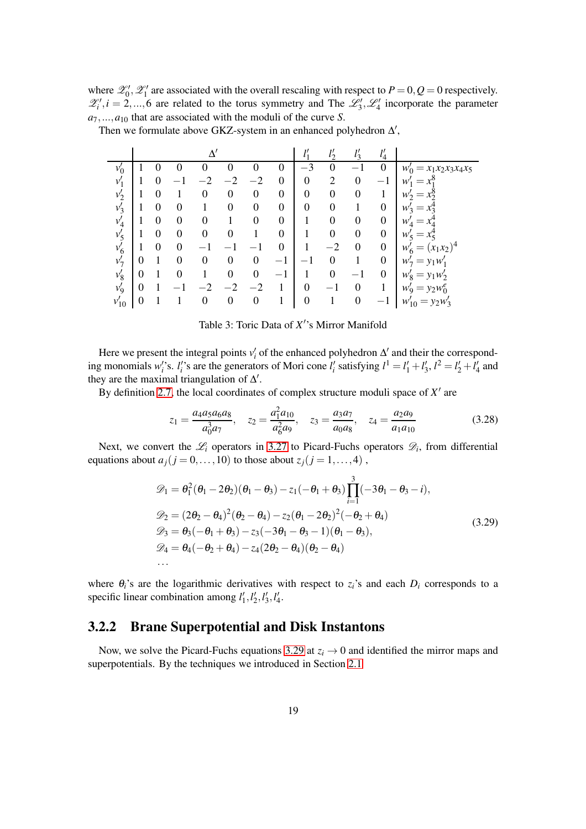where  $\mathcal{Z}'_0$ ,  $\mathcal{Z}'_1$  are associated with the overall rescaling with respect to  $P = 0$ ,  $Q = 0$  respectively.  $\mathscr{Z}'_i, i = 2,...,6$  are related to the torus symmetry and The  $\mathscr{L}'_3, \mathscr{L}'_4$  incorporate the parameter  $a_7, \ldots, a_{10}$  that are associated with the moduli of the curve *S*.

Then we formulate above GKZ-system in an enhanced polyhedron  $\Delta'$ ,

|           |                  |   |   | $\Delta'$        |                  |                  |                          | 11<br>$\iota$    |                  | 11<br>$\iota$    | $\iota_4$                     |                                     |
|-----------|------------------|---|---|------------------|------------------|------------------|--------------------------|------------------|------------------|------------------|-------------------------------|-------------------------------------|
| $v'_0$    |                  | 0 | 0 | 0                | $\theta$         | O                | 0                        | $-3$             | $\theta$         |                  | 0                             | $= x_1 x_2 x_3 x_4 x_5$<br>$W_0'$   |
| $v_1'$    |                  | 0 |   |                  |                  | $^{-2}$          | $\boldsymbol{0}$         | $\overline{0}$   | $\overline{2}$   | $\overline{0}$   | $\overline{\phantom{0}}$<br>ı | w<br>$=$                            |
| $v_2'$    |                  | 0 |   | $\boldsymbol{0}$ | $\boldsymbol{0}$ | 0                | $\boldsymbol{0}$         | 0                | 0                | $\boldsymbol{0}$ |                               | $W_2$<br>$=$                        |
| $v_3'$    |                  | 0 | 0 |                  | $\theta$         | 0                | $\boldsymbol{0}$         | 0                | $\boldsymbol{0}$ |                  | $\boldsymbol{0}$              | $W_2$<br>$=$                        |
| $v_4'$    |                  | 0 | 0 | 0                |                  | $\theta$         | $\boldsymbol{0}$         |                  | 0                | $\theta$         | $\boldsymbol{0}$              | w<br>$=$                            |
| $v'_5$    |                  | 0 | 0 | $\theta$         | $\theta$         |                  | $\boldsymbol{0}$         |                  | $\boldsymbol{0}$ | $\theta$         | $\boldsymbol{0}$              | w<br>$=$                            |
| $v'_6$    |                  | 0 | 0 |                  |                  |                  | $\overline{0}$           |                  | $^{-2}$          | $\Omega$         | $\boldsymbol{0}$              | $(x_1x_2)^4$<br>w<br>$=$            |
| $v'_7$    | $\theta$         |   | 0 | $\theta$         | $\Omega$         | $\boldsymbol{0}$ |                          |                  | 0                |                  | $\boldsymbol{0}$              | $y_1w'_1$<br>$W_{\mathcal{I}}$<br>= |
| $v_8'$    | $\boldsymbol{0}$ |   | 0 |                  | $\boldsymbol{0}$ | 0                | $\overline{\phantom{0}}$ |                  | $\boldsymbol{0}$ |                  | $\boldsymbol{0}$              | $y_1w_2'$<br>$W_{\mathcal{Q}}$<br>= |
| $v_9'$    | $\boldsymbol{0}$ |   |   |                  | $-2$             | $-2$             |                          | $\overline{0}$   | $\qquad \qquad$  | $\boldsymbol{0}$ |                               | $= y_2 w_0^e$<br>$W_{\mathbf{Q}}$   |
| $v_{10}'$ | 0                |   |   | 0                | $\boldsymbol{0}$ | $\boldsymbol{0}$ |                          | $\boldsymbol{0}$ |                  | $\boldsymbol{0}$ |                               | $W'_{10}$<br>$= y_2w'_3$            |

Table 3: Toric Data of *X* ′ 's Mirror Manifold

Here we present the integral points  $v_i'$  of the enhanced polyhedron  $\Delta'$  and their the corresponding monomials w''s.  $l_i$ 's are the generators of Mori cone  $l_i$ ' satisfying  $l^1 = l_1' + l_2', l^2 = l_2' + l_4'$  and they are the maximal triangulation of  $\Delta'$ .

By definition [2.7,](#page-6-1) the local coordinates of complex structure moduli space of  $X'$  are

$$
z_1 = \frac{a_4 a_5 a_6 a_8}{a_0^3 a_7}, \quad z_2 = \frac{a_1^2 a_{10}}{a_6^2 a_9}, \quad z_3 = \frac{a_3 a_7}{a_0 a_8}, \quad z_4 = \frac{a_2 a_9}{a_1 a_{10}}
$$
(3.28)

Next, we convert the  $\mathcal{L}_i$  operators in [3.27](#page-17-2) to Picard-Fuchs operators  $\mathcal{D}_i$ , from differential equations about  $a_j$  ( $j = 0, ..., 10$ ) to those about  $z_j$  ( $j = 1, ..., 4$ ),

<span id="page-18-1"></span>
$$
\mathcal{D}_1 = \theta_1^2 (\theta_1 - 2\theta_2)(\theta_1 - \theta_3) - z_1(-\theta_1 + \theta_3) \prod_{i=1}^3 (-3\theta_1 - \theta_3 - i), \n\mathcal{D}_2 = (2\theta_2 - \theta_4)^2 (\theta_2 - \theta_4) - z_2(\theta_1 - 2\theta_2)^2 (-\theta_2 + \theta_4) \n\mathcal{D}_3 = \theta_3(-\theta_1 + \theta_3) - z_3(-3\theta_1 - \theta_3 - 1)(\theta_1 - \theta_3), \n\mathcal{D}_4 = \theta_4(-\theta_2 + \theta_4) - z_4(2\theta_2 - \theta_4)(\theta_2 - \theta_4)
$$
\n... (3.29)

<span id="page-18-0"></span>where  $\theta_i$ 's are the logarithmic derivatives with respect to  $z_i$ 's and each  $D_i$  corresponds to a specific linear combination among  $l'_1$ ,  $l'_2$ ,  $l'_3$ ,  $l'_4$ .

#### 3.2.2 Brane Superpotential and Disk Instantons

Now, we solve the Picard-Fuchs equations [3.29](#page-18-1) at  $z_i \rightarrow 0$  and identified the mirror maps and superpotentials. By the techniques we introduced in Section [2.1](#page-4-1)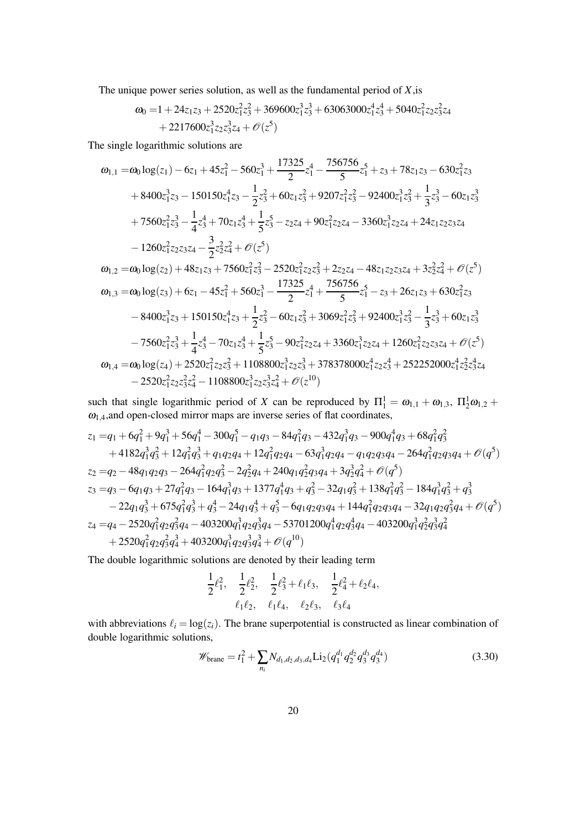The unique power series solution, as well as the fundamental period of *X*,is

$$
\omega_0 = 1 + 24z_1z_3 + 2520z_1^2z_3^2 + 369600z_1^3z_3^3 + 63063000z_1^4z_3^4 + 5040z_1^2z_2z_3^2z_4 + 2217600z_1^3z_2z_3^3z_4 + \mathcal{O}(z^5)
$$

The single logarithmic solutions are

$$
\begin{aligned} \omega_{1,1}=&\omega_0\log(z_1)-6z_1+45z_1^2-560z_1^3+\frac{17325}{2}z_1^4-\frac{756756}{5}z_1^5+z_3+78z_1z_3-630z_1^2z_3\\&+8400z_1^3z_3-150150z_1^4z_3-\frac{1}{2}z_3^2+60z_1z_3^2+9207z_1^2z_3^2-92400z_1^3z_3^2+\frac{1}{3}z_3^3-60z_1z_3^3\\&+7560z_1^2z_3^3-\frac{1}{4}z_3^4+70z_1z_3^4+\frac{1}{5}z_3^5-z_2z_4+90z_1^2z_2z_4-3360z_1^3z_2z_4+24z_1z_2z_3z_4\\&-1260z_1^2z_2z_3z_4-\frac{3}{2}z_2^2z_4^2+\mathcal{O}(z^5)\\ \omega_{1,2}=&\omega_0\log(z_2)+48z_1z_3+7560z_1^2z_3^2-2520z_1^2z_2z_3^2+2z_2z_4-48z_1z_2z_3z_4+3z_2^2z_4^2+\mathcal{O}(z^5)\\ \omega_{1,3}=&\omega_0\log(z_3)+6z_1-45z_1^2+560z_1^3-\frac{17325}{2}z_1^4+\frac{756756}{5}z_1^5-z_3+26z_1z_3+630z_1^2z_3\\&-8400z_1^3z_3+150150z_1^4z_3+\frac{1}{2}z_3^2-60z_1z_3^2+3069z_1^2z_3^2+92400z_1^3z_3^2-\frac{1}{3}z_3^3+60z_1z_3^3\\&-7560z_1^2z_3^3+\frac{1}{4}z_3^4-70z_1z_3^4+\frac{1}{5}z_3^5-90z_1^2z_2z_4+3360z_1^3z_2z_4+1260z_1^2
$$

such that single logarithmic period of *X* can be reproduced by  $\Pi_1^1 = \omega_{1,1} + \omega_{1,3}$ ,  $\Pi_2^1 \omega_{1,2} + \omega_{2,3}$  $\omega_{1,4}$ , and open-closed mirror maps are inverse series of flat coordinates,

$$
z_1 = q_1 + 6q_1^2 + 9q_1^3 + 56q_1^4 - 300q_1^5 - q_1q_3 - 84q_1^2q_3 - 432q_1^3q_3 - 900q_1^4q_3 + 68q_1^2q_3^2
$$
  
\n
$$
+ 4182q_1^3q_3^2 + 12q_1^2q_3^3 + q_1q_2q_4 + 12q_1^2q_2q_4 - 63q_1^3q_2q_4 - q_1q_2q_3q_4 - 264q_1^2q_2q_3q_4 + \mathcal{O}(q^5)
$$
  
\n
$$
z_2 = q_2 - 48q_1q_2q_3 - 264q_1^2q_2q_3^2 - 2q_2^2q_4 + 240q_1q_2^2q_3q_4 + 3q_2^3q_4^2 + \mathcal{O}(q^5)
$$
  
\n
$$
z_3 = q_3 - 6q_1q_3 + 27q_1^2q_3 - 164q_1^3q_3 + 1377q_1^4q_3 + q_3^2 - 32q_1q_3^2 + 138q_1^2q_3^2 - 184q_1^3q_3^2 + q_3^3
$$
  
\n
$$
- 22q_1q_3^3 + 675q_1^2q_3^3 + q_3^4 - 24q_1q_3^4 + q_3^5 - 6q_1q_2q_3q_4 + 144q_1^2q_2q_3q_4 - 32q_1q_2q_3^2q_4 + \mathcal{O}(q^5)
$$
  
\n
$$
z_4 = q_4 - 2520q_1^2q_2q_3^2q_4 - 403200q_1^3q_2q_3^3q_4 - 53701200q_1^4q_2q_3^4q_4 - 403200q_1^3q_2^2q_3^3q_4^2
$$
  
\n
$$
+ 2520q_1^2q_2q_3^2q_4^3 + 403200q_1^3q_2q_3^3q_4^3 + \mathcal
$$

The double logarithmic solutions are denoted by their leading term

$$
\frac{1}{2}\ell_1^2, \quad \frac{1}{2}\ell_2^2, \quad \frac{1}{2}\ell_3^2 + \ell_1\ell_3, \quad \frac{1}{2}\ell_4^2 + \ell_2\ell_4, \ell_1\ell_2, \quad \ell_1\ell_4, \quad \ell_2\ell_3, \quad \ell_3\ell_4
$$

with abbreviations  $\ell_i = \log(z_i)$ . The brane superpotential is constructed as linear combination of double logarithmic solutions,

$$
\mathscr{W}_{\text{brane}} = t_1^2 + \sum_{n_i} N_{d_1, d_2, d_3, d_4} \text{Li}_2(q_1^{d_1} q_2^{d_2} q_3^{d_3} q_3^{d_4})
$$
\n(3.30)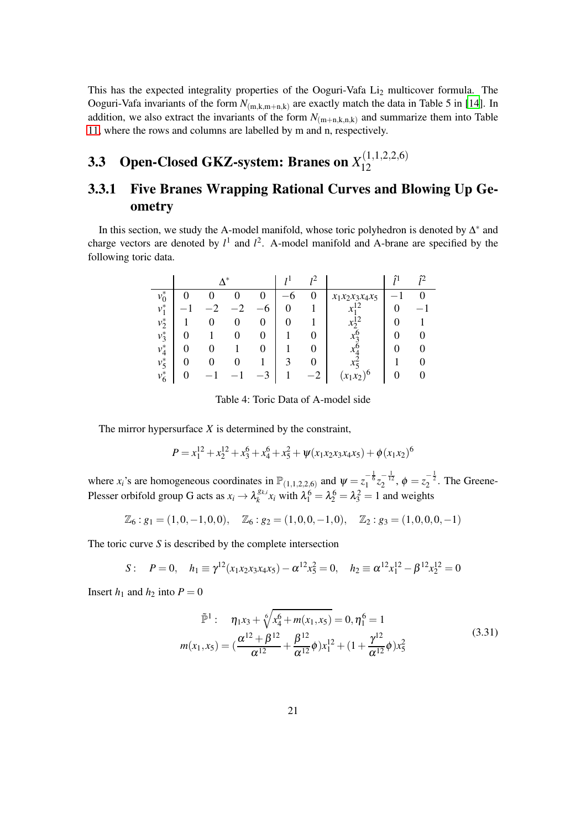This has the expected integrality properties of the Ooguri-Vafa Li<sub>2</sub> multicover formula. The Ooguri-Vafa invariants of the form  $N_{(m,k,m+n,k)}$  are exactly match the data in Table 5 in [\[14\]](#page-50-14). In addition, we also extract the invariants of the form  $N_{(m+n,k,n,k)}$  and summarize them into Table [11,](#page-43-1) where the rows and columns are labelled by m and n, respectively.

#### <span id="page-20-0"></span>**3.3** Open-Closed GKZ-system: Branes on  $X_{12}^{(1,1,2,2,6)}$ 12

### <span id="page-20-1"></span>3.3.1 Five Branes Wrapping Rational Curves and Blowing Up Geometry

In this section, we study the A-model manifold, whose toric polyhedron is denoted by  $\Delta^*$  and charge vectors are denoted by  $l^1$  and  $l^2$ . A-model manifold and A-brane are specified by the following toric data.

|         |   | $\mathbf{A}^*$ |   | c |                       |  |
|---------|---|----------------|---|---|-----------------------|--|
| $v_0^*$ |   |                |   | 0 | $x_1x_2x_3x_4x_5$     |  |
| $v_1^*$ |   |                | 6 |   | л                     |  |
| $v_2^*$ | O |                |   |   |                       |  |
| $v_3^*$ |   |                |   |   |                       |  |
| $v_4^*$ |   |                |   |   |                       |  |
| $v_5^*$ |   |                |   |   |                       |  |
| $v_6^*$ |   |                |   |   | $\lambda$<br>$x_1x_2$ |  |

Table 4: Toric Data of A-model side

The mirror hypersurface *X* is determined by the constraint,

$$
P = x_1^{12} + x_2^{12} + x_3^6 + x_4^6 + x_5^2 + \psi(x_1x_2x_3x_4x_5) + \phi(x_1x_2)^6
$$

where  $x_i$ 's are homogeneous coordinates in  $\mathbb{P}_{(1,1,2,2,6)}$  and  $\psi = z_1^{-\frac{1}{6}} z_2^{-\frac{1}{12}}$ ,  $\phi = z_2^{-\frac{1}{2}}$ . The Greene-Plesser orbifold group G acts as  $x_i \to \lambda_k^{g_{k,i}}$  $\lambda_k^{g_{k,i}} x_i$  with  $\lambda_1^6 = \lambda_2^6 = \lambda_3^2 = 1$  and weights

$$
\mathbb{Z}_6: g_1=(1,0,-1,0,0), \quad \mathbb{Z}_6: g_2=(1,0,0,-1,0), \quad \mathbb{Z}_2: g_3=(1,0,0,0,-1)
$$

The toric curve *S* is described by the complete intersection

$$
S: \quad P=0, \quad h_1 \equiv \gamma^{12}(x_1x_2x_3x_4x_5) - \alpha^{12}x_5^2 = 0, \quad h_2 \equiv \alpha^{12}x_1^{12} - \beta^{12}x_2^{12} = 0
$$

Insert  $h_1$  and  $h_2$  into  $P = 0$ 

<span id="page-20-2"></span>
$$
\tilde{\mathbb{P}}^1: \quad \eta_1 x_3 + \sqrt[6]{x_4^6 + m(x_1, x_5)} = 0, \eta_1^6 = 1
$$
\n
$$
m(x_1, x_5) = \left(\frac{\alpha^{12} + \beta^{12}}{\alpha^{12}} + \frac{\beta^{12}}{\alpha^{12}}\phi\right) x_1^{12} + \left(1 + \frac{\gamma^{12}}{\alpha^{12}}\phi\right) x_5^2
$$
\n
$$
(3.31)
$$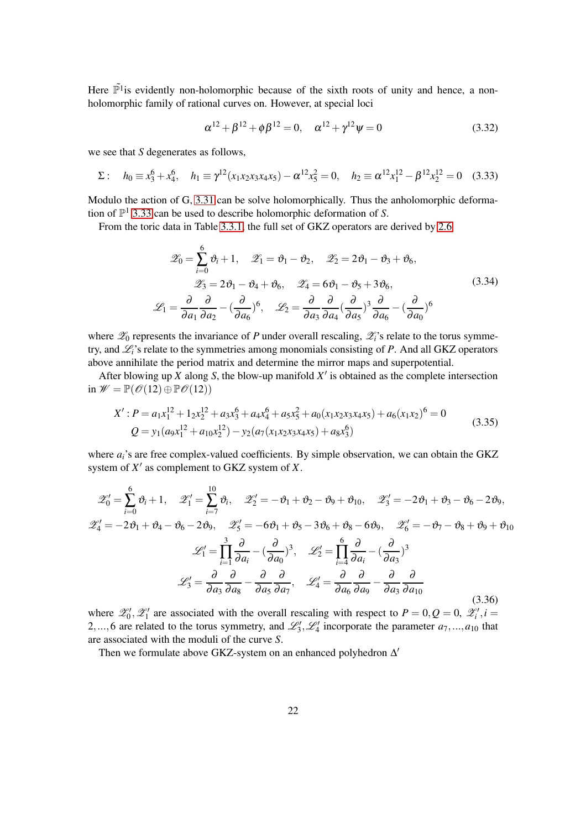Here  $\tilde{\mathbb{P}}^1$  is evidently non-holomorphic because of the sixth roots of unity and hence, a nonholomorphic family of rational curves on. However, at special loci

$$
\alpha^{12} + \beta^{12} + \phi \beta^{12} = 0, \quad \alpha^{12} + \gamma^{12} \psi = 0 \tag{3.32}
$$

we see that *S* degenerates as follows,

<span id="page-21-0"></span>
$$
\Sigma: \quad h_0 \equiv x_3^6 + x_4^6, \quad h_1 \equiv \gamma^{12} (x_1 x_2 x_3 x_4 x_5) - \alpha^{12} x_5^2 = 0, \quad h_2 \equiv \alpha^{12} x_1^{12} - \beta^{12} x_2^{12} = 0 \quad (3.33)
$$

Modulo the action of G, [3.31](#page-20-2) can be solve holomorphically. Thus the anholomorphic deformation of  $\mathbb{P}^1$  [3.33](#page-21-0) can be used to describe holomorphic deformation of *S*.

From the toric data in Table [3.3.1,](#page-20-1) the full set of GKZ operators are derived by [2.6](#page-6-2)

$$
\mathcal{Z}_0 = \sum_{i=0}^6 \vartheta_i + 1, \quad \mathcal{Z}_1 = \vartheta_1 - \vartheta_2, \quad \mathcal{Z}_2 = 2\vartheta_1 - \vartheta_3 + \vartheta_6,
$$
  

$$
\mathcal{Z}_3 = 2\vartheta_1 - \vartheta_4 + \vartheta_6, \quad \mathcal{Z}_4 = 6\vartheta_1 - \vartheta_5 + 3\vartheta_6,
$$
  

$$
\mathcal{L}_1 = \frac{\partial}{\partial a_1} \frac{\partial}{\partial a_2} - \left(\frac{\partial}{\partial a_6}\right)^6, \quad \mathcal{L}_2 = \frac{\partial}{\partial a_3} \frac{\partial}{\partial a_4} \left(\frac{\partial}{\partial a_5}\right)^3 \frac{\partial}{\partial a_6} - \left(\frac{\partial}{\partial a_0}\right)^6
$$
  
(3.34)

where  $\mathscr{L}_0$  represents the invariance of *P* under overall rescaling,  $\mathscr{L}_i$ 's relate to the torus symmetry, and L*i*'s relate to the symmetries among monomials consisting of *P*. And all GKZ operators above annihilate the period matrix and determine the mirror maps and superpotential.

After blowing up  $X$  along  $S$ , the blow-up manifold  $X'$  is obtained as the complete intersection in  $\mathscr{W} = \mathbb{P}(\mathscr{O}(12) \oplus \mathbb{P} \mathscr{O}(12))$ 

$$
X': P = a_1 x_1^{12} + 1_2 x_2^{12} + a_3 x_3^6 + a_4 x_4^6 + a_5 x_5^2 + a_0 (x_1 x_2 x_3 x_4 x_5) + a_6 (x_1 x_2)^6 = 0
$$
  
\n
$$
Q = y_1 (a_9 x_1^{12} + a_{10} x_2^{12}) - y_2 (a_7 (x_1 x_2 x_3 x_4 x_5) + a_8 x_3^6)
$$
\n(3.35)

where  $a_i$ 's are free complex-valued coefficients. By simple observation, we can obtain the GKZ system of *X* ′ as complement to GKZ system of *X*.

<span id="page-21-1"></span>
$$
\mathscr{Z}'_0 = \sum_{i=0}^6 \vartheta_i + 1, \quad \mathscr{Z}'_1 = \sum_{i=7}^{10} \vartheta_i, \quad \mathscr{Z}'_2 = -\vartheta_1 + \vartheta_2 - \vartheta_9 + \vartheta_{10}, \quad \mathscr{Z}'_3 = -2\vartheta_1 + \vartheta_3 - \vartheta_6 - 2\vartheta_9,
$$
  

$$
\mathscr{Z}'_4 = -2\vartheta_1 + \vartheta_4 - \vartheta_6 - 2\vartheta_9, \quad \mathscr{Z}'_5 = -6\vartheta_1 + \vartheta_5 - 3\vartheta_6 + \vartheta_8 - 6\vartheta_9, \quad \mathscr{Z}'_6 = -\vartheta_7 - \vartheta_8 + \vartheta_9 + \vartheta_{10}
$$
  

$$
\mathscr{L}'_1 = \prod_{i=1}^3 \frac{\partial}{\partial a_i} - \left(\frac{\partial}{\partial a_0}\right)^3, \quad \mathscr{L}'_2 = \prod_{i=4}^6 \frac{\partial}{\partial a_i} - \left(\frac{\partial}{\partial a_3}\right)^3
$$
  

$$
\mathscr{L}'_3 = \frac{\partial}{\partial a_3} \frac{\partial}{\partial a_8} - \frac{\partial}{\partial a_5} \frac{\partial}{\partial a_7}, \quad \mathscr{L}'_4 = \frac{\partial}{\partial a_6} \frac{\partial}{\partial a_9} - \frac{\partial}{\partial a_3} \frac{\partial}{\partial a_{10}}
$$
(3.36)

where  $\mathscr{L}'_0$ ,  $\mathscr{L}'_1$  are associated with the overall rescaling with respect to  $P = 0, Q = 0, \mathscr{L}'_i, i =$ 2,...,6 are related to the torus symmetry, and  $\mathcal{L}'_3$ ,  $\mathcal{L}'_4$  incorporate the parameter  $a_7$ ,..., $a_{10}$  that are associated with the moduli of the curve *S*.

Then we formulate above GKZ-system on an enhanced polyhedron ∆'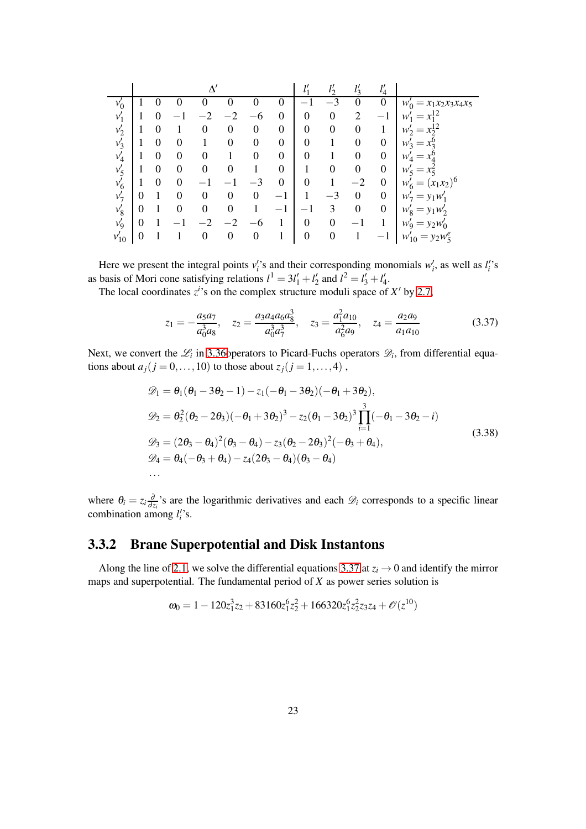|           |   |   |          |          |      |                  |                  | 11               |                  | 11<br>$\iota$    | $\iota_4$        |                                     |
|-----------|---|---|----------|----------|------|------------------|------------------|------------------|------------------|------------------|------------------|-------------------------------------|
| $v'_0$    |   |   |          |          |      |                  | $\theta$         |                  | $^{-3}$          |                  | O                | $= x_1 x_2 x_3 x_4 x_5$<br>$w'_0$   |
| $v_1'$    |   | 0 |          | .າ       | $-2$ | -6               | $\boldsymbol{0}$ | $\boldsymbol{0}$ | $\boldsymbol{0}$ | $\overline{2}$   | $-1$             | w<br>$=$                            |
| $v_2'$    |   | 0 |          | 0        | 0    | $\boldsymbol{0}$ | $\boldsymbol{0}$ | $\boldsymbol{0}$ | $\boldsymbol{0}$ | $\boldsymbol{0}$ |                  | $W_2'$<br>=                         |
| $v_3'$    |   | 0 | 0        |          | 0    | $\boldsymbol{0}$ | $\boldsymbol{0}$ | $\overline{0}$   |                  | $\boldsymbol{0}$ | $\boldsymbol{0}$ | $W_2$<br>$=$                        |
| $v_4'$    |   | 0 | $\Omega$ | $\Omega$ |      | 0                | $\boldsymbol{0}$ | $\overline{0}$   |                  | 0                | $\boldsymbol{0}$ | w<br>$=$                            |
| $v'_{5}$  |   | 0 | 0        | 0        | 0    |                  | $\boldsymbol{0}$ |                  | 0                | 0                | $\boldsymbol{0}$ | $W'_5$<br>$x_{\overline{5}}$<br>$=$ |
| $v'_6$    |   | 0 | 0        |          |      |                  | $\theta$         | $\boldsymbol{0}$ |                  | $^{-2}$          | $\theta$         | $(x_1x_2)^6$<br>W'<br>$=$<br>6      |
| $v'_7$    | 0 |   |          | $\theta$ | 0    | $\boldsymbol{0}$ | $^{-1}$          |                  | $-3$             | $\theta$         | $\boldsymbol{0}$ | $= y_1 w_1$<br>$W_7$                |
| $v_8'$    | 0 |   | 0        | 0        | 0    |                  | $-1$             |                  | 3                | $\theta$         | $\boldsymbol{0}$ | $W'_{\mathcal{Q}}$<br>$= y_1 w_2'$  |
| $v'_{9}$  | 0 |   |          |          |      |                  |                  | $\overline{0}$   | $\overline{0}$   |                  |                  | $= y_2 w'_0$<br>$W_{\mathbf{Q}}$    |
| $v_{10}'$ | 0 |   |          | 0        |      | $\boldsymbol{0}$ |                  | $\boldsymbol{0}$ | $\boldsymbol{0}$ |                  |                  | $= y_2 w_5^e$<br>$w'_{10}$          |

Here we present the integral points  $v_i$ 's and their corresponding monomials  $w_i$ , as well as  $l_i$ 's as basis of Mori cone satisfying relations  $l^1 = 3l'_1 + l'_2$  and  $l^2 = l'_3 + l'_4$ .

The local coordinates  $z^i$ 's on the complex structure moduli space of  $X'$  by [2.7,](#page-6-1)

<span id="page-22-1"></span>
$$
z_1 = -\frac{a_5 a_7}{a_0^3 a_8}, \quad z_2 = \frac{a_3 a_4 a_6 a_8^3}{a_0^3 a_7^3}, \quad z_3 = \frac{a_1^2 a_{10}}{a_6^2 a_9}, \quad z_4 = \frac{a_2 a_9}{a_1 a_{10}}
$$
(3.37)

Next, we convert the  $\mathcal{L}_i$  in 3.36 operators to Picard-Fuchs operators  $\mathcal{D}_i$ , from differential equations about  $a_j$  ( $j = 0, \ldots, 10$ ) to those about  $z_j$  ( $j = 1, \ldots, 4$ ),

$$
\mathcal{D}_1 = \theta_1(\theta_1 - 3\theta_2 - 1) - z_1(-\theta_1 - 3\theta_2)(-\theta_1 + 3\theta_2),
$$
  
\n
$$
\mathcal{D}_2 = \theta_2^2(\theta_2 - 2\theta_3)(-\theta_1 + 3\theta_2)^3 - z_2(\theta_1 - 3\theta_2)^3 \prod_{i=1}^3 (-\theta_1 - 3\theta_2 - i)
$$
  
\n
$$
\mathcal{D}_3 = (2\theta_3 - \theta_4)^2(\theta_3 - \theta_4) - z_3(\theta_2 - 2\theta_3)^2(-\theta_3 + \theta_4),
$$
  
\n
$$
\mathcal{D}_4 = \theta_4(-\theta_3 + \theta_4) - z_4(2\theta_3 - \theta_4)(\theta_3 - \theta_4)
$$
  
\n... (3.38)

<span id="page-22-0"></span>where  $\theta_i = z_i \frac{\partial}{\partial z_i}$  $\frac{\partial}{\partial z_i}$ 's are the logarithmic derivatives and each  $\mathscr{D}_i$  corresponds to a specific linear combination among  $l_i$ 's.

### 3.3.2 Brane Superpotential and Disk Instantons

Along the line of [2.1,](#page-4-1) we solve the differential equations [3.37](#page-22-1) at  $z_i \rightarrow 0$  and identify the mirror maps and superpotential. The fundamental period of *X* as power series solution is

$$
\omega_0 = 1 - 120z_1^3z_2 + 83160z_1^6z_2^2 + 166320z_1^6z_2^2z_3z_4 + \mathcal{O}(z^{10})
$$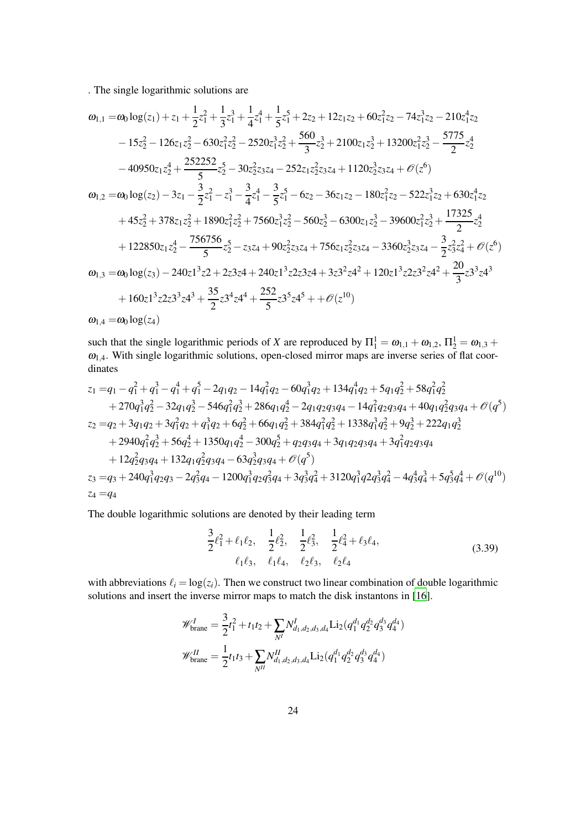. The single logarithmic solutions are

$$
\omega_{1,1} = \omega_0 \log(z_1) + z_1 + \frac{1}{2}z_1^2 + \frac{1}{3}z_1^3 + \frac{1}{4}z_1^4 + \frac{1}{5}z_1^5 + 2z_2 + 12z_1z_2 + 60z_1^2z_2 - 74z_1^3z_2 - 210z_1^4z_2 \n- 15z_2^2 - 126z_1z_2^2 - 630z_1^2z_2^2 - 2520z_1^3z_2^2 + \frac{560}{3}z_2^3 + 2100z_1z_2^3 + 13200z_1^2z_2^3 - \frac{5775}{2}z_2^4 \n- 40950z_1z_2^4 + \frac{252252}{5}z_2^5 - 30z_2^2z_3z_4 - 252z_1z_2^2z_3z_4 + 1120z_2^3z_3z_4 + \mathcal{O}(z^6) \n\omega_{1,2} = \omega_0 \log(z_2) - 3z_1 - \frac{3}{2}z_1^2 - z_1^3 - \frac{3}{4}z_1^4 - \frac{3}{5}z_1^5 - 6z_2 - 36z_1z_2 - 180z_1^2z_2 - 522z_1^3z_2 + 630z_1^4z_2 \n+ 45z_2^2 + 378z_1z_2^2 + 1890z_1^2z_2^2 + 7560z_1^3z_2^2 - 560z_2^3 - 6300z_1z_2^3 - 39600z_1^2z_2^3 + \frac{17325}{2}z_2^4 \n+ 122850z_1z_2^4 - \frac{756756}{5}z_2^5 - z_3z_4 + 90z_2^2z_3z_4 + 756z_1z_2^2z_3z_4 - 3360z_2^3z_3z_4 - \frac{3}{2}z_3^2z_4^2 + \mathcal{O}(z^6) \n\omega_{1,3} = \omega_0 \log(z_3) - 240z1^3z_2 + 2z3z_4 + 24
$$

such that the single logarithmic periods of *X* are reproduced by  $\Pi_1^1 = \omega_{1,1} + \omega_{1,2}$ ,  $\Pi_2^1 = \omega_{1,3} + \omega_{1,4}$  $\omega_{1,4}$ . With single logarithmic solutions, open-closed mirror maps are inverse series of flat coordinates

$$
z_1 = q_1 - q_1^2 + q_1^3 - q_1^4 + q_1^5 - 2q_1q_2 - 14q_1^2q_2 - 60q_1^3q_2 + 134q_1^4q_2 + 5q_1q_2^2 + 58q_1^2q_2^2
$$
  
+ 270q\_1^3q\_2^2 - 32q\_1q\_2^3 - 546q\_1^2q\_2^3 + 286q\_1q\_2^4 - 2q\_1q\_2q\_3q\_4 - 14q\_1^2q\_2q\_3q\_4 + 40q\_1q\_2^2q\_3q\_4 + \mathcal{O}(q^5)  
\n
$$
z_2 = q_2 + 3q_1q_2 + 3q_1^2q_2 + q_1^3q_2 + 6q_2^2 + 66q_1q_2^2 + 384q_1^2q_2^2 + 1338q_1^3q_2^2 + 9q_2^3 + 222q_1q_2^3
$$
  
+ 2940q\_1^2q\_2^3 + 56q\_2^4 + 1350q\_1q\_2^4 - 300q\_2^5 + q\_2q\_3q\_4 + 3q\_1q\_2q\_3q\_4 + 3q\_1^2q\_2q\_3q\_4  
+ 12q\_2^2q\_3q\_4 + 132q\_1q\_2^2q\_3q\_4 - 63q\_2^3q\_3q\_4 + \mathcal{O}(q^5)  
\n
$$
z_3 = q_3 + 240q_1^3q_2q_3 - 2q_3^2q_4 - 1200q_1^3q_2q_3^2q_4 + 3q_3^3q_4^2 + 3120q_1^3q_2q_3^3q_4^2 - 4q_3^4q_4^3 + 5q_3^5q_4^4 + \mathcal{O}(q^{10})
$$
  
\n
$$
z_4 = q_4
$$

The double logarithmic solutions are denoted by their leading term

$$
\frac{3}{2}\ell_1^2 + \ell_1\ell_2, \quad \frac{1}{2}\ell_2^2, \quad \frac{1}{2}\ell_3^2, \quad \frac{1}{2}\ell_4^2 + \ell_3\ell_4, \n\ell_1\ell_3, \quad \ell_1\ell_4, \quad \ell_2\ell_3, \quad \ell_2\ell_4
$$
\n(3.39)

with abbreviations  $\ell_i = \log(z_i)$ . Then we construct two linear combination of double logarithmic solutions and insert the inverse mirror maps to match the disk instantons in [\[16](#page-50-3)].

$$
\mathcal{W}_{\text{brane}}^I = \frac{3}{2}t_1^2 + t_1t_2 + \sum_{N^I} N_{d_1,d_2,d_3,d_4}^I \text{Li}_2(q_1^{d_1} q_2^{d_2} q_3^{d_3} q_4^{d_4})
$$
  

$$
\mathcal{W}_{\text{brane}}^{II} = \frac{1}{2}t_1t_3 + \sum_{N^II} N_{d_1,d_2,d_3,d_4}^{II} \text{Li}_2(q_1^{d_1} q_2^{d_2} q_3^{d_3} q_4^{d_4})
$$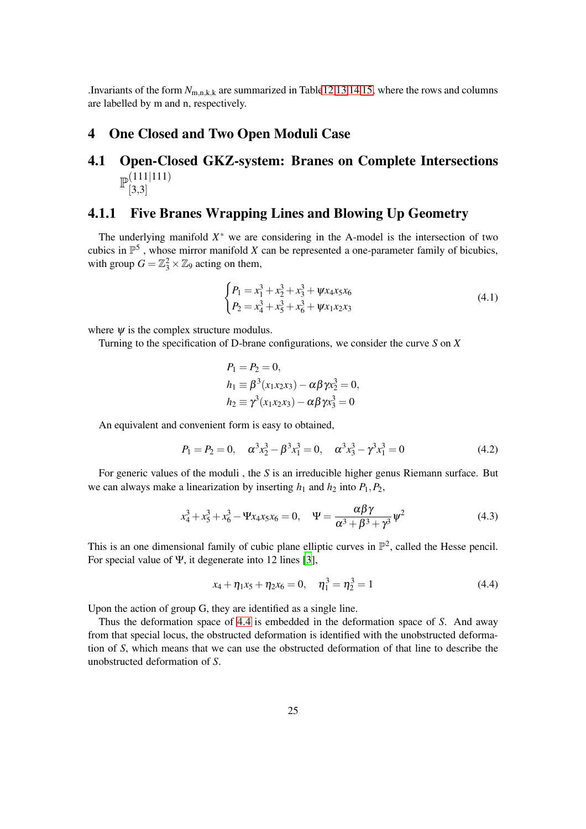<span id="page-24-0"></span>.Invariants of the form  $N_{m,n,k,k}$  are summarized in Tabl[e12](#page-44-0) [13](#page-45-0) [14](#page-46-0) [15,](#page-47-0) where the rows and columns are labelled by m and n, respectively.

#### <span id="page-24-1"></span>4 One Closed and Two Open Moduli Case

#### 4.1 Open-Closed GKZ-system: Branes on Complete Intersections  $\mathbb{P}^{(111|111)}_{\mathbb{P}^{(2,2)}}$  $[3,3]$

#### <span id="page-24-2"></span>4.1.1 Five Branes Wrapping Lines and Blowing Up Geometry

The underlying manifold  $X^*$  we are considering in the A-model is the intersection of two cubics in  $\mathbb{P}^5$ , whose mirror manifold *X* can be represented a one-parameter family of bicubics, with group  $G = \mathbb{Z}_3^2 \times \mathbb{Z}_9$  acting on them,

<span id="page-24-4"></span>
$$
\begin{cases}\nP_1 = x_1^3 + x_2^3 + x_3^3 + \psi x_4 x_5 x_6 \\
P_2 = x_4^3 + x_5^3 + x_6^3 + \psi x_1 x_2 x_3\n\end{cases} \tag{4.1}
$$

where  $\psi$  is the complex structure modulus.

Turning to the specification of D-brane configurations, we consider the curve *S* on *X*

$$
P_1 = P_2 = 0,
$$
  
\n
$$
h_1 \equiv \beta^3(x_1x_2x_3) - \alpha\beta\gamma x_2^3 = 0,
$$
  
\n
$$
h_2 \equiv \gamma^3(x_1x_2x_3) - \alpha\beta\gamma x_3^3 = 0
$$

An equivalent and convenient form is easy to obtained,

$$
P_1 = P_2 = 0, \quad \alpha^3 x_2^3 - \beta^3 x_1^3 = 0, \quad \alpha^3 x_3^3 - \gamma^3 x_1^3 = 0 \tag{4.2}
$$

For generic values of the moduli , the *S* is an irreducible higher genus Riemann surface. But we can always make a linearization by inserting  $h_1$  and  $h_2$  into  $P_1, P_2$ ,

$$
x_4^3 + x_5^3 + x_6^3 - \Psi x_4 x_5 x_6 = 0, \quad \Psi = \frac{\alpha \beta \gamma}{\alpha^3 + \beta^3 + \gamma^3} \psi^2
$$
 (4.3)

This is an one dimensional family of cubic plane elliptic curves in  $\mathbb{P}^2$ , called the Hesse pencil. For special value of Ψ, it degenerate into 12 lines [\[3](#page-50-15)],

<span id="page-24-3"></span>
$$
x_4 + \eta_1 x_5 + \eta_2 x_6 = 0, \quad \eta_1^3 = \eta_2^3 = 1 \tag{4.4}
$$

Upon the action of group G, they are identified as a single line.

Thus the deformation space of [4.4](#page-24-3) is embedded in the deformation space of *S*. And away from that special locus, the obstructed deformation is identified with the unobstructed deformation of *S*, which means that we can use the obstructed deformation of that line to describe the unobstructed deformation of *S*.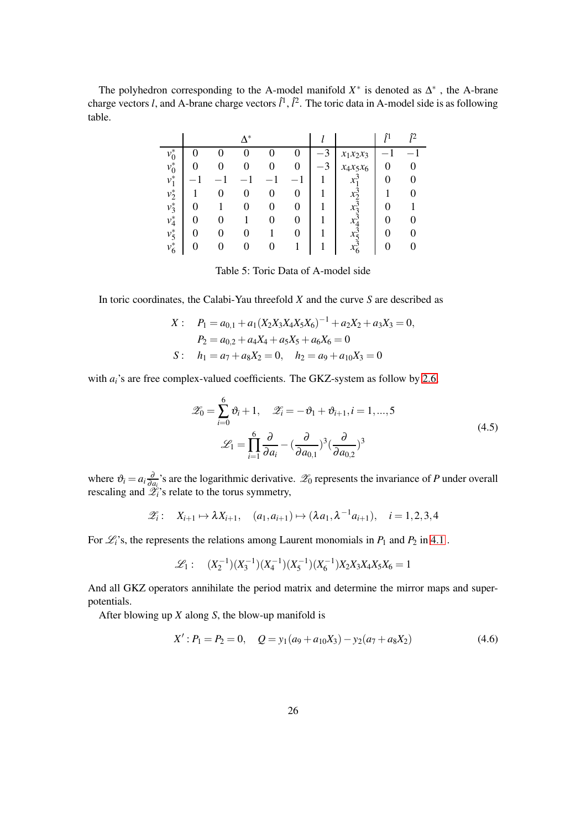The polyhedron corresponding to the A-model manifold  $X^*$  is denoted as  $\Delta^*$ , the A-brane charge vectors *l*, and A-brane charge vectors  $\hat{l}^1$ ,  $\hat{l}^2$ . The toric data in A-model side is as following table.

|         |   |   | $\Lambda^*$ |   |                  |      |             | î1 |  |
|---------|---|---|-------------|---|------------------|------|-------------|----|--|
| $v_0^*$ |   |   |             |   |                  | $-3$ | $x_1x_2x_3$ |    |  |
| $v_0^*$ |   |   |             |   | $\left( \right)$ |      | $x_4x_5x_6$ |    |  |
| $v_1^*$ |   |   |             |   |                  |      |             |    |  |
| $v_2^*$ |   | 0 | 0           | O |                  |      |             |    |  |
| $v_3^*$ | 0 |   |             | O |                  |      | $x_2$       |    |  |
| $v_4^*$ | 0 | 0 |             |   |                  |      |             |    |  |
| $v_5^*$ | 0 | 0 |             |   |                  |      |             |    |  |
| $v_6^*$ |   | 0 | 0           | O |                  |      | $x_6$       |    |  |

Table 5: Toric Data of A-model side

In toric coordinates, the Calabi-Yau threefold *X* and the curve *S* are described as

$$
X: \quad P_1 = a_{0,1} + a_1(X_2X_3X_4X_5X_6)^{-1} + a_2X_2 + a_3X_3 = 0,
$$
  
\n
$$
P_2 = a_{0,2} + a_4X_4 + a_5X_5 + a_6X_6 = 0
$$
  
\n
$$
S: \quad h_1 = a_7 + a_8X_2 = 0, \quad h_2 = a_9 + a_{10}X_3 = 0
$$

with  $a_i$ 's are free complex-valued coefficients. The GKZ-system as follow by [2.6,](#page-6-2)

$$
\mathscr{Z}_0 = \sum_{i=0}^6 \vartheta_i + 1, \quad \mathscr{Z}_i = -\vartheta_1 + \vartheta_{i+1}, i = 1, ..., 5
$$

$$
\mathscr{L}_1 = \prod_{i=1}^6 \frac{\partial}{\partial a_i} - \left(\frac{\partial}{\partial a_{0,1}}\right)^3 \left(\frac{\partial}{\partial a_{0,2}}\right)^3
$$
(4.5)

where  $\vartheta_i = a_i \frac{\partial}{\partial a_i}$  $\frac{\partial}{\partial a_i}$ 's are the logarithmic derivative.  $\mathscr{L}_0$  represents the invariance of *P* under overall rescaling and  $\mathcal{L}_i$ 's relate to the torus symmetry,

$$
\mathscr{Z}_i: \quad X_{i+1} \mapsto \lambda X_{i+1}, \quad (a_1, a_{i+1}) \mapsto (\lambda a_1, \lambda^{-1} a_{i+1}), \quad i = 1, 2, 3, 4
$$

For  $\mathcal{L}_i$ 's, the represents the relations among Laurent monomials in  $P_1$  and  $P_2$  in [4.1](#page-24-4).

$$
\mathcal{L}_1: (X_2^{-1})(X_3^{-1})(X_4^{-1})(X_5^{-1})(X_6^{-1})X_2X_3X_4X_5X_6 = 1
$$

And all GKZ operators annihilate the period matrix and determine the mirror maps and superpotentials.

After blowing up *X* along *S*, the blow-up manifold is

<span id="page-25-0"></span>
$$
X': P_1 = P_2 = 0, \quad Q = y_1(a_9 + a_{10}X_3) - y_2(a_7 + a_8X_2)
$$
\n
$$
(4.6)
$$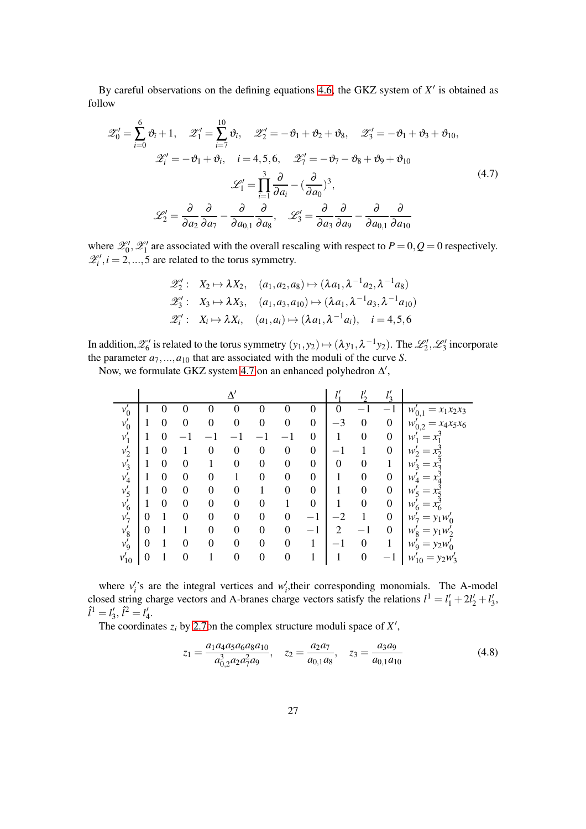By careful observations on the defining equations [4.6,](#page-25-0) the GKZ system of  $X'$  is obtained as follow

<span id="page-26-0"></span>
$$
\mathscr{Z}'_0 = \sum_{i=0}^6 \vartheta_i + 1, \quad \mathscr{Z}'_1 = \sum_{i=7}^{10} \vartheta_i, \quad \mathscr{Z}'_2 = -\vartheta_1 + \vartheta_2 + \vartheta_8, \quad \mathscr{Z}'_3 = -\vartheta_1 + \vartheta_3 + \vartheta_{10},
$$

$$
\mathscr{Z}'_i = -\vartheta_1 + \vartheta_i, \quad i = 4, 5, 6, \quad \mathscr{Z}'_1 = -\vartheta_7 - \vartheta_8 + \vartheta_9 + \vartheta_{10}
$$

$$
\mathscr{L}'_1 = \prod_{i=1}^3 \frac{\partial}{\partial a_i} - \left(\frac{\partial}{\partial a_0}\right)^3,
$$

$$
\mathscr{L}'_2 = \frac{\partial}{\partial a_2} \frac{\partial}{\partial a_7} - \frac{\partial}{\partial a_{0,1}} \frac{\partial}{\partial a_8}, \quad \mathscr{L}'_3 = \frac{\partial}{\partial a_3} \frac{\partial}{\partial a_9} - \frac{\partial}{\partial a_{0,1}} \frac{\partial}{\partial a_{10}}
$$
(4.7)

where  $\mathcal{Z}'_0$ ,  $\mathcal{Z}'_1$  are associated with the overall rescaling with respect to  $P = 0$ ,  $Q = 0$  respectively.  $\mathscr{Z}'_i, i = 2, ..., 5$  are related to the torus symmetry.

$$
\mathscr{Z}'_2: X_2 \mapsto \lambda X_2, \quad (a_1, a_2, a_8) \mapsto (\lambda a_1, \lambda^{-1} a_2, \lambda^{-1} a_8)
$$
  

$$
\mathscr{Z}'_3: X_3 \mapsto \lambda X_3, \quad (a_1, a_3, a_{10}) \mapsto (\lambda a_1, \lambda^{-1} a_3, \lambda^{-1} a_{10})
$$
  

$$
\mathscr{Z}'_i: X_i \mapsto \lambda X_i, \quad (a_1, a_i) \mapsto (\lambda a_1, \lambda^{-1} a_i), \quad i = 4, 5, 6
$$

In addition,  $\mathscr{L}'_6$  is related to the torus symmetry  $(y_1, y_2) \mapsto (\lambda y_1, \lambda^{-1} y_2)$ . The  $\mathscr{L}'_2$ ,  $\mathscr{L}'_3$  incorporate the parameter  $a_7, ..., a_{10}$  that are associated with the moduli of the curve *S*.

Now, we formulate GKZ system [4.7](#page-26-0) on an enhanced polyhedron  $\Delta'$ ,

|           |   |                  |   |                  |          |                  |                  |                  | 11<br>$\iota_1$  | $\mathcal{I}^{\prime}$<br>$\iota$ | $l_3$                    |                                    |
|-----------|---|------------------|---|------------------|----------|------------------|------------------|------------------|------------------|-----------------------------------|--------------------------|------------------------------------|
| $v'_0$    |   |                  |   | 0                | $_{0}$   |                  | 0                | $\boldsymbol{0}$ | 0                |                                   | $\overline{\phantom{0}}$ | $= x_1 x_2 x_3$<br>$w'_{0,1}$      |
| $v'_0$    |   | 0                | 0 | $\boldsymbol{0}$ | 0        | 0                | $\boldsymbol{0}$ | $\boldsymbol{0}$ | $^{-3}$          | $\boldsymbol{0}$                  | $\boldsymbol{0}$         | $x_4x_5x_6$<br>$w'_{0,2}$          |
| $v_1'$    |   | 0                |   |                  |          |                  |                  | $\boldsymbol{0}$ |                  | 0                                 | $\boldsymbol{0}$         | w                                  |
| $v'_2$    |   | 0                |   | $\boldsymbol{0}$ | 0        | $\boldsymbol{0}$ | $\boldsymbol{0}$ | $\overline{0}$   |                  |                                   | $\boldsymbol{0}$         | $W'_{2}$<br>$=$                    |
| $v'_3$    |   | 0                | 0 |                  | $\theta$ | $\boldsymbol{0}$ | $\boldsymbol{0}$ | $\overline{0}$   | $\boldsymbol{0}$ | 0                                 |                          | $W_2$<br>$=$                       |
| $v'_4$    |   | 0                | 0 | $\theta$         |          | $\boldsymbol{0}$ | $\overline{0}$   | $\overline{0}$   | 1                | 0                                 | $\boldsymbol{0}$         | w<br>$=$                           |
| $v'_5$    |   | $\boldsymbol{0}$ | 0 | $\overline{0}$   | 0        |                  | $\overline{0}$   | $\overline{0}$   | 1                | 0                                 | $\boldsymbol{0}$         | w<br>$=$                           |
| $v'_6$    |   | 0                | 0 | $\mathbf{0}$     | 0        | 0                | 1                | $\boldsymbol{0}$ | 1                | $\boldsymbol{0}$                  | $\boldsymbol{0}$         | w                                  |
| $v'_7$    | 0 |                  | 0 | $\mathbf{0}$     | $\theta$ | $\overline{0}$   | $\overline{0}$   | $-1$             | $^{-2}$          |                                   | $\boldsymbol{0}$         | $y_1w_0'$<br>$W_7$<br>$=$          |
| $v_8'$    | 0 |                  |   | $\overline{0}$   | $\theta$ | $\overline{0}$   | $\overline{0}$   | $-1$             | $\overline{2}$   |                                   | $\overline{0}$           | $W'_{\mathcal{Q}}$<br>$= y_1 w_2'$ |
| $v'_9$    | 0 |                  | 0 | $\overline{0}$   | $\theta$ | $\overline{0}$   | $\overline{0}$   |                  | $-1$             | $\overline{0}$                    |                          | $W'_{\mathbf{Q}}$<br>$= y_2 w'_0$  |
| $v'_{10}$ | 0 |                  | 0 |                  | 0        | $\overline{0}$   | $\boldsymbol{0}$ |                  |                  | $\boldsymbol{0}$                  | $\overline{\phantom{0}}$ | $W'_{10}$<br>$= y_2w'_3$           |

where  $v_i$ 's are the integral vertices and  $w_i$ , their corresponding monomials. The A-model closed string charge vectors and A-branes charge vectors satisfy the relations  $l^1 = l'_1 + 2l'_2 + l'_3$ ,  $\hat{l}^1 = l'_3, \hat{l}^2 = l'_4.$ 

The coordinates  $z_i$  by [2.7o](#page-6-1)n the complex structure moduli space of  $X'$ ,

$$
z_1 = \frac{a_1 a_4 a_5 a_6 a_8 a_{10}}{a_{0,2}^3 a_2 a_7^2 a_9}, \quad z_2 = \frac{a_2 a_7}{a_{0,1} a_8}, \quad z_3 = \frac{a_3 a_9}{a_{0,1} a_{10}}
$$
(4.8)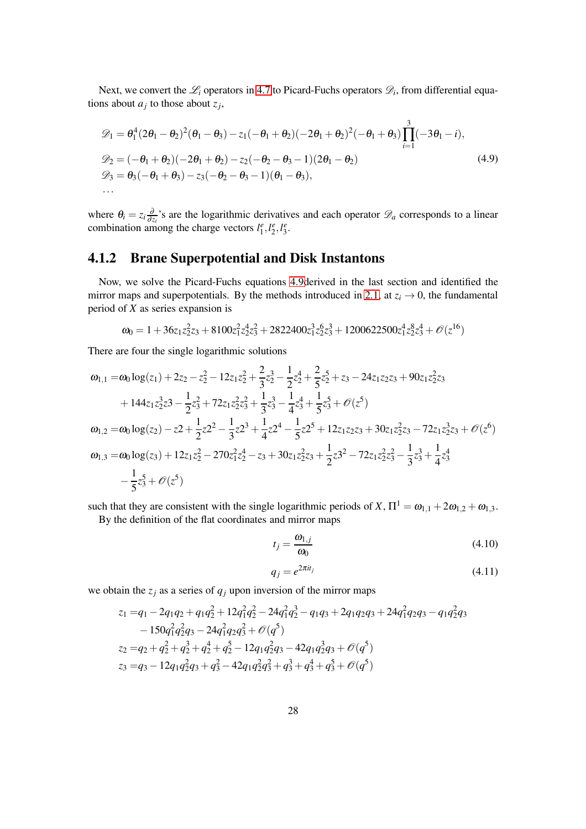Next, we convert the  $\mathcal{L}_i$  operators in [4.7](#page-26-0) to Picard-Fuchs operators  $\mathcal{D}_i$ , from differential equations about  $a_j$  to those about  $z_j$ ,

<span id="page-27-1"></span>
$$
\mathcal{D}_1 = \theta_1^4 (2\theta_1 - \theta_2)^2 (\theta_1 - \theta_3) - z_1 (-\theta_1 + \theta_2)(-2\theta_1 + \theta_2)^2 (-\theta_1 + \theta_3) \prod_{i=1}^3 (-3\theta_1 - i),
$$
  
\n
$$
\mathcal{D}_2 = (-\theta_1 + \theta_2)(-2\theta_1 + \theta_2) - z_2 (-\theta_2 - \theta_3 - 1)(2\theta_1 - \theta_2)
$$
  
\n
$$
\mathcal{D}_3 = \theta_3 (-\theta_1 + \theta_3) - z_3 (-\theta_2 - \theta_3 - 1)(\theta_1 - \theta_3),
$$
  
\n... (4.9)

<span id="page-27-0"></span>where  $\theta_i = z_i \frac{\partial}{\partial z_i}$  $\frac{\partial}{\partial z_i}$ 's are the logarithmic derivatives and each operator  $\mathscr{D}_a$  corresponds to a linear combination among the charge vectors  $l_1^e, l_2^e, l_3^e$ .

## 4.1.2 Brane Superpotential and Disk Instantons

Now, we solve the Picard-Fuchs equations [4.9d](#page-27-1)erived in the last section and identified the mirror maps and superpotentials. By the methods introduced in [2.1,](#page-4-1) at  $z_i \rightarrow 0$ , the fundamental period of *X* as series expansion is

$$
\omega_0 = 1 + 36z_1z_2^2z_3 + 8100z_1^2z_2^4z_3^2 + 2822400z_1^3z_2^6z_3^3 + 1200622500z_1^4z_2^8z_3^4 + \mathcal{O}(z^{16})
$$

There are four the single logarithmic solutions

$$
\begin{aligned}\n\omega_{1,1} &= \omega_0 \log(z_1) + 2z_2 - z_2^2 - 12z_1 z_2^2 + \frac{2}{3} z_2^3 - \frac{1}{2} z_2^4 + \frac{2}{5} z_2^5 + z_3 - 24z_1 z_2 z_3 + 90 z_1 z_2^2 z_3 \\
&\quad + 144 z_1 z_2^3 z_3 - \frac{1}{2} z_3^2 + 72 z_1 z_2^2 z_3^2 + \frac{1}{3} z_3^3 - \frac{1}{4} z_3^4 + \frac{1}{5} z_3^5 + \mathcal{O}(z^5) \\
\omega_{1,2} &= \omega_0 \log(z_2) - z_2 + \frac{1}{2} z_2^2 - \frac{1}{3} z_2^3 + \frac{1}{4} z_2^4 - \frac{1}{5} z_2^5 + 12 z_1 z_2 z_3 + 30 z_1 z_2^2 z_3 - 72 z_1 z_2^3 z_3 + \mathcal{O}(z^6) \\
\omega_{1,3} &= \omega_0 \log(z_3) + 12 z_1 z_2^2 - 270 z_1^2 z_2^4 - z_3 + 30 z_1 z_2^2 z_3 + \frac{1}{2} z_3^2 - 72 z_1 z_2^2 z_3^2 - \frac{1}{3} z_3^3 + \frac{1}{4} z_3^4 \\
&\quad - \frac{1}{5} z_3^5 + \mathcal{O}(z^5)\n\end{aligned}
$$

such that they are consistent with the single logarithmic periods of *X*,  $\Pi^1 = \omega_{1,1} + 2\omega_{1,2} + \omega_{1,3}$ .

By the definition of the flat coordinates and mirror maps

$$
t_j = \frac{\omega_{1,j}}{\omega_0} \tag{4.10}
$$

$$
q_j = e^{2\pi i t_j} \tag{4.11}
$$

we obtain the  $z_j$  as a series of  $q_j$  upon inversion of the mirror maps

$$
z_1 = q_1 - 2q_1q_2 + q_1q_2^2 + 12q_1^2q_2^2 - 24q_1^2q_2^3 - q_1q_3 + 2q_1q_2q_3 + 24q_1^2q_2q_3 - q_1q_2^2q_3
$$
  
\n
$$
- 150q_1^2q_2^2q_3 - 24q_1^2q_2q_3^2 + \mathcal{O}(q^5)
$$
  
\n
$$
z_2 = q_2 + q_2^2 + q_2^3 + q_2^4 + q_2^5 - 12q_1q_2^2q_3 - 42q_1q_2^2q_3 + \mathcal{O}(q^5)
$$
  
\n
$$
z_3 = q_3 - 12q_1q_2^2q_3 + q_3^2 - 42q_1q_2^2q_3^2 + q_3^3 + q_3^4 + q_3^5 + \mathcal{O}(q^5)
$$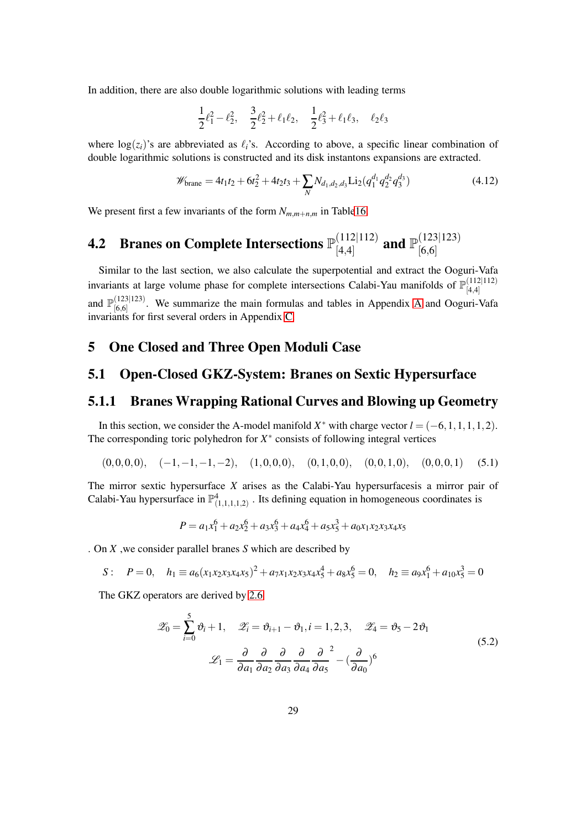In addition, there are also double logarithmic solutions with leading terms

$$
\frac{1}{2}\ell_1^2 - \ell_2^2, \quad \frac{3}{2}\ell_2^2 + \ell_1\ell_2, \quad \frac{1}{2}\ell_3^2 + \ell_1\ell_3, \quad \ell_2\ell_3
$$

where  $log(z_i)$ 's are abbreviated as  $\ell_i$ 's. According to above, a specific linear combination of double logarithmic solutions is constructed and its disk instantons expansions are extracted.

$$
\mathscr{W}_{\text{brane}} = 4t_1t_2 + 6t_2^2 + 4t_2t_3 + \sum_{N} N_{d_1,d_2,d_3} \text{Li}_2(q_1^{d_1}q_2^{d_2}q_3^{d_3}) \tag{4.12}
$$

<span id="page-28-0"></span>We present first a few invariants of the form  $N_{m,m+n,m}$  in Tabl[e16.](#page-48-1)

#### **4.2** Branes on Complete Intersections  $\mathbb{P}_{[A,A]}^{(112|112)}$  $\begin{array}{c} (112|112) \\ [4,4] \end{array}$  and  $\mathbb{P}^{(123|123)}_{[6,6]}$ [6,6]

Similar to the last section, we also calculate the superpotential and extract the Ooguri-Vafa invariants at large volume phase for complete intersections Calabi-Yau manifolds of  $\mathbb{P}_{[4,4]}^{(112|112)}$ [4,4] and  $\mathbb{P}^{(123|123)}_{[6,6]}$  $[6,6]$ . We summarize the main formulas and tables in [A](#page-35-0)ppendix A and Ooguri-Vafa invariants for first several orders in Appendix [C.](#page-48-0)

#### <span id="page-28-1"></span>5 One Closed and Three Open Moduli Case

#### <span id="page-28-2"></span>5.1 Open-Closed GKZ-System: Branes on Sextic Hypersurface

#### <span id="page-28-3"></span>5.1.1 Branes Wrapping Rational Curves and Blowing up Geometry

In this section, we consider the A-model manifold  $X^*$  with charge vector  $l = (-6, 1, 1, 1, 1, 2)$ . The corresponding toric polyhedron for  $X^*$  consists of following integral vertices

$$
(0,0,0,0), \quad (-1,-1,-1,-2), \quad (1,0,0,0), \quad (0,1,0,0), \quad (0,0,1,0), \quad (0,0,0,1) \tag{5.1}
$$

The mirror sextic hypersurface *X* arises as the Calabi-Yau hypersurfacesis a mirror pair of Calabi-Yau hypersurface in  $\mathbb{P}^4_{(1,1,1,1,2)}$ . Its defining equation in homogeneous coordinates is

$$
P = a_1x_1^6 + a_2x_2^6 + a_3x_3^6 + a_4x_4^6 + a_5x_5^3 + a_0x_1x_2x_3x_4x_5
$$

. On *X* ,we consider parallel branes *S* which are described by

S:  $P = 0$ ,  $h_1 \equiv a_6(x_1x_2x_3x_4x_5)^2 + a_7x_1x_2x_3x_4x_5^4 + a_8x_5^6 = 0$ ,  $h_2 \equiv a_9x_1^6 + a_{10}x_5^3 = 0$ 

The GKZ operators are derived by [2.6](#page-6-2)

$$
\mathscr{Z}_0 = \sum_{i=0}^5 \vartheta_i + 1, \quad \mathscr{Z}_i = \vartheta_{i+1} - \vartheta_1, i = 1, 2, 3, \quad \mathscr{Z}_4 = \vartheta_5 - 2\vartheta_1
$$
  

$$
\mathscr{L}_1 = \frac{\partial}{\partial a_1} \frac{\partial}{\partial a_2} \frac{\partial}{\partial a_3} \frac{\partial}{\partial a_4} \frac{\partial}{\partial a_5}^2 - \left(\frac{\partial}{\partial a_0}\right)^6
$$
 (5.2)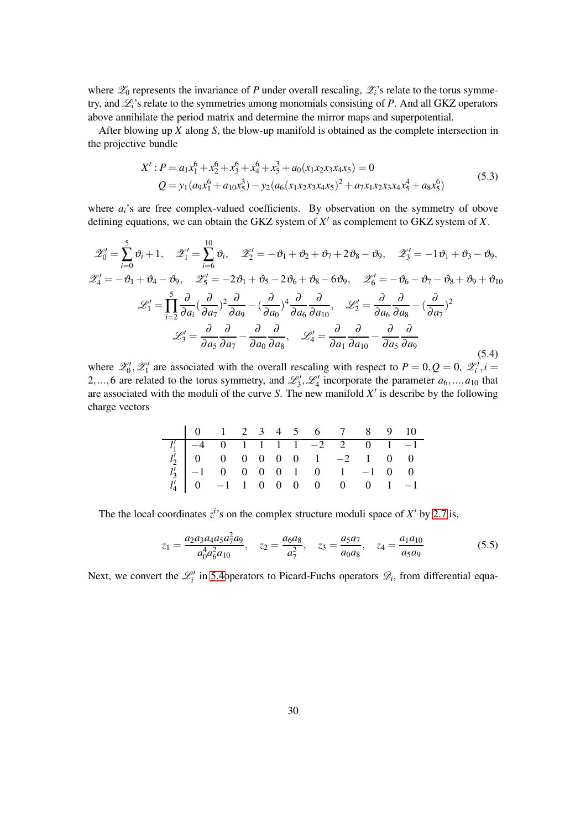where  $\mathscr{Z}_0$  represents the invariance of *P* under overall rescaling,  $\mathscr{Z}_i$ 's relate to the torus symmetry, and L*i*'s relate to the symmetries among monomials consisting of *P*. And all GKZ operators above annihilate the period matrix and determine the mirror maps and superpotential.

After blowing up *X* along *S*, the blow-up manifold is obtained as the complete intersection in the projective bundle

$$
X': P = a_1 x_1^6 + x_2^6 + x_3^6 + x_4^6 + x_5^3 + a_0(x_1 x_2 x_3 x_4 x_5) = 0
$$
  
\n
$$
Q = y_1 (a_9 x_1^6 + a_{10} x_5^3) - y_2 (a_6(x_1 x_2 x_3 x_4 x_5)^2 + a_7 x_1 x_2 x_3 x_4 x_5^4 + a_8 x_5^6)
$$
\n(5.3)

where  $a_i$ 's are free complex-valued coefficients. By observation on the symmetry of obove defining equations, we can obtain the GKZ system of *X* ′ as complement to GKZ system of *X*.

<span id="page-29-0"></span>
$$
\mathcal{Z}'_0 = \sum_{i=0}^5 \vartheta_i + 1, \quad \mathcal{Z}'_1 = \sum_{i=6}^{10} \vartheta_i, \quad \mathcal{Z}'_2 = -\vartheta_1 + \vartheta_2 + \vartheta_7 + 2\vartheta_8 - \vartheta_9, \quad \mathcal{Z}'_3 = -1\vartheta_1 + \vartheta_3 - \vartheta_9,
$$
  

$$
\mathcal{Z}'_4 = -\vartheta_1 + \vartheta_4 - \vartheta_9, \quad \mathcal{Z}'_5 = -2\vartheta_1 + \vartheta_5 - 2\vartheta_6 + \vartheta_8 - 6\vartheta_9, \quad \mathcal{Z}'_6 = -\vartheta_6 - \vartheta_7 - \vartheta_8 + \vartheta_9 + \vartheta_{10}
$$
  

$$
\mathcal{L}'_1 = \prod_{i=2}^5 \frac{\partial}{\partial a_i} (\frac{\partial}{\partial a_7})^2 \frac{\partial}{\partial a_9} - (\frac{\partial}{\partial a_0})^4 \frac{\partial}{\partial a_6} \frac{\partial}{\partial a_{10}}, \quad \mathcal{L}'_2 = \frac{\partial}{\partial a_6} \frac{\partial}{\partial a_8} - (\frac{\partial}{\partial a_7})^2
$$
  

$$
\mathcal{L}'_3 = \frac{\partial}{\partial a_5} \frac{\partial}{\partial a_7} - \frac{\partial}{\partial a_0} \frac{\partial}{\partial a_8}, \quad \mathcal{L}'_4 = \frac{\partial}{\partial a_1} \frac{\partial}{\partial a_{10}} - \frac{\partial}{\partial a_5} \frac{\partial}{\partial a_9}
$$
(5.4)

where  $\mathscr{L}'_0$ ,  $\mathscr{L}'_1$  are associated with the overall rescaling with respect to  $P = 0, Q = 0, \mathscr{L}'_i, i =$ 2,...,6 are related to the torus symmetry, and  $\mathcal{L}'_3$ ,  $\mathcal{L}'_4$  incorporate the parameter  $a_6$ ,..., $a_{10}$  that are associated with the moduli of the curve *S*. The new manifold *X* ′ is describe by the following charge vectors

| 0   1   2   3   4   5   6   6   7   8   8   9   10                                                                                                                                                                                                           |  |  |  |  |  |
|--------------------------------------------------------------------------------------------------------------------------------------------------------------------------------------------------------------------------------------------------------------|--|--|--|--|--|
|                                                                                                                                                                                                                                                              |  |  |  |  |  |
|                                                                                                                                                                                                                                                              |  |  |  |  |  |
|                                                                                                                                                                                                                                                              |  |  |  |  |  |
| $\begin{array}{c cccccccccccc} l'_1 & -4 & 0 & 1 & 1 & 1 & -2 & 2 & 0 & 1 & -1 \\ l'_2 & 0 & 0 & 0 & 0 & 0 & 0 & 1 & -2 & 1 & 0 & 0 \\ l'_3 & -1 & 0 & 0 & 0 & 0 & 1 & 0 & 1 & -1 & 0 & 0 \\ l'_4 & 0 & -1 & 1 & 0 & 0 & 0 & 0 & 0 & 0 & 1 & -1 \end{array}$ |  |  |  |  |  |

The the local coordinates  $z^{i}$ 's on the complex structure moduli space of  $X'$  by [2.7](#page-6-1) is,

$$
z_1 = \frac{a_2 a_3 a_4 a_5 a_7^2 a_9}{a_0^4 a_6^2 a_{10}}, \quad z_2 = \frac{a_6 a_8}{a_7^2}, \quad z_3 = \frac{a_5 a_7}{a_0 a_8}, \quad z_4 = \frac{a_1 a_{10}}{a_5 a_9} \tag{5.5}
$$

Next, we convert the  $\mathcal{L}'_i$  in 5.4 operators to Picard-Fuchs operators  $\mathcal{D}_i$ , from differential equa-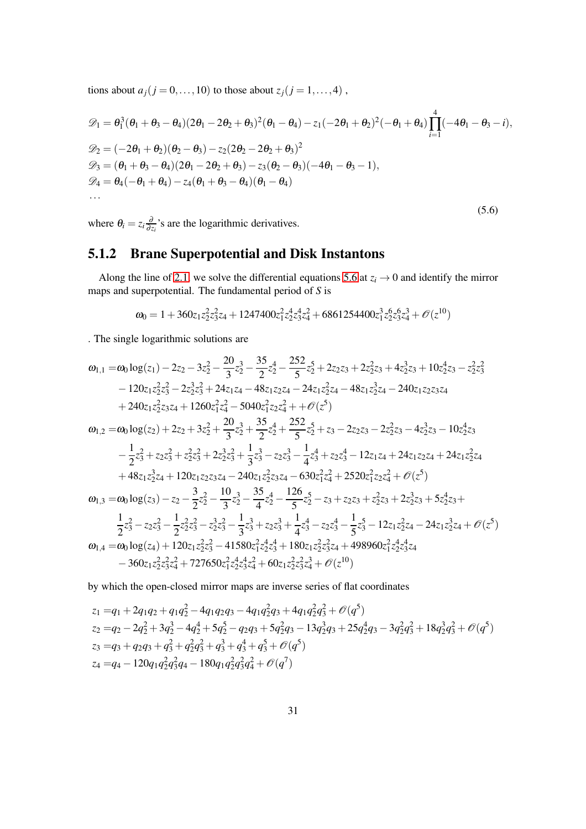tions about  $a_j$  ( $j = 0, ..., 10$ ) to those about  $z_j$  ( $j = 1, ..., 4$ ),

<span id="page-30-1"></span>
$$
\mathcal{D}_1 = \theta_1^3 (\theta_1 + \theta_3 - \theta_4) (2\theta_1 - 2\theta_2 + \theta_3)^2 (\theta_1 - \theta_4) - z_1 (-2\theta_1 + \theta_2)^2 (-\theta_1 + \theta_4) \prod_{i=1}^4 (-4\theta_1 - \theta_3 - i),
$$
  
\n
$$
\mathcal{D}_2 = (-2\theta_1 + \theta_2) (\theta_2 - \theta_3) - z_2 (2\theta_2 - 2\theta_2 + \theta_3)^2
$$
  
\n
$$
\mathcal{D}_3 = (\theta_1 + \theta_3 - \theta_4) (2\theta_1 - 2\theta_2 + \theta_3) - z_3 (\theta_2 - \theta_3) (-4\theta_1 - \theta_3 - 1),
$$
  
\n
$$
\mathcal{D}_4 = \theta_4 (-\theta_1 + \theta_4) - z_4 (\theta_1 + \theta_3 - \theta_4) (\theta_1 - \theta_4)
$$
  
\n... (5.6)

<span id="page-30-0"></span>where  $\theta_i = z_i \frac{\partial}{\partial z_i}$  $\frac{\partial}{\partial z_i}$ 's are the logarithmic derivatives.

### 5.1.2 Brane Superpotential and Disk Instantons

Along the line of [2.1,](#page-4-1) we solve the differential equations [5.6](#page-30-1) at  $z_i \rightarrow 0$  and identify the mirror maps and superpotential. The fundamental period of *S* is

$$
\omega_0 = 1 + 360z_1z_2^2z_3^2z_4 + 1247400z_1^2z_2^4z_3^4z_4^2 + 6861254400z_1^3z_2^6z_3^3z_4^4 + \mathcal{O}(z^{10})
$$

. The single logarithmic solutions are

$$
\begin{aligned} \omega_{1,1}=&\omega_0\log(z_1)-2z_2-3z_2^2-\frac{20}{3}z_2^3-\frac{35}{2}z_2^4-\frac{252}{5}z_2^5+2z_2z_3+2z_2^2z_3+4z_2^3z_3+10z_2^4z_3-z_2^2z_3^2\\ &-120z_1z_2^2z_3^2-2z_2^3z_3^2+24z_1z_4-48z_1z_2z_4-24z_1z_2^2z_4-48z_1z_2^3z_4-240z_1z_2z_3z_4\\ &+240z_1z_2^2z_3z_4+1260z_1^2z_4^2-5040z_1^2z_2z_4^2++\mathcal{O}(z^5)\\ \omega_{1,2}=&\omega_0\log(z_2)+2z_2+3z_2^2+\frac{20}{3}z_2^3+\frac{35}{2}z_2^4+\frac{252}{5}z_2^5+z_3-2z_2z_3-2z_2^2z_3-4z_2^3z_3-10z_2^4z_3\\ &-\frac{1}{2}z_3^2+z_2z_3^2+z_2^2z_3^2+2z_2^3z_3^2+\frac{1}{3}z_3^3-z_2z_3^3-\frac{1}{4}z_3^4+z_2z_3^4-12z_1z_4+24z_1z_2z_4+24z_1z_2^2z_4\\ &+48z_1z_2^3z_4+120z_1z_2z_3z_4-240z_1z_2^2z_3z_4-630z_1^2z_4^2+2520z_1^2z_2z_4^2+\mathcal{O}(z^5)\\ \omega_{1,3}=&\omega_0\log(z_3)-z_2-\frac{3}{2}z_2^2-\frac{10}{3}z_2^3-\frac{35}{4}z_2^4-\frac{126}{5}z_2^5-z_3+z_2z_3+z_2^2z_3+2z_2^3z_3+5z_2^4z_3+\\ &\frac{1}{2}z_3^2-z_2z_3^2-\frac{1}{2}z_2^2z_3^2-z_2
$$

by which the open-closed mirror maps are inverse series of flat coordinates

$$
z_1 = q_1 + 2q_1q_2 + q_1q_2^2 - 4q_1q_2q_3 - 4q_1q_2^2q_3 + 4q_1q_2^2q_3^2 + \mathcal{O}(q^5)
$$
  
\n
$$
z_2 = q_2 - 2q_2^2 + 3q_2^3 - 4q_2^4 + 5q_2^5 - q_2q_3 + 5q_2^2q_3 - 13q_2^3q_3 + 25q_2^4q_3 - 3q_2^2q_3^2 + 18q_2^3q_3^2 + \mathcal{O}(q^5)
$$
  
\n
$$
z_3 = q_3 + q_2q_3 + q_3^2 + q_2^2q_3^2 + q_3^3 + q_3^4 + q_3^5 + \mathcal{O}(q^5)
$$
  
\n
$$
z_4 = q_4 - 120q_1q_2^2q_3^2q_4 - 180q_1q_2^2q_3^2q_4^2 + \mathcal{O}(q^7)
$$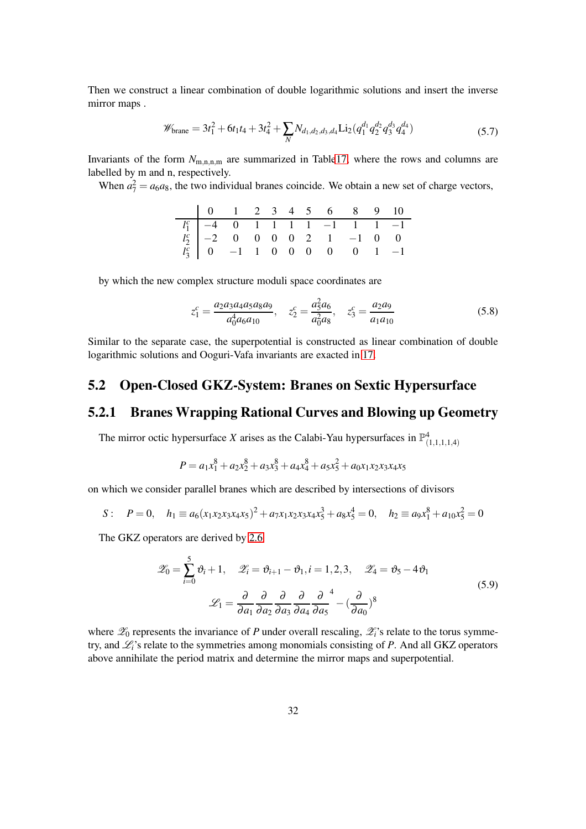Then we construct a linear combination of double logarithmic solutions and insert the inverse mirror maps .

$$
\mathscr{W}_{\text{brane}} = 3t_1^2 + 6t_1t_4 + 3t_4^2 + \sum_N N_{d_1,d_2,d_3,d_4} \text{Li}_2(q_1^{d_1}q_2^{d_2}q_3^{d_3}q_4^{d_4})
$$
\n(5.7)

Invariants of the form  $N_{\text{m,n,m}}$  are summarized in Tabl[e17,](#page-49-1) where the rows and columns are labelled by m and n, respectively.

When  $a_7^2 = a_6 a_8$ , the two individual branes coincide. We obtain a new set of charge vectors,

by which the new complex structure moduli space coordinates are

$$
z_1^c = \frac{a_2 a_3 a_4 a_5 a_8 a_9}{a_0^4 a_6 a_{10}}, \quad z_2^c = \frac{a_5^2 a_6}{a_0^2 a_8}, \quad z_3^c = \frac{a_2 a_9}{a_1 a_{10}}
$$
(5.8)

<span id="page-31-0"></span>Similar to the separate case, the superpotential is constructed as linear combination of double logarithmic solutions and Ooguri-Vafa invariants are exacted in [17.](#page-49-1)

### 5.2 Open-Closed GKZ-System: Branes on Sextic Hypersurface

#### <span id="page-31-1"></span>5.2.1 Branes Wrapping Rational Curves and Blowing up Geometry

The mirror octic hypersurface *X* arises as the Calabi-Yau hypersurfaces in  $\mathbb{P}^4_{(1,1,1,1,4)}$ 

$$
P = a_1x_1^8 + a_2x_2^8 + a_3x_3^8 + a_4x_4^8 + a_5x_5^2 + a_0x_1x_2x_3x_4x_5
$$

on which we consider parallel branes which are described by intersections of divisors

$$
S: \quad P=0, \quad h_1 \equiv a_6(x_1x_2x_3x_4x_5)^2 + a_7x_1x_2x_3x_4x_5^3 + a_8x_5^4 = 0, \quad h_2 \equiv a_9x_1^8 + a_{10}x_5^2 = 0
$$

The GKZ operators are derived by [2.6](#page-6-2)

$$
\mathscr{Z}_0 = \sum_{i=0}^5 \vartheta_i + 1, \quad \mathscr{Z}_i = \vartheta_{i+1} - \vartheta_1, i = 1, 2, 3, \quad \mathscr{Z}_4 = \vartheta_5 - 4\vartheta_1
$$
  

$$
\mathscr{L}_1 = \frac{\partial}{\partial a_1} \frac{\partial}{\partial a_2} \frac{\partial}{\partial a_3} \frac{\partial}{\partial a_4} \frac{\partial}{\partial a_5}^4 - \left(\frac{\partial}{\partial a_0}\right)^8
$$
 (5.9)

where  $\mathscr{Z}_0$  represents the invariance of *P* under overall rescaling,  $\mathscr{Z}_i$ 's relate to the torus symmetry, and L*i*'s relate to the symmetries among monomials consisting of *P*. And all GKZ operators above annihilate the period matrix and determine the mirror maps and superpotential.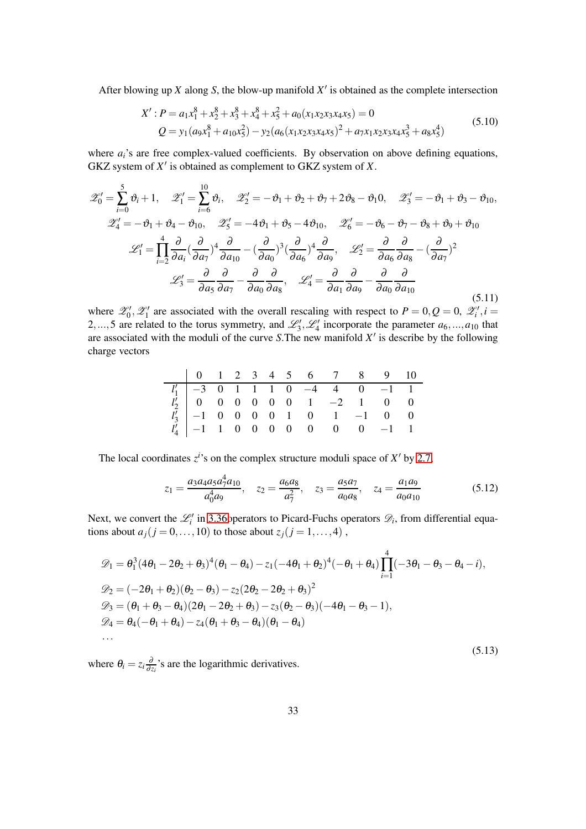After blowing up  $X$  along  $S$ , the blow-up manifold  $X'$  is obtained as the complete intersection

$$
X': P = a_1x_1^8 + x_2^8 + x_3^8 + x_4^8 + x_5^2 + a_0(x_1x_2x_3x_4x_5) = 0
$$
  
\n
$$
Q = y_1(a_9x_1^8 + a_{10}x_5^2) - y_2(a_6(x_1x_2x_3x_4x_5)^2 + a_7x_1x_2x_3x_4x_5^3 + a_8x_5^4)
$$
\n(5.10)

where  $a_i$ 's are free complex-valued coefficients. By observation on above defining equations, GKZ system of *X* ′ is obtained as complement to GKZ system of *X*.

$$
\mathcal{Z}'_0 = \sum_{i=0}^5 \vartheta_i + 1, \quad \mathcal{Z}'_1 = \sum_{i=6}^{10} \vartheta_i, \quad \mathcal{Z}'_2 = -\vartheta_1 + \vartheta_2 + \vartheta_7 + 2\vartheta_8 - \vartheta_1 0, \quad \mathcal{Z}'_3 = -\vartheta_1 + \vartheta_3 - \vartheta_{10},
$$
  

$$
\mathcal{Z}'_4 = -\vartheta_1 + \vartheta_4 - \vartheta_{10}, \quad \mathcal{Z}'_5 = -4\vartheta_1 + \vartheta_5 - 4\vartheta_{10}, \quad \mathcal{Z}'_6 = -\vartheta_6 - \vartheta_7 - \vartheta_8 + \vartheta_9 + \vartheta_{10}
$$
  

$$
\mathcal{L}'_1 = \prod_{i=2}^4 \frac{\partial}{\partial a_i} (\frac{\partial}{\partial a_7})^4 \frac{\partial}{\partial a_{10}} - (\frac{\partial}{\partial a_0})^3 (\frac{\partial}{\partial a_6})^4 \frac{\partial}{\partial a_9}, \quad \mathcal{L}'_2 = \frac{\partial}{\partial a_6} \frac{\partial}{\partial a_8} - (\frac{\partial}{\partial a_7})^2
$$
  

$$
\mathcal{L}'_3 = \frac{\partial}{\partial a_5} \frac{\partial}{\partial a_7} - \frac{\partial}{\partial a_0} \frac{\partial}{\partial a_8}, \quad \mathcal{L}'_4 = \frac{\partial}{\partial a_1} \frac{\partial}{\partial a_9} - \frac{\partial}{\partial a_0} \frac{\partial}{\partial a_{10}}
$$
(5.11)

where  $\mathscr{L}'_0$ ,  $\mathscr{L}'_1$  are associated with the overall rescaling with respect to  $P = 0, Q = 0, \mathscr{L}'_i, i =$ 2,...,5 are related to the torus symmetry, and  $\mathcal{L}'_3$ ,  $\mathcal{L}'_4$  incorporate the parameter  $a_6$ ,..., $a_{10}$  that are associated with the moduli of the curve *S*.The new manifold *X* ′ is describe by the following charge vectors

|  |  |  |  |  | $\begin{array}{c cccccccccccc} l'_1 & -3 & 0 & 1 & 1 & 1 & 0 & -4 & 4 & 0 & -1 & 1 \\ l'_2 & 0 & 0 & 0 & 0 & 0 & 0 & 1 & -2 & 1 & 0 & 0 \\ l'_3 & -1 & 0 & 0 & 0 & 0 & 1 & 0 & 1 & -1 & 0 & 0 \\ l'_4 & -1 & 1 & 0 & 0 & 0 & 0 & 0 & 0 & 0 & -1 & 1 \\ \end{array}$ |  |
|--|--|--|--|--|---------------------------------------------------------------------------------------------------------------------------------------------------------------------------------------------------------------------------------------------------------------------|--|

The local coordinates  $z^i$ 's on the complex structure moduli space of  $X'$  by [2.7,](#page-6-1)

$$
z_1 = \frac{a_3 a_4 a_5 a_7^4 a_{10}}{a_0^4 a_9}, \quad z_2 = \frac{a_6 a_8}{a_7^2}, \quad z_3 = \frac{a_5 a_7}{a_0 a_8}, \quad z_4 = \frac{a_1 a_9}{a_0 a_{10}} \tag{5.12}
$$

Next, we convert the  $\mathcal{L}'_i$  in 3.36 operators to Picard-Fuchs operators  $\mathcal{D}_i$ , from differential equations about  $a_j$  ( $j = 0, \ldots, 10$ ) to those about  $z_j$  ( $j = 1, \ldots, 4$ ),

<span id="page-32-1"></span>
$$
\mathcal{D}_1 = \theta_1^3 (4\theta_1 - 2\theta_2 + \theta_3)^4 (\theta_1 - \theta_4) - z_1(-4\theta_1 + \theta_2)^4 (-\theta_1 + \theta_4) \prod_{i=1}^4 (-3\theta_1 - \theta_3 - \theta_4 - i),
$$
  
\n
$$
\mathcal{D}_2 = (-2\theta_1 + \theta_2)(\theta_2 - \theta_3) - z_2(2\theta_2 - 2\theta_2 + \theta_3)^2
$$
  
\n
$$
\mathcal{D}_3 = (\theta_1 + \theta_3 - \theta_4)(2\theta_1 - 2\theta_2 + \theta_3) - z_3(\theta_2 - \theta_3)(-4\theta_1 - \theta_3 - 1),
$$
  
\n
$$
\mathcal{D}_4 = \theta_4(-\theta_1 + \theta_4) - z_4(\theta_1 + \theta_3 - \theta_4)(\theta_1 - \theta_4)
$$
  
\n... (5.13)

<span id="page-32-0"></span>where  $\theta_i = z_i \frac{\partial}{\partial z_i}$  $\frac{\partial}{\partial z_i}$ 's are the logarithmic derivatives.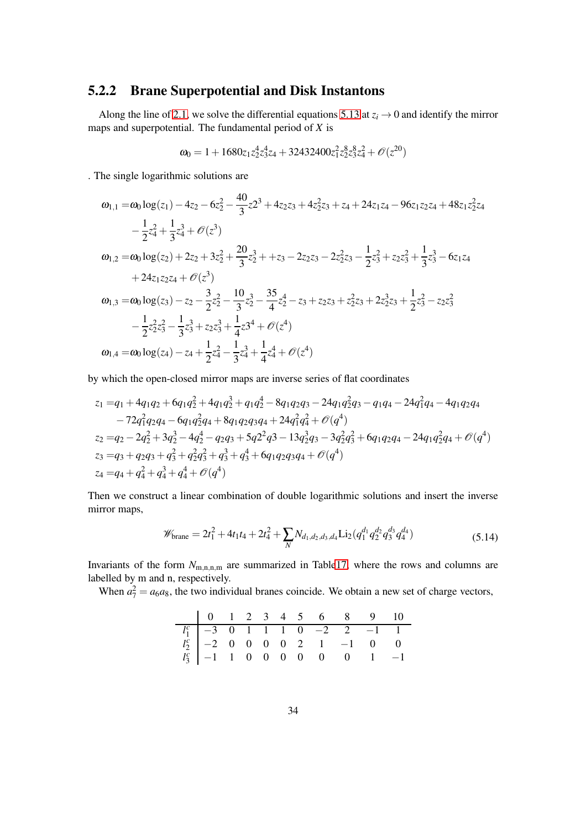#### 5.2.2 Brane Superpotential and Disk Instantons

Along the line of [2.1,](#page-4-1) we solve the differential equations [5.13](#page-32-1) at  $z_i \rightarrow 0$  and identify the mirror maps and superpotential. The fundamental period of *X* is

$$
\omega_0=1+1680z_1z_2^4z_3^4z_4+32432400z_1^2z_2^8z_3^8z_4^2+\mathcal{O}(z^{20})
$$

. The single logarithmic solutions are

$$
\begin{aligned}\n\omega_{1,1} &= \omega_0 \log(z_1) - 4z_2 - 6z_2^2 - \frac{40}{3}z^{2^3} + 4z_2z_3 + 4z_2^2z_3 + z_4 + 24z_1z_4 - 96z_1z_2z_4 + 48z_1z_2^2z_4 \\
&\quad - \frac{1}{2}z_4^2 + \frac{1}{3}z_4^3 + \mathcal{O}(z^3) \\
\omega_{1,2} &= \omega_0 \log(z_2) + 2z_2 + 3z_2^2 + \frac{20}{3}z_2^3 + z_3 - 2z_2z_3 - 2z_2^2z_3 - \frac{1}{2}z_3^2 + z_2z_3^2 + \frac{1}{3}z_3^3 - 6z_1z_4 \\
&\quad + 24z_1z_2z_4 + \mathcal{O}(z^3) \\
\omega_{1,3} &= \omega_0 \log(z_3) - z_2 - \frac{3}{2}z_2^2 - \frac{10}{3}z_2^3 - \frac{35}{4}z_2^4 - z_3 + z_2z_3 + z_2^2z_3 + 2z_2^3z_3 + \frac{1}{2}z_3^2 - z_2z_3^2 \\
&\quad - \frac{1}{2}z_2^2z_3^2 - \frac{1}{3}z_3^3 + z_2z_3^3 + \frac{1}{4}z_3^4 + \mathcal{O}(z^4) \\
\omega_{1,4} &= \omega_0 \log(z_4) - z_4 + \frac{1}{2}z_4^2 - \frac{1}{3}z_4^3 + \frac{1}{4}z_4^4 + \mathcal{O}(z^4)\n\end{aligned}
$$

by which the open-closed mirror maps are inverse series of flat coordinates

$$
z_1 = q_1 + 4q_1q_2 + 6q_1q_2 + 4q_1q_2 + 4q_1q_2 + 4q_1q_2 - 8q_1q_2q_3 - 24q_1q_2q_3 - q_1q_4 - 24q_1q_1q_4 - 4q_1q_2q_4
$$
  
\n
$$
-72q_1q_2q_4 - 6q_1q_2q_4 + 8q_1q_2q_3q_4 + 24q_1q_4 + \mathcal{O}(q^4)
$$
  
\n
$$
z_2 = q_2 - 2q_2^2 + 3q_2^3 - 4q_2^4 - q_2q_3 + 5q_2^2q_3 - 13q_2^3q_3 - 3q_2^2q_3^2 + 6q_1q_2q_4 - 24q_1q_2^2q_4 + \mathcal{O}(q^4)
$$
  
\n
$$
z_3 = q_3 + q_2q_3 + q_3^2 + q_2^2q_3^2 + q_3^3 + q_3^4 + 6q_1q_2q_3q_4 + \mathcal{O}(q^4)
$$
  
\n
$$
z_4 = q_4 + q_4^2 + q_4^3 + q_4^4 + \mathcal{O}(q^4)
$$

Then we construct a linear combination of double logarithmic solutions and insert the inverse mirror maps,

$$
\mathscr{W}_{\text{brane}} = 2t_1^2 + 4t_1t_4 + 2t_4^2 + \sum_N N_{d_1,d_2,d_3,d_4} \text{Li}_2(q_1^{d_1}q_2^{d_2}q_3^{d_3}q_4^{d_4})
$$
\n(5.14)

Invariants of the form  $N_{\text{m,n,m}}$  are summarized in Tabl[e17,](#page-49-1) where the rows and columns are labelled by m and n, respectively.

When  $a_7^2 = a_6 a_8$ , the two individual branes coincide. We obtain a new set of charge vectors,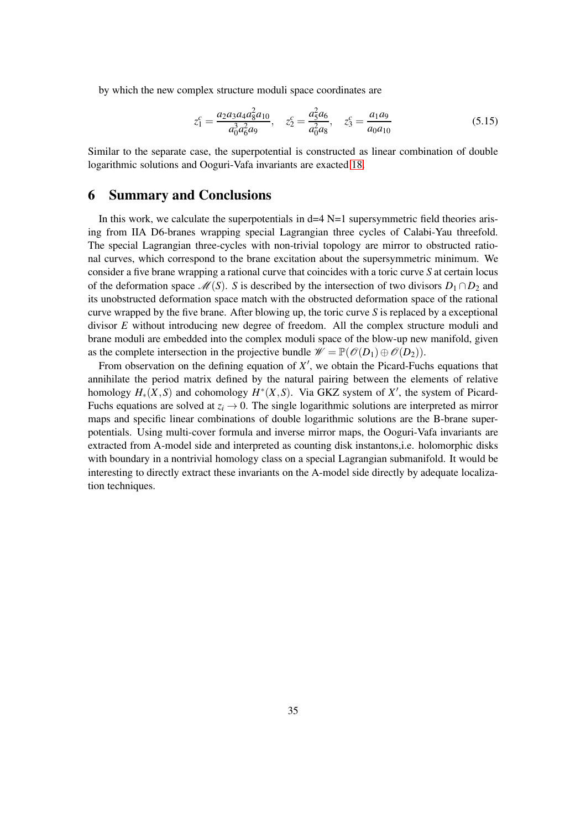by which the new complex structure moduli space coordinates are

$$
z_1^c = \frac{a_2 a_3 a_4 a_8^2 a_{10}}{a_0^3 a_6^2 a_9}, \quad z_2^c = \frac{a_5^2 a_6}{a_0^2 a_8}, \quad z_3^c = \frac{a_1 a_9}{a_0 a_{10}}
$$
(5.15)

<span id="page-34-0"></span>Similar to the separate case, the superpotential is constructed as linear combination of double logarithmic solutions and Ooguri-Vafa invariants are exacted [18.](#page-49-2)

#### 6 Summary and Conclusions

In this work, we calculate the superpotentials in  $d=4$  N=1 supersymmetric field theories arising from IIA D6-branes wrapping special Lagrangian three cycles of Calabi-Yau threefold. The special Lagrangian three-cycles with non-trivial topology are mirror to obstructed rational curves, which correspond to the brane excitation about the supersymmetric minimum. We consider a five brane wrapping a rational curve that coincides with a toric curve *S* at certain locus of the deformation space  $\mathcal{M}(S)$ . *S* is described by the intersection of two divisors  $D_1 \cap D_2$  and its unobstructed deformation space match with the obstructed deformation space of the rational curve wrapped by the five brane. After blowing up, the toric curve *S* is replaced by a exceptional divisor *E* without introducing new degree of freedom. All the complex structure moduli and brane moduli are embedded into the complex moduli space of the blow-up new manifold, given as the complete intersection in the projective bundle  $\mathscr{W} = \mathbb{P}(\mathscr{O}(D_1) \oplus \mathscr{O}(D_2)).$ 

From observation on the defining equation of  $X'$ , we obtain the Picard-Fuchs equations that annihilate the period matrix defined by the natural pairing between the elements of relative homology  $H_*(X, S)$  and cohomology  $H^*(X, S)$ . Via GKZ system of  $X'$ , the system of Picard-Fuchs equations are solved at  $z_i \rightarrow 0$ . The single logarithmic solutions are interpreted as mirror maps and specific linear combinations of double logarithmic solutions are the B-brane superpotentials. Using multi-cover formula and inverse mirror maps, the Ooguri-Vafa invariants are extracted from A-model side and interpreted as counting disk instantons,i.e. holomorphic disks with boundary in a nontrivial homology class on a special Lagrangian submanifold. It would be interesting to directly extract these invariants on the A-model side directly by adequate localization techniques.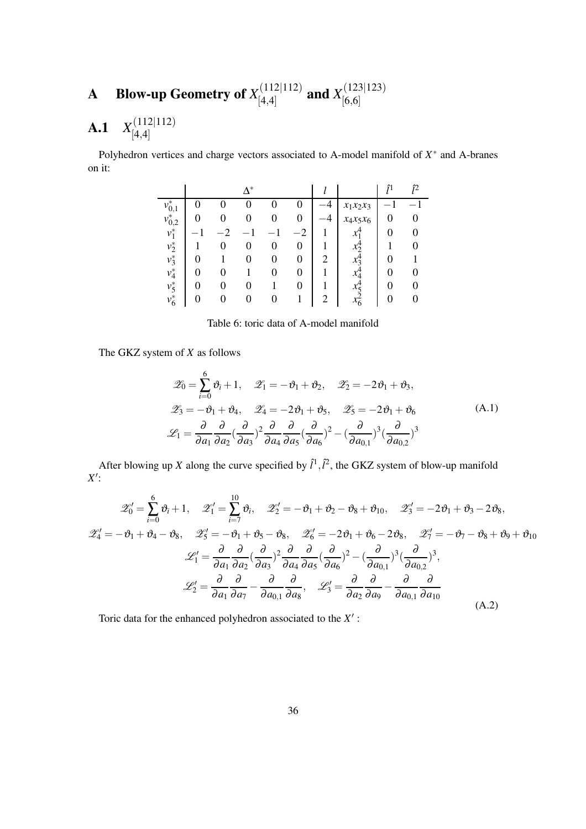#### <span id="page-35-0"></span>**A** Blow-up Geometry of  $X_{[A,A]}^{(112|112)}$  $\begin{array}{c} (112|112) \ (4,4] \end{array}$  and  $X^{(123|123)}_{[6,6]}$ [6,6]

#### <span id="page-35-1"></span>A.1 *X* (112|112) [4,4]

Polyhedron vertices and charge vectors associated to A-model manifold of  $X^*$  and A-branes on it:

|             |   | $\Lambda^*$ |   |                |    |             | ñ | î2 |
|-------------|---|-------------|---|----------------|----|-------------|---|----|
| $v_{0,1}^*$ |   |             |   |                |    | $x_1x_2x_3$ |   |    |
| $v_{0,2}^*$ |   |             | 0 | 0              | -4 | $x_4x_5x_6$ | 0 |    |
| $v_1^*$     |   |             |   | $\overline{2}$ |    |             | 0 |    |
| $v_2^*$     | 0 | 0           | 0 | 0              |    |             |   |    |
| $v_3^*$     |   |             | 0 | 0              | 2  |             | 0 |    |
| $v_4^*$     | 0 |             | 0 | 0              |    |             | 0 |    |
| $v_5^*$     | 0 |             |   | 0              |    |             |   |    |
| $v_6^*$     | 0 | $\theta$    | O |                | 2  | $x_6$       |   | O  |

Table 6: toric data of A-model manifold

The GKZ system of *X* as follows

$$
\mathcal{Z}_0 = \sum_{i=0}^6 \vartheta_i + 1, \quad \mathcal{Z}_1 = -\vartheta_1 + \vartheta_2, \quad \mathcal{Z}_2 = -2\vartheta_1 + \vartheta_3,
$$
  

$$
\mathcal{Z}_3 = -\vartheta_1 + \vartheta_4, \quad \mathcal{Z}_4 = -2\vartheta_1 + \vartheta_5, \quad \mathcal{Z}_5 = -2\vartheta_1 + \vartheta_6
$$
  

$$
\mathcal{L}_1 = \frac{\partial}{\partial a_1} \frac{\partial}{\partial a_2} \left(\frac{\partial}{\partial a_3}\right)^2 \frac{\partial}{\partial a_4} \frac{\partial}{\partial a_5} \left(\frac{\partial}{\partial a_6}\right)^2 - \left(\frac{\partial}{\partial a_{0,1}}\right)^3 \left(\frac{\partial}{\partial a_{0,2}}\right)^3
$$
(A.1)

After blowing up *X* along the curve specified by  $\hat{l}^1$ ,  $\hat{l}^2$ , the GKZ system of blow-up manifold *X* ′ :

$$
\mathscr{Z}'_0 = \sum_{i=0}^6 \vartheta_i + 1, \quad \mathscr{Z}'_1 = \sum_{i=7}^{10} \vartheta_i, \quad \mathscr{Z}'_2 = -\vartheta_1 + \vartheta_2 - \vartheta_8 + \vartheta_{10}, \quad \mathscr{Z}'_3 = -2\vartheta_1 + \vartheta_3 - 2\vartheta_8,
$$
  

$$
\mathscr{Z}'_4 = -\vartheta_1 + \vartheta_4 - \vartheta_8, \quad \mathscr{Z}'_5 = -\vartheta_1 + \vartheta_5 - \vartheta_8, \quad \mathscr{Z}'_6 = -2\vartheta_1 + \vartheta_6 - 2\vartheta_8, \quad \mathscr{Z}'_7 = -\vartheta_7 - \vartheta_8 + \vartheta_9 + \vartheta_{10}
$$
  

$$
\mathscr{L}'_1 = \frac{\partial}{\partial a_1} \frac{\partial}{\partial a_2} \left(\frac{\partial}{\partial a_3}\right)^2 \frac{\partial}{\partial a_4} \frac{\partial}{\partial a_5} \left(\frac{\partial}{\partial a_6}\right)^2 - \left(\frac{\partial}{\partial a_{0,1}}\right)^3 \left(\frac{\partial}{\partial a_{0,2}}\right)^3,
$$
  

$$
\mathscr{L}'_2 = \frac{\partial}{\partial a_1} \frac{\partial}{\partial a_1} - \frac{\partial}{\partial a_{0,1}} \frac{\partial}{\partial a_8}, \quad \mathscr{L}'_3 = \frac{\partial}{\partial a_2} \frac{\partial}{\partial a_9} - \frac{\partial}{\partial a_{0,1}} \frac{\partial}{\partial a_{10}}
$$
(A.2)

Toric data for the enhanced polyhedron associated to the *X* ′ :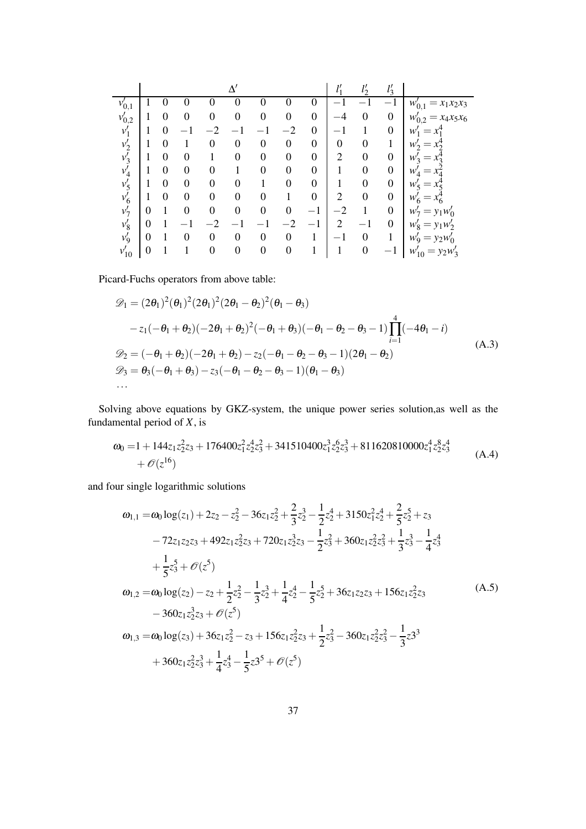|            |                  |          |          |     |                  |                  |                  |                  | 11             | $\mathcal{I}^{\prime}$ |                  |                            |
|------------|------------------|----------|----------|-----|------------------|------------------|------------------|------------------|----------------|------------------------|------------------|----------------------------|
| $v'_{0,1}$ |                  |          |          |     |                  |                  |                  | U                |                |                        |                  | $=x_1x_2x_3$<br>$w'_{0,1}$ |
| $v'_{0,2}$ |                  | 0        | 0        | 0   | $\boldsymbol{0}$ | 0                | $\boldsymbol{0}$ | $\boldsymbol{0}$ |                | $\overline{0}$         | $\boldsymbol{0}$ | $=x_4x_5x_6$<br>$w'_{0,2}$ |
| $v_1'$     |                  | 0        |          | - വ |                  |                  | - 2              | $\boldsymbol{0}$ |                |                        | $\overline{0}$   | w                          |
| $v'_2$     |                  | 0        |          |     | $\theta$         | 0                | $\theta$         | $\boldsymbol{0}$ | $\overline{0}$ | 0                      |                  | $W_2'$<br>$=$              |
| $v'_3$     |                  | 0        | 0        |     | $\theta$         | $\theta$         | $\overline{0}$   | $\boldsymbol{0}$ | $\overline{2}$ | $\overline{0}$         | $\boldsymbol{0}$ | $W_2$<br>$=$               |
| $v_4'$     |                  | 0        | 0        | 0   |                  | 0                | $\theta$         | $\boldsymbol{0}$ | 1              | $\overline{0}$         | $\boldsymbol{0}$ | w<br>$=$                   |
| $v'_5$     |                  | $\theta$ | 0        | 0   | $\theta$         |                  | $\Omega$         | $\boldsymbol{0}$ | 1              | $\boldsymbol{0}$       | $\overline{0}$   | $W'_5$                     |
| $v'_6$     |                  | 0        | $\Omega$ | 0   | $\theta$         | 0                |                  | $\boldsymbol{0}$ | $\overline{2}$ | $\theta$               | $\boldsymbol{0}$ | W<br>$=x_6^+$              |
| $v'_7$     | 0                |          | 0        | 0   | $\theta$         | 0                | $\theta$         | $-1$             | $-2$           |                        | $\overline{0}$   | $= y_1 w'_0$<br>$W_{\tau}$ |
| $v'_8$     | 0                |          |          |     |                  |                  |                  |                  | $\overline{2}$ |                        | $\boldsymbol{0}$ | $w'_8$<br>$= y_1w'_2$      |
| $v'_9$     | $\boldsymbol{0}$ |          | 0        | 0   | $\overline{0}$   | $\overline{0}$   | $\theta$         | $\mathbf{1}$     | $-1$           | $\overline{0}$         |                  | $= y_2 w'_0$<br>$W_9$      |
| $v_{10}'$  | 0                |          |          | 0   | $\boldsymbol{0}$ | $\boldsymbol{0}$ | $\boldsymbol{0}$ | 1                |                | $\boldsymbol{0}$       |                  | $w'_{10} = y_2 w'_3$       |

Picard-Fuchs operators from above table:

$$
\mathcal{D}_1 = (2\theta_1)^2 (\theta_1)^2 (2\theta_1)^2 (2\theta_1 - \theta_2)^2 (\theta_1 - \theta_3)
$$
  
\n
$$
-z_1 (-\theta_1 + \theta_2) (-2\theta_1 + \theta_2)^2 (-\theta_1 + \theta_3) (-\theta_1 - \theta_2 - \theta_3 - 1) \prod_{i=1}^4 (-4\theta_1 - i)
$$
  
\n
$$
\mathcal{D}_2 = (-\theta_1 + \theta_2) (-2\theta_1 + \theta_2) - z_2 (-\theta_1 - \theta_2 - \theta_3 - 1) (2\theta_1 - \theta_2)
$$
  
\n
$$
\mathcal{D}_3 = \theta_3 (-\theta_1 + \theta_3) - z_3 (-\theta_1 - \theta_2 - \theta_3 - 1) (\theta_1 - \theta_3)
$$
  
\n... (A.3)

Solving above equations by GKZ-system, the unique power series solution,as well as the fundamental period of *X*, is

$$
\omega_0 = 1 + 144z_1z_2^2z_3 + 176400z_1^2z_2^4z_3^2 + 341510400z_1^3z_2^6z_3^3 + 811620810000z_1^4z_2^8z_3^4
$$
  
+  $\mathcal{O}(z^{16})$  (A.4)

and four single logarithmic solutions

$$
\omega_{1,1} = \omega_0 \log(z_1) + 2z_2 - z_2^2 - 36z_1z_2^2 + \frac{2}{3}z_2^3 - \frac{1}{2}z_2^4 + 3150z_1^2z_2^4 + \frac{2}{5}z_2^5 + z_3
$$
  
\n
$$
-72z_1z_2z_3 + 492z_1z_2^2z_3 + 720z_1z_2^3z_3 - \frac{1}{2}z_3^2 + 360z_1z_2^2z_3^2 + \frac{1}{3}z_3^3 - \frac{1}{4}z_3^4
$$
  
\n
$$
+ \frac{1}{5}z_3^5 + \mathcal{O}(z^5)
$$
  
\n
$$
\omega_{1,2} = \omega_0 \log(z_2) - z_2 + \frac{1}{2}z_2^2 - \frac{1}{3}z_2^3 + \frac{1}{4}z_2^4 - \frac{1}{5}z_2^5 + 36z_1z_2z_3 + 156z_1z_2^2z_3
$$
  
\n
$$
-360z_1z_2^3z_3 + \mathcal{O}(z^5)
$$
  
\n
$$
\omega_{1,3} = \omega_0 \log(z_3) + 36z_1z_2^2 - z_3 + 156z_1z_2^2z_3 + \frac{1}{2}z_3^2 - 360z_1z_2^2z_3^2 - \frac{1}{3}z_3^3
$$
  
\n
$$
+ 360z_1z_2^2z_3^3 + \frac{1}{4}z_3^4 - \frac{1}{5}z_3^5 + \mathcal{O}(z^5)
$$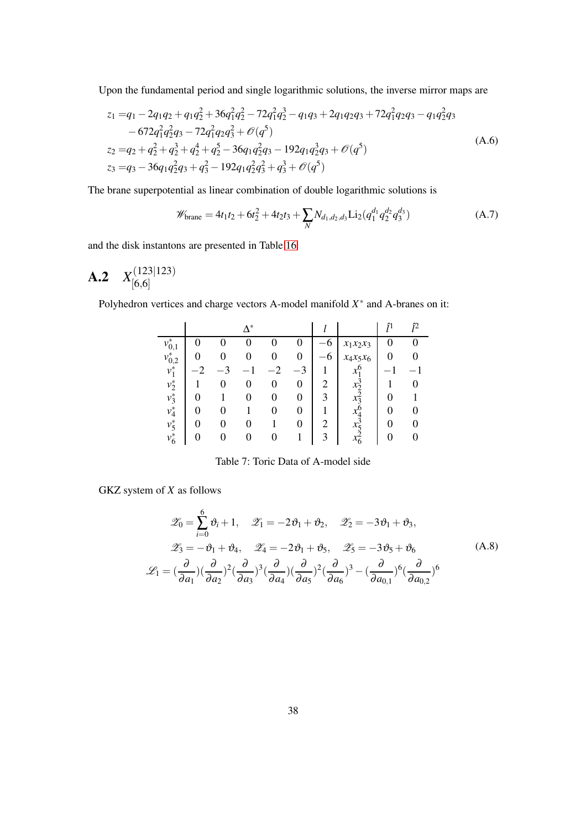Upon the fundamental period and single logarithmic solutions, the inverse mirror maps are

$$
z_1 = q_1 - 2q_1q_2 + q_1q_2^2 + 36q_1^2q_2^2 - 72q_1^2q_2^3 - q_1q_3 + 2q_1q_2q_3 + 72q_1^2q_2q_3 - q_1q_2^2q_3
$$
  
\n
$$
-672q_1^2q_2^2q_3 - 72q_1^2q_2q_3^2 + \mathcal{O}(q^5)
$$
  
\n
$$
z_2 = q_2 + q_2^2 + q_2^3 + q_2^4 + q_2^5 - 36q_1q_2^2q_3 - 192q_1q_2^3q_3 + \mathcal{O}(q^5)
$$
  
\n
$$
z_3 = q_3 - 36q_1q_2^2q_3 + q_3^2 - 192q_1q_2^2q_3^2 + q_3^3 + \mathcal{O}(q^5)
$$
\n(A.6)

The brane superpotential as linear combination of double logarithmic solutions is

$$
\mathscr{W}_{\text{brane}} = 4t_1t_2 + 6t_2^2 + 4t_2t_3 + \sum_{N} N_{d_1,d_2,d_3} \text{Li}_2(q_1^{d_1}q_2^{d_2}q_3^{d_3})
$$
 (A.7)

<span id="page-37-0"></span>and the disk instantons are presented in Table [16](#page-48-1)

**A.2** 
$$
X_{[6,6]}^{(123|123)}
$$

Polyhedron vertices and charge vectors A-model manifold *X*<sup>∗</sup> and A-branes on it:

|             |   |                   | $\Delta^*$ |   |          |      |                    |   | î2 |
|-------------|---|-------------------|------------|---|----------|------|--------------------|---|----|
| $v_{0,1}^*$ |   |                   |            |   |          | 6    | $x_1x_2x_3$        |   |    |
| $v_{0,2}^*$ |   |                   |            |   | 0        | $-6$ | $x_4x_5x_6$        | 0 |    |
| $v_1^*$     |   |                   |            |   |          |      |                    |   |    |
| $v_2^*$     |   |                   | 0          | 0 | 0        | 2    |                    |   |    |
| $v_3^*$     |   |                   |            | 0 | 0        | 3    | $x_{\overline{2}}$ | 0 |    |
| $v_4^*$     | 0 | $\mathbf{\Omega}$ |            | 0 | $\theta$ |      | $x^{\mathsf{c}}_4$ | 0 |    |
| $v_5^*$     | 0 | 0                 |            |   | 0        | 2    | $x_{5}$            |   |    |
| $v_6^*$     | 0 |                   |            |   |          | 3    | $x_6^2$            |   |    |

Table 7: Toric Data of A-model side

GKZ system of *X* as follows

$$
\mathcal{Z}_0 = \sum_{i=0}^6 \vartheta_i + 1, \quad \mathcal{Z}_1 = -2\vartheta_1 + \vartheta_2, \quad \mathcal{Z}_2 = -3\vartheta_1 + \vartheta_3,
$$
  

$$
\mathcal{Z}_3 = -\vartheta_1 + \vartheta_4, \quad \mathcal{Z}_4 = -2\vartheta_1 + \vartheta_5, \quad \mathcal{Z}_5 = -3\vartheta_5 + \vartheta_6
$$
  

$$
\mathcal{L}_1 = \left(\frac{\partial}{\partial a_1}\right)\left(\frac{\partial}{\partial a_2}\right)^2 \left(\frac{\partial}{\partial a_3}\right)^3 \left(\frac{\partial}{\partial a_4}\right) \left(\frac{\partial}{\partial a_5}\right)^2 \left(\frac{\partial}{\partial a_6}\right)^3 - \left(\frac{\partial}{\partial a_{0,1}}\right)^6 \left(\frac{\partial}{\partial a_{0,2}}\right)^6
$$
 (A.8)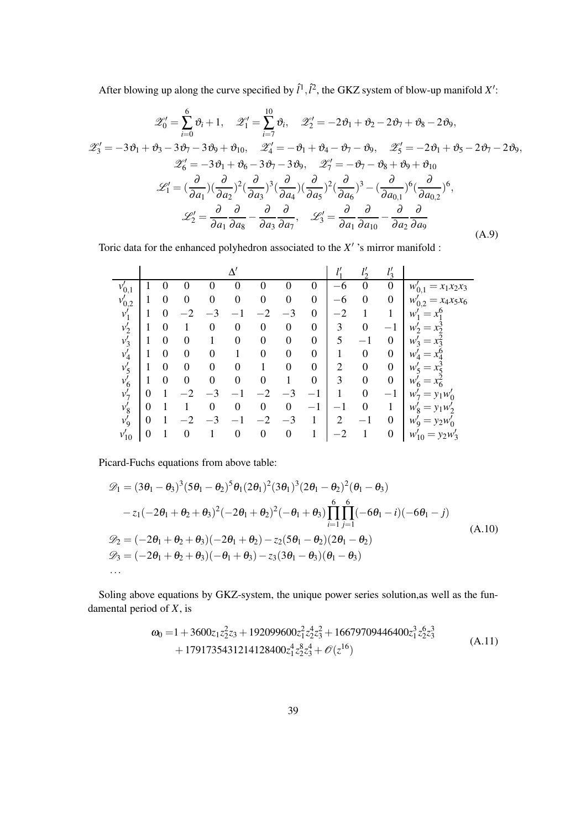After blowing up along the curve specified by  $\hat{l}^1$ ,  $\hat{l}^2$ , the GKZ system of blow-up manifold X':

$$
\mathscr{Z}'_0 = \sum_{i=0}^6 \vartheta_i + 1, \quad \mathscr{Z}'_1 = \sum_{i=7}^{10} \vartheta_i, \quad \mathscr{Z}'_2 = -2\vartheta_1 + \vartheta_2 - 2\vartheta_7 + \vartheta_8 - 2\vartheta_9,
$$
  

$$
\mathscr{Z}'_3 = -3\vartheta_1 + \vartheta_3 - 3\vartheta_7 - 3\vartheta_9 + \vartheta_{10}, \quad \mathscr{Z}'_4 = -\vartheta_1 + \vartheta_4 - \vartheta_7 - \vartheta_9, \quad \mathscr{Z}'_5 = -2\vartheta_1 + \vartheta_5 - 2\vartheta_7 - 2\vartheta_9,
$$
  

$$
\mathscr{Z}'_6 = -3\vartheta_1 + \vartheta_6 - 3\vartheta_7 - 3\vartheta_9, \quad \mathscr{Z}'_7 = -\vartheta_7 - \vartheta_8 + \vartheta_9 + \vartheta_{10}
$$
  

$$
\mathscr{L}'_1 = (\frac{\partial}{\partial a_1})(\frac{\partial}{\partial a_2})^2(\frac{\partial}{\partial a_3})^3(\frac{\partial}{\partial a_4})(\frac{\partial}{\partial a_5})^2(\frac{\partial}{\partial a_6})^3 - (\frac{\partial}{\partial a_{0,1}})^6(\frac{\partial}{\partial a_{0,2}})^6,
$$
  

$$
\mathscr{L}'_2 = \frac{\partial}{\partial a_1}\frac{\partial}{\partial a_8} - \frac{\partial}{\partial a_3}\frac{\partial}{\partial a_7}, \quad \mathscr{L}'_3 = \frac{\partial}{\partial a_1}\frac{\partial}{\partial a_{10}} - \frac{\partial}{\partial a_2}\frac{\partial}{\partial a_9}
$$
(A.9)

Toric data for the enhanced polyhedron associated to the *X* ′ 's mirror manifold :

|            |                  |                  |          |          | ٨                |                  |                  |                          | 11             | 11<br>$\iota$    | 11<br>$l_3$      |                                 |
|------------|------------------|------------------|----------|----------|------------------|------------------|------------------|--------------------------|----------------|------------------|------------------|---------------------------------|
| $v'_{0,1}$ |                  |                  |          | 0        | 0                |                  | O                | 0                        | 6              | 0                | 0                | $x_1x_2x_3$<br>$w'_{0,1}$       |
| $v'_{0,2}$ |                  | $\Omega$         | $\Omega$ | 0        | $\theta$         | $\boldsymbol{0}$ | 0                | $\boldsymbol{0}$         | 6              | $\overline{0}$   | $\boldsymbol{0}$ | $x_4x_5x_6$<br>$w_{0,2}$        |
| $v_1'$     |                  |                  |          |          |                  |                  | $-3$             | $\overline{0}$           |                |                  |                  | w                               |
| $v'_{2}$   |                  | $\left( \right)$ |          | 0        | 0                | $\theta$         | $\boldsymbol{0}$ | $\overline{0}$           | 3              | $\theta$         |                  | $W_{\mathcal{L}}$               |
| $v_3'$     |                  | 0                | 0        |          | 0                | $\theta$         | $\boldsymbol{0}$ | $\overline{0}$           | 5              |                  | $\boldsymbol{0}$ | w.                              |
| $v_4'$     |                  | 0                | 0        | 0        |                  | 0                | 0                | $\boldsymbol{0}$         |                | $\boldsymbol{0}$ | $\boldsymbol{0}$ |                                 |
| $v'_5$     |                  | 0                |          | $\theta$ | 0                |                  | 0                | $\boldsymbol{0}$         | $\overline{2}$ | $\theta$         | $\overline{0}$   | $W_{\leq}$                      |
| $v_6$      |                  | 0                | ∩        | $\Omega$ | 0                | $\Omega$         |                  | $\boldsymbol{0}$         | 3              | $\theta$         | $\boldsymbol{0}$ | w                               |
| $v'_7$     | 0                |                  |          |          |                  |                  |                  | $\overline{\phantom{0}}$ |                | $\theta$         | $\qquad \qquad$  | $W_7$                           |
| $v'_8$     | $\boldsymbol{0}$ |                  |          | $\theta$ | $\boldsymbol{0}$ | $\boldsymbol{0}$ | $\boldsymbol{0}$ | $-1$                     |                | $\theta$         |                  | $= v_1w'_2$<br>$W_{\mathsf{O}}$ |
| $v_9'$     | 0                |                  |          |          |                  |                  | $-3$             | 1                        | $\overline{2}$ | $-1$             | 0                | $= y_2w$<br>$W_{Q}$             |
| $v_{10}'$  | 0                |                  |          |          | 0                | $\boldsymbol{0}$ | $\boldsymbol{0}$ | 1                        |                |                  | 0                | $= y_2w'_3$<br>$w_{10}$         |

Picard-Fuchs equations from above table:

$$
\mathcal{D}_1 = (3\theta_1 - \theta_3)^3 (5\theta_1 - \theta_2)^5 \theta_1 (2\theta_1)^2 (3\theta_1)^3 (2\theta_1 - \theta_2)^2 (\theta_1 - \theta_3)
$$
  
\n
$$
-z_1 (-2\theta_1 + \theta_2 + \theta_3)^2 (-2\theta_1 + \theta_2)^2 (-\theta_1 + \theta_3) \prod_{i=1}^6 \prod_{j=1}^6 (-6\theta_1 - i) (-6\theta_1 - j)
$$
  
\n
$$
\mathcal{D}_2 = (-2\theta_1 + \theta_2 + \theta_3)(-2\theta_1 + \theta_2) - z_2 (5\theta_1 - \theta_2) (2\theta_1 - \theta_2)
$$
  
\n
$$
\mathcal{D}_3 = (-2\theta_1 + \theta_2 + \theta_3)(-\theta_1 + \theta_3) - z_3 (3\theta_1 - \theta_3) (\theta_1 - \theta_3)
$$
  
\n... (A.10)

Soling above equations by GKZ-system, the unique power series solution,as well as the fundamental period of *X*, is

$$
\omega_0 = 1 + 3600z_1z_2^2z_3 + 192099600z_1^2z_2^4z_3^2 + 16679709446400z_1^3z_2^6z_3^3 + 1791735431214128400z_1^4z_2^8z_3^4 + \mathcal{O}(z^{16})
$$
\n(A.11)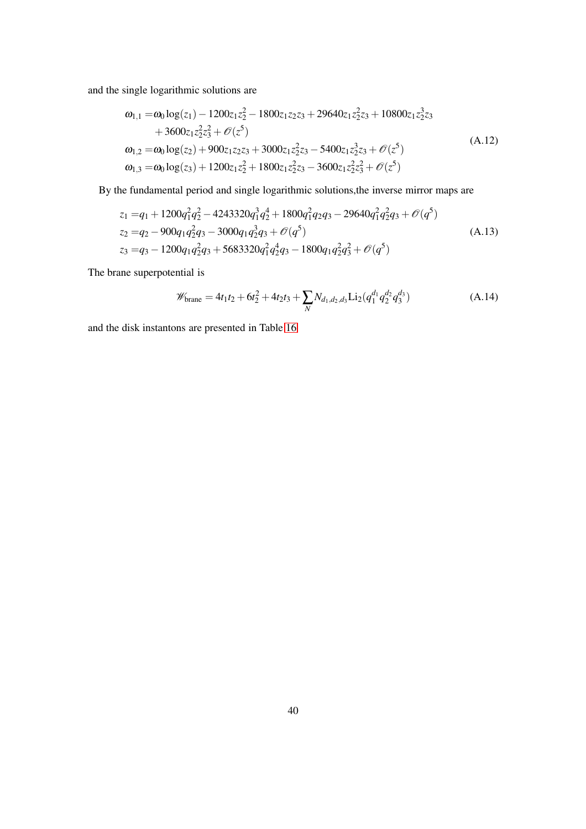and the single logarithmic solutions are

$$
\omega_{1,1} = \omega_0 \log(z_1) - 1200z_1z_2^2 - 1800z_1z_2z_3 + 29640z_1z_2^2z_3 + 10800z_1z_2^3z_3 \n+ 3600z_1z_2^2z_3^2 + \mathcal{O}(z^5) \n\omega_{1,2} = \omega_0 \log(z_2) + 900z_1z_2z_3 + 3000z_1z_2^2z_3 - 5400z_1z_2^3z_3 + \mathcal{O}(z^5) \n\omega_{1,3} = \omega_0 \log(z_3) + 1200z_1z_2^2 + 1800z_1z_2^2z_3 - 3600z_1z_2^2z_3^2 + \mathcal{O}(z^5)
$$
\n(A.12)

By the fundamental period and single logarithmic solutions,the inverse mirror maps are

$$
z_1 = q_1 + 1200q_1^2q_2^2 - 4243320q_1^3q_2^4 + 1800q_1^2q_2q_3 - 29640q_1^2q_2^2q_3 + \mathcal{O}(q^5)
$$
  
\n
$$
z_2 = q_2 - 900q_1q_2^2q_3 - 3000q_1q_2^3q_3 + \mathcal{O}(q^5)
$$
  
\n
$$
z_3 = q_3 - 1200q_1q_2^2q_3 + 5683320q_1^2q_2^4q_3 - 1800q_1q_2^2q_3^2 + \mathcal{O}(q^5)
$$
\n(A.13)

The brane superpotential is

$$
\mathscr{W}_{\text{brane}} = 4t_1t_2 + 6t_2^2 + 4t_2t_3 + \sum_{N} N_{d_1,d_2,d_3} \text{Li}_2(q_1^{d_1}q_2^{d_2}q_3^{d_3})
$$
(A.14)

<span id="page-39-0"></span>and the disk instantons are presented in Table [16](#page-48-1)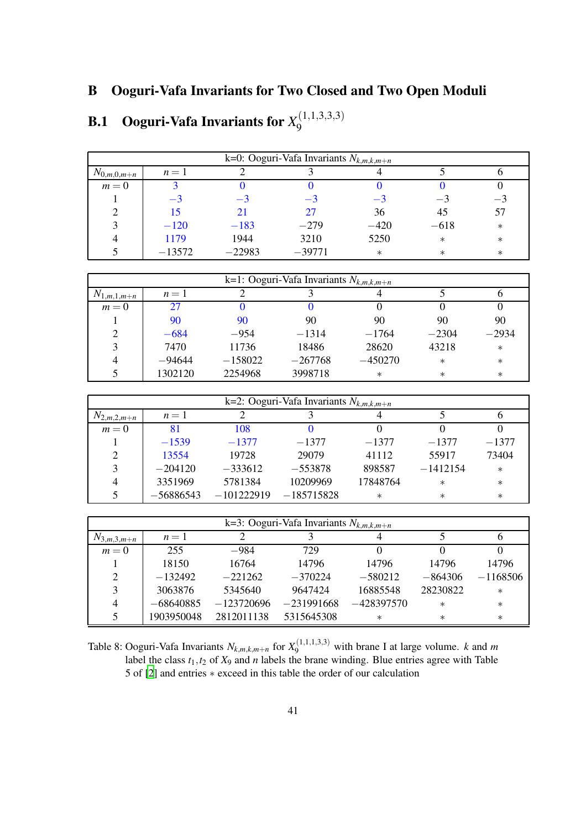### B Ooguri-Vafa Invariants for Two Closed and Two Open Moduli

|                 | k=0: Ooguri-Vafa Invariants $N_{k,m,k,m+n}$ |          |          |        |        |        |  |  |  |  |  |  |
|-----------------|---------------------------------------------|----------|----------|--------|--------|--------|--|--|--|--|--|--|
| $N_{0,m,0,m+n}$ | $n=1$                                       |          |          |        |        |        |  |  |  |  |  |  |
| $m=0$           |                                             |          |          |        |        |        |  |  |  |  |  |  |
|                 | $-3$                                        | -2       | -3       | $-3$   | — *    | $\sim$ |  |  |  |  |  |  |
|                 | 15                                          | 21       | 27       | 36     | 45     | 57     |  |  |  |  |  |  |
| 3               | $-120$                                      | $-183$   | $-279$   | $-420$ | $-618$ | $\ast$ |  |  |  |  |  |  |
| 4               | 1179                                        | 1944     | 3210     | 5250   | $\ast$ | $\ast$ |  |  |  |  |  |  |
|                 | $-13572$                                    | $-22983$ | $-39771$ | $\ast$ | $\ast$ | $\ast$ |  |  |  |  |  |  |
|                 |                                             |          |          |        |        |        |  |  |  |  |  |  |

#### <span id="page-40-0"></span>**B.1** Ooguri-Vafa Invariants for  $X^{(1,1,3,3,3)}_9$ 9

|                 | k=1: Ooguri-Vafa Invariants $N_{k,m,k,m+n}$ |           |           |           |         |         |  |  |  |  |  |
|-----------------|---------------------------------------------|-----------|-----------|-----------|---------|---------|--|--|--|--|--|
| $N_{1,m,1,m+n}$ | $n=1$                                       |           |           |           |         |         |  |  |  |  |  |
| $m=0$           | 27                                          |           |           |           |         |         |  |  |  |  |  |
|                 | 90                                          | 90        | 90        | 90        | 90      | 90      |  |  |  |  |  |
| 2               | $-684$                                      | $-954$    | $-1314$   | $-1764$   | $-2304$ | $-2934$ |  |  |  |  |  |
| 3               | 7470                                        | 11736     | 18486     | 28620     | 43218   | $\ast$  |  |  |  |  |  |
| $\overline{4}$  | $-94644$                                    | $-158022$ | $-267768$ | $-450270$ | $\ast$  | $\ast$  |  |  |  |  |  |
|                 | 1302120                                     | 2254968   | 3998718   | $\ast$    | $\ast$  | $\ast$  |  |  |  |  |  |

|                 | k=2: Ooguri-Vafa Invariants $N_{k,m,k,m+n}$ |              |              |          |            |         |  |  |  |  |  |  |
|-----------------|---------------------------------------------|--------------|--------------|----------|------------|---------|--|--|--|--|--|--|
| $N_{2,m,2,m+n}$ | $n=1$                                       |              |              |          |            |         |  |  |  |  |  |  |
| $m=0$           | 81                                          | 108          |              |          |            |         |  |  |  |  |  |  |
|                 | $-1539$                                     | $-1377$      | $-1377$      | $-1377$  | $-1377$    | $-1377$ |  |  |  |  |  |  |
| 2               | 13554                                       | 19728        | 29079        | 41112    | 55917      | 73404   |  |  |  |  |  |  |
| 3               | $-204120$                                   | $-333612$    | $-553878$    | 898587   | $-1412154$ | $\ast$  |  |  |  |  |  |  |
| 4               | 3351969                                     | 5781384      | 10209969     | 17848764 | $\ast$     | $\ast$  |  |  |  |  |  |  |
|                 | $-56886543$                                 | $-101222919$ | $-185715828$ | $\ast$   | $\ast$     | $\ast$  |  |  |  |  |  |  |

|                 | k=3: Ooguri-Vafa Invariants $N_{k,m,k,m+n}$ |              |              |              |           |            |  |  |  |  |  |  |
|-----------------|---------------------------------------------|--------------|--------------|--------------|-----------|------------|--|--|--|--|--|--|
| $N_{3,m,3,m+n}$ | $n=1$                                       |              |              |              |           |            |  |  |  |  |  |  |
| $m=0$           | 255                                         | $-984$       | 729          |              |           |            |  |  |  |  |  |  |
|                 | 18150                                       | 16764        | 14796        | 14796        | 14796     | 14796      |  |  |  |  |  |  |
| 2               | $-132492$                                   | $-221262$    | $-370224$    | $-580212$    | $-864306$ | $-1168506$ |  |  |  |  |  |  |
| 3               | 3063876                                     | 5345640      | 9647424      | 16885548     | 28230822  | $\ast$     |  |  |  |  |  |  |
| $\overline{4}$  | $-68640885$                                 | $-123720696$ | $-231991668$ | $-428397570$ | $\ast$    | $\ast$     |  |  |  |  |  |  |
| 5               | 1903950048                                  | 2812011138   | 5315645308   | $\ast$       | $\ast$    | $\ast$     |  |  |  |  |  |  |

<span id="page-40-1"></span>Table 8: Ooguri-Vafa Invariants  $N_{k,m,k,m+n}$  for  $X_9^{(1,1,1,1,3,3)}$  with brane I at large volume. *k* and *m* label the class  $t_1, t_2$  of  $X_9$  and *n* labels the brane winding. Blue entries agree with Table 5 of [\[2](#page-50-1)] and entries ∗ exceed in this table the order of our calculation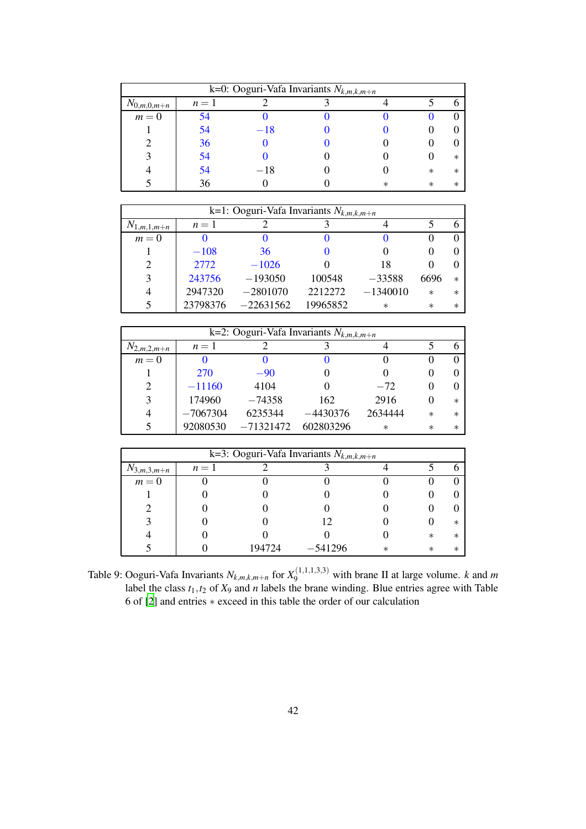| k=0: Ooguri-Vafa Invariants $N_{k,m,k,m+n}$ |       |       |  |   |         |         |  |  |  |  |  |
|---------------------------------------------|-------|-------|--|---|---------|---------|--|--|--|--|--|
| $N_{0,m,0,m+n}$                             | $n=1$ |       |  |   |         |         |  |  |  |  |  |
| $m=0$                                       | 54    |       |  |   |         |         |  |  |  |  |  |
|                                             | 54    | $-18$ |  |   |         |         |  |  |  |  |  |
|                                             | 36    |       |  |   |         |         |  |  |  |  |  |
|                                             | 54    |       |  |   |         | $\ast$  |  |  |  |  |  |
|                                             | 54    | $-18$ |  |   | $^\ast$ | $^\ast$ |  |  |  |  |  |
|                                             | 36    |       |  | ж | $^\ast$ | ж       |  |  |  |  |  |

| k=1: Ooguri-Vafa Invariants $N_{k,m,k,m+n}$ |          |             |          |            |         |         |  |  |  |  |
|---------------------------------------------|----------|-------------|----------|------------|---------|---------|--|--|--|--|
| $N_{1,m,\underline{1,m+n}}$                 | $n=1$    |             |          |            |         |         |  |  |  |  |
| $m=0$                                       |          |             |          |            |         |         |  |  |  |  |
|                                             | $-108$   | 36          |          |            |         |         |  |  |  |  |
| 2                                           | 2772     | $-1026$     |          | 18         |         |         |  |  |  |  |
| 3                                           | 243756   | $-193050$   | 100548   | $-33588$   | 6696    | $^\ast$ |  |  |  |  |
| 4                                           | 2947320  | $-2801070$  | 2212272  | $-1340010$ | $\ast$  | $^\ast$ |  |  |  |  |
|                                             | 23798376 | $-22631562$ | 19965852 | $\ast$     | $^\ast$ | $^\ast$ |  |  |  |  |

| k=2: Ooguri-Vafa Invariants $N_{k,m,k,m+n}$ |            |             |            |         |         |        |  |  |  |  |
|---------------------------------------------|------------|-------------|------------|---------|---------|--------|--|--|--|--|
| $N_{2,m,2,m+n}$                             | $n=1$      |             |            |         |         |        |  |  |  |  |
| $m=0$                                       |            |             |            |         |         |        |  |  |  |  |
|                                             | 270        | $-90$       |            |         |         |        |  |  |  |  |
| 2                                           | $-11160$   | 4104        |            | $-72$   |         |        |  |  |  |  |
| 3                                           | 174960     | $-74358$    | 162        | 2916    |         | $\ast$ |  |  |  |  |
| 4                                           | $-7067304$ | 6235344     | $-4430376$ | 2634444 | $\ast$  | $\ast$ |  |  |  |  |
|                                             | 92080530   | $-71321472$ | 602803296  | $\ast$  | $^\ast$ | $\ast$ |  |  |  |  |

| k=3: Ooguri-Vafa Invariants $N_{k,m,k,m+n}$ |       |        |           |         |         |         |  |  |  |
|---------------------------------------------|-------|--------|-----------|---------|---------|---------|--|--|--|
| $N_{3,m,3,m+n}$                             | $n=1$ |        |           |         |         |         |  |  |  |
| $m=0$                                       |       |        |           |         |         |         |  |  |  |
|                                             |       |        |           |         |         |         |  |  |  |
|                                             |       |        |           |         |         |         |  |  |  |
|                                             |       |        |           |         |         | ∗       |  |  |  |
|                                             |       |        |           |         | $^\ast$ | $^\ast$ |  |  |  |
|                                             |       | 194724 | $-541296$ | $^\ast$ | $^\ast$ | ж       |  |  |  |

<span id="page-41-0"></span>Table 9: Ooguri-Vafa Invariants  $N_{k,m,k,m+n}$  for  $X_9^{(1,1,1,3,3)}$  with brane II at large volume. *k* and *m* label the class  $t_1, t_2$  of  $X_9$  and *n* labels the brane winding. Blue entries agree with Table 6 of [\[2](#page-50-1)] and entries ∗ exceed in this table the order of our calculation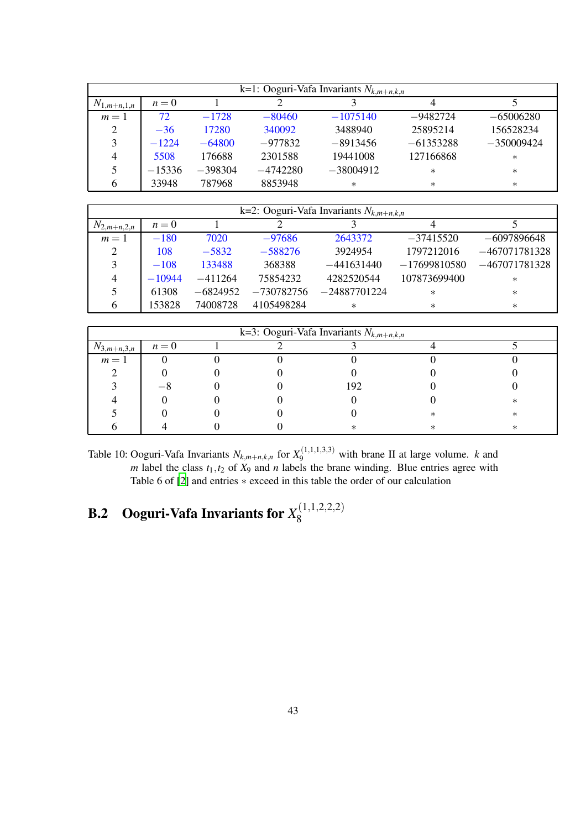| k=1: Ooguri-Vafa Invariants $N_{k,m+n,k,n}$ |          |           |            |             |             |              |  |  |  |
|---------------------------------------------|----------|-----------|------------|-------------|-------------|--------------|--|--|--|
| $N_{1,m+n,1,n}$                             | $n=0$    |           |            |             |             |              |  |  |  |
| $m=1$                                       | 72       | $-1728$   | $-80460$   | $-1075140$  | $-9482724$  | $-65006280$  |  |  |  |
| $\overline{2}$                              | $-36$    | 17280     | 340092     | 3488940     | 25895214    | 156528234    |  |  |  |
| 3                                           | $-1224$  | $-64800$  | $-977832$  | $-8913456$  | $-61353288$ | $-350009424$ |  |  |  |
| 4                                           | 5508     | 176688    | 2301588    | 19441008    | 127166868   | $\ast$       |  |  |  |
| 5                                           | $-15336$ | $-398304$ | $-4742280$ | $-38004912$ | $\ast$      | $\ast$       |  |  |  |
| 6                                           | 33948    | 787968    | 8853948    | $\ast$      | $\ast$      | $\ast$       |  |  |  |

|                 | k=2: Ooguri-Vafa Invariants $N_{k,m+n,k,n}$ |            |              |                |                |                 |  |  |  |  |  |
|-----------------|---------------------------------------------|------------|--------------|----------------|----------------|-----------------|--|--|--|--|--|
| $N_{2,m+n,2,n}$ | $n=0$                                       |            |              |                |                |                 |  |  |  |  |  |
| $m=1$           | $-180$                                      | 7020       | $-97686$     | 2643372        | $-37415520$    | $-6097896648$   |  |  |  |  |  |
| 2               | 108                                         | $-5832$    | $-588276$    | 3924954        | 1797212016     | $-467071781328$ |  |  |  |  |  |
| 3               | $-108$                                      | 133488     | 368388       | $-441631440$   | $-17699810580$ | $-467071781328$ |  |  |  |  |  |
| $\overline{4}$  | $-10944$                                    | $-411264$  | 75854232     | 4282520544     | 107873699400   | $\ast$          |  |  |  |  |  |
| 5               | 61308                                       | $-6824952$ | $-730782756$ | $-24887701224$ | $^\ast$        | $\ast$          |  |  |  |  |  |
| 6               | 153828                                      | 74008728   | 4105498284   | $\ast$         | $^\ast$        | $\ast$          |  |  |  |  |  |

| k=3: Ooguri-Vafa Invariants $N_{k,m+n,k,n}$ |       |  |  |     |  |   |  |  |  |
|---------------------------------------------|-------|--|--|-----|--|---|--|--|--|
| $N_{3,m+n,3,n}$                             | $n=0$ |  |  |     |  |   |  |  |  |
| $m=1$                                       |       |  |  |     |  |   |  |  |  |
|                                             |       |  |  |     |  |   |  |  |  |
|                                             |       |  |  | 192 |  |   |  |  |  |
|                                             |       |  |  |     |  | ∗ |  |  |  |
|                                             |       |  |  |     |  |   |  |  |  |
|                                             |       |  |  |     |  | ∗ |  |  |  |

<span id="page-42-1"></span>Table 10: Ooguri-Vafa Invariants  $N_{k,m+n,k,n}$  for  $X_9^{(1,1,1,3,3)}$  with brane II at large volume. *k* and *m* label the class  $t_1, t_2$  of  $X_9$  and *n* labels the brane winding. Blue entries agree with Table 6 of [\[2](#page-50-1)] and entries ∗ exceed in this table the order of our calculation

#### <span id="page-42-0"></span>**B.2** Ooguri-Vafa Invariants for  $X_8^{(1,1,2,2,2)}$ 8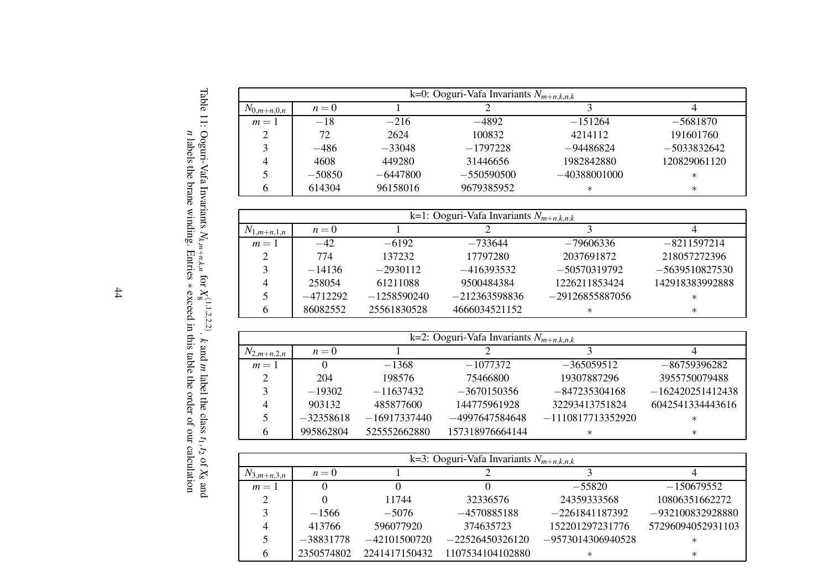|                 | k=0: Ooguri-Vafa Invariants $N_{m+n,k,n,k}$ |            |              |                |               |  |  |  |  |  |
|-----------------|---------------------------------------------|------------|--------------|----------------|---------------|--|--|--|--|--|
| $N_{0,m+n,0,n}$ | $n=0$                                       |            |              |                |               |  |  |  |  |  |
| $m=1$           | $-18$                                       | $-216$     | $-4892$      | $-151264$      | $-5681870$    |  |  |  |  |  |
| $\mathcal{D}$   | 72                                          | 2624       | 100832       | 4214112        | 191601760     |  |  |  |  |  |
| 3               | $-486$                                      | $-33048$   | $-1797228$   | $-94486824$    | $-5033832642$ |  |  |  |  |  |
| 4               | 4608                                        | 449280     | 31446656     | 1982842880     | 120829061120  |  |  |  |  |  |
|                 | $-50850$                                    | $-6447800$ | $-550590500$ | $-40388001000$ | $\ast$        |  |  |  |  |  |
| h               | 614304                                      | 96158016   | 9679385952   | $\ast$         | $\ast$        |  |  |  |  |  |

|                 | k=1: Ooguri-Vafa Invariants $N_{m+n,k,n,k}$ |               |                 |                   |                  |  |  |  |  |  |
|-----------------|---------------------------------------------|---------------|-----------------|-------------------|------------------|--|--|--|--|--|
| $N_{1,m+n,1,n}$ | $n=0$                                       |               |                 |                   |                  |  |  |  |  |  |
| $m=1$           | $-42$                                       | $-6192$       | $-733644$       | $-79606336$       | $-8211597214$    |  |  |  |  |  |
| 2               | 774                                         | 137232        | 17797280        | 2037691872        | 218057272396     |  |  |  |  |  |
| 3               | $-14136$                                    | $-2930112$    | $-416393532$    | $-50570319792$    | $-5639510827530$ |  |  |  |  |  |
| 4               | 258054                                      | 61211088      | 9500484384      | 1226211853424     | 142918383992888  |  |  |  |  |  |
| 5               | $-4712292$                                  | $-1258590240$ | $-212363598836$ | $-29126855887056$ | $\ast$           |  |  |  |  |  |
| 6               | 86082552                                    | 25561830528   | 4666034521152   | $\ast$            | $\ast$           |  |  |  |  |  |

|                 | $\overline{k=2}$ : Ooguri-Vafa Invariants $N_{m+n,k,n,k}$ |                |                 |                     |                    |  |  |  |  |  |
|-----------------|-----------------------------------------------------------|----------------|-----------------|---------------------|--------------------|--|--|--|--|--|
| $N_{2,m+n,2,n}$ | $n=0$                                                     |                |                 |                     |                    |  |  |  |  |  |
| $m=1$           |                                                           | $-1368$        | $-1077372$      | $-365059512$        | $-86759396282$     |  |  |  |  |  |
| 2               | 204                                                       | 198576         | 75466800        | 19307887296         | 3955750079488      |  |  |  |  |  |
| 3               | $-19302$                                                  | $-11637432$    | $-3670150356$   | $-847235304168$     | $-162420251412438$ |  |  |  |  |  |
|                 | 903132                                                    | 485877600      | 144775961928    | 32293413751824      | 6042541334443616   |  |  |  |  |  |
|                 | $-32358618$                                               | $-16917337440$ | -4997647584648  | $-1110817713352920$ | $\ast$             |  |  |  |  |  |
| 6               | 995862804                                                 | 525552662880   | 157318976664144 | $^\ast$             | $\ast$             |  |  |  |  |  |

<span id="page-43-1"></span><span id="page-43-0"></span>

|                 | k=3: Ooguri-Vafa Invariants $N_{m+n,k,n,k}$ |                |                   |                     |                    |  |  |  |  |  |
|-----------------|---------------------------------------------|----------------|-------------------|---------------------|--------------------|--|--|--|--|--|
| $N_{3,m+n,3,n}$ | $n=0$                                       |                |                   |                     |                    |  |  |  |  |  |
| $m=1$           |                                             |                |                   | $-55820$            | $-150679552$       |  |  |  |  |  |
| 2               |                                             | 11744          | 32336576          | 24359333568         | 10806351662272     |  |  |  |  |  |
| 3               | $-1566$                                     | $-5076$        | $-4570885188$     | $-2261841187392$    | $-932100832928880$ |  |  |  |  |  |
| 4               | 413766                                      | 596077920      | 374635723         | 152201297231776     | 57296094052931103  |  |  |  |  |  |
| 5               | $-38831778$                                 | $-42101500720$ | $-22526450326120$ | $-9573014306940528$ | $\ast$             |  |  |  |  |  |
| 6               | 2350574802                                  | 2241417150432  | 1107534104102880  | $^\ast$             | $\ast$             |  |  |  |  |  |

Table 11: Ooguri-Vafa Invariants *<sup>N</sup>k*,*m*+*n*,*k*,*<sup>n</sup>* for  $X_8^{(1,1,2,2,2)}$ . *k* and *m* label the class *<sup>t</sup>*1,*<sup>t</sup>*<sup>2</sup> of *<sup>X</sup>*<sup>8</sup> and *n* labels the brane winding. Entries ∗ exceed in this table the order of our calculation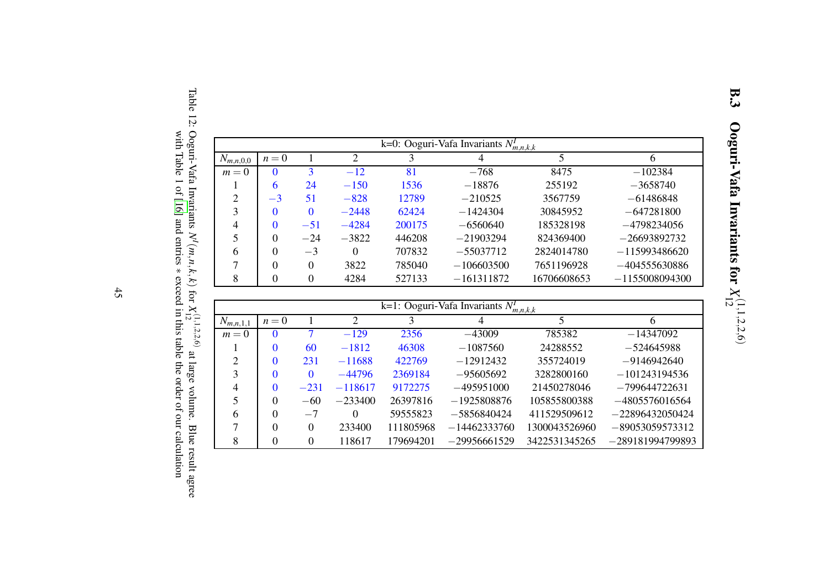| k=0: Ooguri-Vafa Invariants $N_{m,n,k,k}$ |          |       |                |        |                |             |                  |  |  |  |
|-------------------------------------------|----------|-------|----------------|--------|----------------|-------------|------------------|--|--|--|
| $N_{m,n,0,0}$                             | $n=0$    |       | $\overline{c}$ | 3      | $\overline{4}$ | 5           | 6                |  |  |  |
| $m=0$                                     |          |       | $-12$          | 81     | $-768$         | 8475        | $-102384$        |  |  |  |
|                                           | 6        | 24    | $-150$         | 1536   | $-18876$       | 255192      | $-3658740$       |  |  |  |
| 2                                         | $-3$     | 51    | $-828$         | 12789  | $-210525$      | 3567759     | $-61486848$      |  |  |  |
| 3                                         |          | 0     | $-2448$        | 62424  | $-1424304$     | 30845952    | $-647281800$     |  |  |  |
| 4                                         |          | $-51$ | $-4284$        | 200175 | $-6560640$     | 185328198   | $-4798234056$    |  |  |  |
|                                           | $\Omega$ | $-24$ | $-3822$        | 446208 | $-21903294$    | 824369400   | $-26693892732$   |  |  |  |
| 6                                         | $\Omega$ | $-3$  | $\Omega$       | 707832 | $-55037712$    | 2824014780  | $-115993486620$  |  |  |  |
|                                           |          | 0     | 3822           | 785040 | $-106603500$   | 7651196928  | $-404555630886$  |  |  |  |
|                                           |          | 0     | 4284           | 527133 | $-161311872$   | 16706608653 | $-1155008094300$ |  |  |  |

<span id="page-44-0"></span>

| k=1: Ooguri-Vafa Invariants $N_{m,n,k,k}$ |          |          |           |           |                |               |                    |  |  |  |
|-------------------------------------------|----------|----------|-----------|-----------|----------------|---------------|--------------------|--|--|--|
| $N_{m,n,1,1}$                             | $n=0$    |          | ∍         | 3         | 4              | 5             | 6                  |  |  |  |
| $m=0$                                     | $\Omega$ | 7        | $-129$    | 2356      | $-43009$       | 785382        | $-14347092$        |  |  |  |
|                                           | $\Omega$ | 60       | $-1812$   | 46308     | $-1087560$     | 24288552      | $-524645988$       |  |  |  |
| $\overline{2}$                            | $\Omega$ | 231      | $-11688$  | 422769    | $-12912432$    | 355724019     | $-9146942640$      |  |  |  |
| 3                                         | $\Omega$ | $\Omega$ | $-44796$  | 2369184   | $-95605692$    | 3282800160    | $-101243194536$    |  |  |  |
| 4                                         | $\theta$ | $-231$   | $-118617$ | 9172275   | $-495951000$   | 21450278046   | $-799644722631$    |  |  |  |
|                                           | $\theta$ | $-60$    | $-233400$ | 26397816  | $-1925808876$  | 105855800388  | $-4805576016564$   |  |  |  |
| 6                                         | $\Omega$ | $-7$     | 0         | 59555823  | $-5856840424$  | 411529509612  | $-22896432050424$  |  |  |  |
|                                           | $\Omega$ | $\theta$ | 233400    | 111805968 | $-14462333760$ | 1300043526960 | $-89053059573312$  |  |  |  |
| 8                                         | $\theta$ | 0        | 118617    | 179694201 | $-29956661529$ | 3422531345265 | $-289181994799893$ |  |  |  |

Table 12: Ooguri-Vafa Invariants  $N^I(m,n,k,k)$  for  $X_{12}^{(1,1,2,2,6)}$ at large volume. Blue result agree with Table 1 of [\[16](#page-50-16)] and entries ∗ exceed in this table the order of our calculation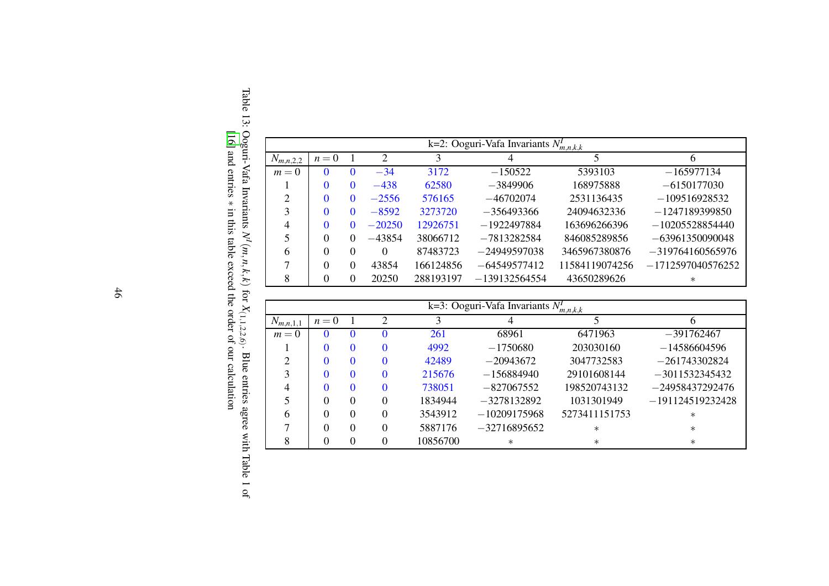|               |              |              |          |           | k=2: Ooguri-Vafa Invariants $N_{m,n,k,k}$ |                |                     |
|---------------|--------------|--------------|----------|-----------|-------------------------------------------|----------------|---------------------|
| $N_{m,n,2,2}$ | $n=0$        |              | 2        | 3         | 4                                         | 5              | <sub>b</sub>        |
| $m=0$         | $\mathbf{0}$ |              | $-34$    | 3172      | $-150522$                                 | 5393103        | $-165977134$        |
|               | 0            | $_{0}$       | $-438$   | 62580     | $-3849906$                                | 168975888      | $-6150177030$       |
| 2             |              | $\mathbf{0}$ | $-2556$  | 576165    | $-46702074$                               | 2531136435     | $-109516928532$     |
| 3             | 0            | $\mathbf{0}$ | $-8592$  | 3273720   | $-356493366$                              | 24094632336    | $-1247189399850$    |
| 4             | 0            |              | $-20250$ | 12926751  | $-1922497884$                             | 163696266396   | $-10205528854440$   |
|               | 0            |              | $-43854$ | 38066712  | $-7813282584$                             | 846085289856   | $-63961350090048$   |
| 6             | 0            | $\Omega$     | $\Omega$ | 87483723  | $-24949597038$                            | 3465967380876  | $-319764160565976$  |
|               | $\Omega$     | $\Omega$     | 43854    | 166124856 | $-64549577412$                            | 11584119074256 | $-1712597040576252$ |
| 8             | $\Omega$     |              | 20250    | 288193197 | $-139132564554$                           | 43650289626    | $\ast$              |

<span id="page-45-0"></span>

|               |       |              |          |          | k=3: Ooguri-Vafa Invariants $N_{m,n,k,k}$ |               |                    |
|---------------|-------|--------------|----------|----------|-------------------------------------------|---------------|--------------------|
| $N_{m,n,1,1}$ | $n=0$ |              | 2        | 3        |                                           |               | h                  |
| $m=0$         |       |              |          | 261      | 68961                                     | 6471963       | $-391762467$       |
|               |       | $\mathbf{0}$ | $\Omega$ | 4992     | $-1750680$                                | 203030160     | $-14586604596$     |
|               |       | $\mathbf{0}$ | $\Omega$ | 42489    | $-20943672$                               | 3047732583    | $-261743302824$    |
| 3             |       | $\mathbf{0}$ | $\Omega$ | 215676   | $-156884940$                              | 29101608144   | $-3011532345432$   |
| 4             |       |              | $\Omega$ | 738051   | $-827067552$                              | 198520743132  | $-24958437292476$  |
|               |       | 0            | $\Omega$ | 1834944  | $-3278132892$                             | 1031301949    | $-191124519232428$ |
| 6             | 0     | 0            | $\Omega$ | 3543912  | $-10209175968$                            | 5273411151753 | $\ast$             |
|               | 0     | 0            | $\Omega$ | 5887176  | $-32716895652$                            | $\ast$        | $\ast$             |
|               |       |              | 0        | 10856700 | $\ast$                                    | $\ast$        | $\ast$             |

Table 13: Ooguri-Vafa Invariants  $N^I$ (*m*, *n*, *k*, *k*) for *<sup>X</sup>*(1,1,2,2,6) . Blue entries agree with Table 1 of [\[16](#page-50-16)] and entries ∗ in this table exceed the order of our calculation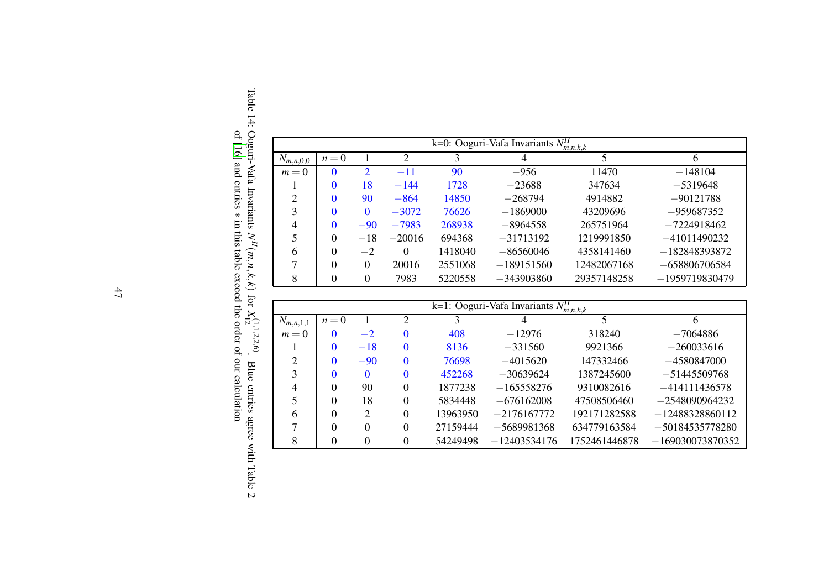|                |                 |                       |          |         | k=0: Ooguri-Vafa Invariants $N_{m,n,k,k}$ |              |                  |
|----------------|-----------------|-----------------------|----------|---------|-------------------------------------------|--------------|------------------|
| $N_{m,n,0,0}$  | 2<br>$n=0$<br>3 |                       |          | 4       |                                           | <sub>b</sub> |                  |
| $m=0$          | $\theta$        | $\mathcal{D}_{\cdot}$ | $-11$    | 90      | $-956$                                    | 11470        | $-148104$        |
|                | $\theta$        | 18                    | $-144$   | 1728    | $-23688$                                  | 347634       | $-5319648$       |
| $\overline{2}$ | $\Omega$        | 90                    | $-864$   | 14850   | $-268794$                                 | 4914882      | $-90121788$      |
| 3              | $\Omega$        | $\Omega$              | $-3072$  | 76626   | $-1869000$                                | 43209696     | $-959687352$     |
| 4              | $\Omega$        | $-90$                 | $-7983$  | 268938  | $-8964558$                                | 265751964    | $-7224918462$    |
| 5              | $\Omega$        | $-18$                 | $-20016$ | 694368  | $-31713192$                               | 1219991850   | $-41011490232$   |
| 6              | $\Omega$        | $-2$                  | $\Omega$ | 1418040 | $-86560046$                               | 4358141460   | $-182848393872$  |
| 7              | $\Omega$        | $\Omega$              | 20016    | 2551068 | $-189151560$                              | 12482067168  | $-658806706584$  |
| 8              | $\Omega$        | 0                     | 7983     | 5220558 | $-343903860$                              | 29357148258  | $-1959719830479$ |

<span id="page-46-0"></span>

|               |       |                |          |          | k=1: Ooguri-Vafa Invariants $N_{m,n,k,k}$ |               |                    |
|---------------|-------|----------------|----------|----------|-------------------------------------------|---------------|--------------------|
| $N_{m,n,1,1}$ | $n=0$ |                | っ        |          |                                           |               |                    |
| $m=0$         |       | $-2$           |          | 408      | $-12976$                                  | 318240        | $-7064886$         |
|               | 0     | $-18$          | 0        | 8136     | $-331560$                                 | 9921366       | $-260033616$       |
| ∍             | 0     | $-90$          | 0        | 76698    | $-4015620$                                | 147332466     | $-4580847000$      |
| 3             | 0     | 0              | 0        | 452268   | $-30639624$                               | 1387245600    | $-51445509768$     |
| 4             | 0     | 90             | $\Omega$ | 1877238  | $-165558276$                              | 9310082616    | $-414111436578$    |
|               | 0     | 18             | 0        | 5834448  | $-676162008$                              | 47508506460   | $-2548090964232$   |
| h             | 0     | $\overline{2}$ | 0        | 13963950 | $-2176167772$                             | 192171282588  | $-12488328860112$  |
|               | 0     | 0              | $\Omega$ | 27159444 | $-5689981368$                             | 634779163584  | $-50184535778280$  |
| 8             | 0     | 0              | 0        | 54249498 | $-12403534176$                            | 1752461446878 | $-169030073870352$ |

Table 14: Ooguri-Vafa Invariants  $N^H(m,n,k,k)$  for  $X_{12}^{(1,1,2,2,6)}$ . Blue entries agree with Table 2 of [\[16](#page-50-16)] and entries ∗ in this table exceed the order of our calculation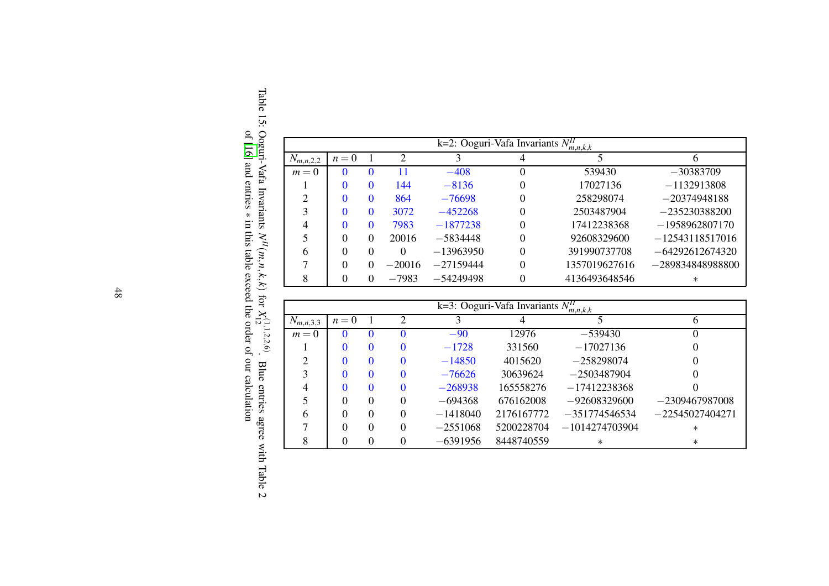|                |       |              |               |             | k=2: Ooguri-Vafa Invariants $N_{m,n,k,k}$ |               |                    |  |
|----------------|-------|--------------|---------------|-------------|-------------------------------------------|---------------|--------------------|--|
| $N_{m,n,2,2}$  | $n=0$ |              | $\mathcal{D}$ | 3           | 4                                         |               | h                  |  |
| $m=0$          |       |              | 11            | $-408$      | 0                                         | 539430        | $-30383709$        |  |
|                |       |              | 144           | $-8136$     | 0                                         | 17027136      | $-1132913808$      |  |
| $\overline{c}$ |       | $\mathbf{U}$ | 864           | $-76698$    | $\Omega$                                  | 258298074     | $-20374948188$     |  |
| 3              |       |              | 3072          | $-452268$   | 0                                         | 2503487904    | $-235230388200$    |  |
| 4              |       |              | 7983          | $-1877238$  | 0                                         | 17412238368   | $-1958962807170$   |  |
|                | 0     |              | 20016         | $-5834448$  | 0                                         | 92608329600   | $-12543118517016$  |  |
| 6              | 0     |              | $\Omega$      | $-13963950$ | 0                                         | 391990737708  | $-64292612674320$  |  |
|                | 0     |              | $-20016$      | $-27159444$ | 0                                         | 1357019627616 | $-289834848988800$ |  |
| 8              |       |              | $-7983$       | $-54249498$ | 0                                         | 4136493648546 | $\ast$             |  |

<span id="page-47-0"></span>

|               | k=3: Ooguri-Vafa Invariants $N_{m,n,k,k}$ |          |                             |            |            |                  |                   |  |  |  |  |  |  |
|---------------|-------------------------------------------|----------|-----------------------------|------------|------------|------------------|-------------------|--|--|--|--|--|--|
| $N_{m,n,3,3}$ | $n=0$                                     |          | $\mathcal{D}_{\mathcal{A}}$ |            |            |                  |                   |  |  |  |  |  |  |
| $m=0$         |                                           |          | $\mathbf{0}$                | $-90$      | 12976      | $-539430$        |                   |  |  |  |  |  |  |
|               |                                           |          | $\Omega$                    | $-1728$    | 331560     | $-17027136$      |                   |  |  |  |  |  |  |
| ↑             |                                           |          | $\Omega$                    | $-14850$   | 4015620    | $-258298074$     |                   |  |  |  |  |  |  |
| 3             |                                           |          | $\Omega$                    | $-76626$   | 30639624   | $-2503487904$    |                   |  |  |  |  |  |  |
| 4             |                                           | $\Omega$ | $\Omega$                    | $-268938$  | 165558276  | $-17412238368$   |                   |  |  |  |  |  |  |
| 5             | 0                                         | $\Omega$ | $\Omega$                    | $-694368$  | 676162008  | $-92608329600$   | $-2309467987008$  |  |  |  |  |  |  |
| 6             |                                           | 0        | $\Omega$                    | $-1418040$ | 2176167772 | $-351774546534$  | $-22545027404271$ |  |  |  |  |  |  |
|               |                                           |          | $\Omega$                    | $-2551068$ | 5200228704 | $-1014274703904$ | $\ast$            |  |  |  |  |  |  |
| 8             |                                           |          | 0                           | $-6391956$ | 8448740559 | $\ast$           | $\ast$            |  |  |  |  |  |  |

Table 15: Ooguri-Vafa Invariants  $N^H(m,n,k,k)$  for  $X_{12}^{(1,1,2,2,6)}$ . Blue entries agree with Table 2 of [\[16](#page-50-16)] and entries ∗ in this table exceed the order of our calculation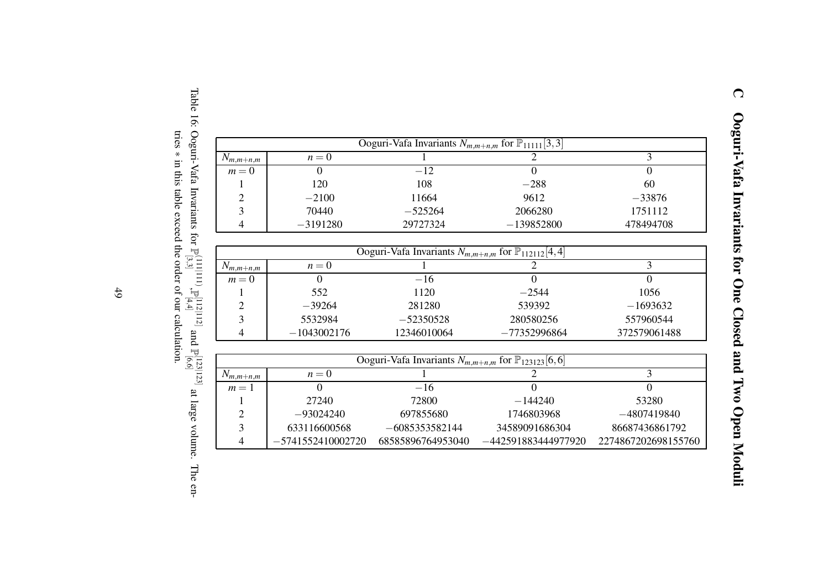|                          |                     | Ooguri-Vafa Invariants $N_{m,m+n,m}$ for $\mathbb{P}_{11111}[3,3]$  |                     |                     |
|--------------------------|---------------------|---------------------------------------------------------------------|---------------------|---------------------|
| $N_{m,m+n,m}$            | $n = 0$             |                                                                     | $\overline{2}$      | 3                   |
| $m=0$                    | $\Omega$            | $-12$                                                               | $\overline{0}$      | $\theta$            |
| 1                        | 120                 | 108                                                                 | $-288$              | 60                  |
| $\overline{c}$           | $-2100$             | 11664                                                               | 9612                | $-33876$            |
| $\overline{\mathbf{3}}$  | 70440               | $-525264$                                                           | 2066280             | 1751112             |
| 4                        | $-3191280$          | 29727324                                                            | $-139852800$        | 478494708           |
|                          |                     |                                                                     |                     |                     |
|                          |                     | Ooguri-Vafa Invariants $N_{m,m+n,m}$ for $\mathbb{P}_{112112}[4,4]$ |                     |                     |
| $N_{m,m+n,m}$            | $n=0$               |                                                                     | 2                   | 3                   |
| $m = 0$                  | $\overline{0}$      | $-16$                                                               | $\theta$            | $\overline{0}$      |
|                          | 552                 | 1120                                                                | $-2544$             | 1056                |
| $\overline{c}$           | $-39264$            | 281280                                                              | 539392              | $-1693632$          |
| 3                        | 5532984             | $-52350528$                                                         | 280580256           | 557960544           |
| 4                        | $-1043002176$       | 12346010064                                                         | $-77352996864$      | 372579061488        |
|                          |                     |                                                                     |                     |                     |
|                          |                     | Ooguri-Vafa Invariants $N_{m,m+n,m}$ for $\mathbb{P}_{123123}[6,6]$ |                     |                     |
| $N_{m,m+n,m}$            | $n=0$               |                                                                     | $\overline{2}$      | 3                   |
| $m=1$                    | $\overline{0}$      | $-16$                                                               | $\Omega$            | $\overline{0}$      |
| 1                        | 27240               | 72800                                                               | $-144240$           | 53280               |
| $\overline{c}$           | $-93024240$         | 697855680                                                           | 1746803968          | $-4807419840$       |
| 3                        | 633116600568        | $-6085353582144$                                                    | 34589091686304      | 86687436861792      |
| $\overline{\mathcal{L}}$ | $-5741552410002720$ | 68585896764953040                                                   | -442591883444977920 | 2274867202698155760 |

<span id="page-48-1"></span><span id="page-48-0"></span>Table 16: Ooguri-Vafa Invariants for P (111|111) [3,3] ,P [112|112] [4,4] and P<sup>[123</sup>]<br>P[6,6] at large volume. The entries ∗ in this table exceed the order of our calculation.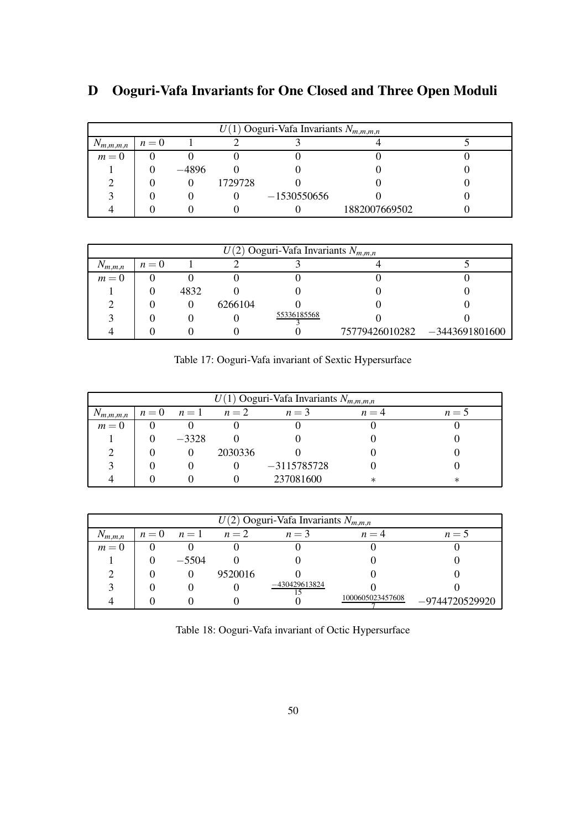|               | $U(1)$ Ooguri-Vafa Invariants $N_{m,m,m,n}$ |         |         |               |               |  |  |  |  |  |  |  |
|---------------|---------------------------------------------|---------|---------|---------------|---------------|--|--|--|--|--|--|--|
| $N_{m,m,m,n}$ | $n=0$                                       |         |         |               |               |  |  |  |  |  |  |  |
| $m=0$         |                                             |         |         |               |               |  |  |  |  |  |  |  |
|               |                                             | $-4896$ |         |               |               |  |  |  |  |  |  |  |
|               |                                             |         | 1729728 |               |               |  |  |  |  |  |  |  |
|               |                                             |         |         | $-1530550656$ |               |  |  |  |  |  |  |  |
|               |                                             |         |         |               | 1882007669502 |  |  |  |  |  |  |  |

## <span id="page-49-0"></span>D Ooguri-Vafa Invariants for One Closed and Three Open Moduli

|             | $U(2)$ Ooguri-Vafa Invariants $N_{m,m,n}$ |      |         |             |  |                               |  |  |  |  |  |  |
|-------------|-------------------------------------------|------|---------|-------------|--|-------------------------------|--|--|--|--|--|--|
| $N_{m,m,n}$ | $n=0$                                     |      |         |             |  |                               |  |  |  |  |  |  |
| $m=0$       |                                           |      |         |             |  |                               |  |  |  |  |  |  |
|             |                                           | 4832 |         |             |  |                               |  |  |  |  |  |  |
|             |                                           |      | 6266104 |             |  |                               |  |  |  |  |  |  |
|             |                                           |      |         | 55336185568 |  |                               |  |  |  |  |  |  |
|             |                                           |      |         |             |  | 75779426010282 -3443691801600 |  |  |  |  |  |  |

<span id="page-49-1"></span>Table 17: Ooguri-Vafa invariant of Sextic Hypersurface

|               | $U(1)$ Ooguri-Vafa Invariants $N_{m,m,m,n}$ |             |         |               |        |       |  |  |  |  |  |  |  |
|---------------|---------------------------------------------|-------------|---------|---------------|--------|-------|--|--|--|--|--|--|--|
| $N_{m,m,m,n}$ | $n=0$                                       | $n=1$ $n=2$ |         | $n=3$         | $n=4$  | $n=5$ |  |  |  |  |  |  |  |
| $m=0$         |                                             |             |         |               |        |       |  |  |  |  |  |  |  |
|               |                                             | $-3328$     |         |               |        |       |  |  |  |  |  |  |  |
|               |                                             |             | 2030336 |               |        |       |  |  |  |  |  |  |  |
|               |                                             |             |         | $-3115785728$ |        |       |  |  |  |  |  |  |  |
|               |                                             |             |         | 237081600     | $\ast$ | ∗     |  |  |  |  |  |  |  |

|             |       |         |         | $U(2)$ Ooguri-Vafa Invariants $N_{m,m,n}$ |                  |                  |  |
|-------------|-------|---------|---------|-------------------------------------------|------------------|------------------|--|
| $N_{m,m,n}$ | $n=0$ | $n=1$   | $n=2$   | $n=3$                                     | $n=4$            | $n = 5$          |  |
| $m=0$       |       |         |         |                                           |                  |                  |  |
|             |       | $-5504$ |         |                                           |                  |                  |  |
|             |       |         | 9520016 |                                           |                  |                  |  |
|             |       |         |         | $-430429613824$                           |                  |                  |  |
|             |       |         |         |                                           | 1000605023457608 | $-9744720529920$ |  |

<span id="page-49-2"></span>

|  | Table 18: Ooguri-Vafa invariant of Octic Hypersurface |  |  |  |  |  |  |  |
|--|-------------------------------------------------------|--|--|--|--|--|--|--|
|--|-------------------------------------------------------|--|--|--|--|--|--|--|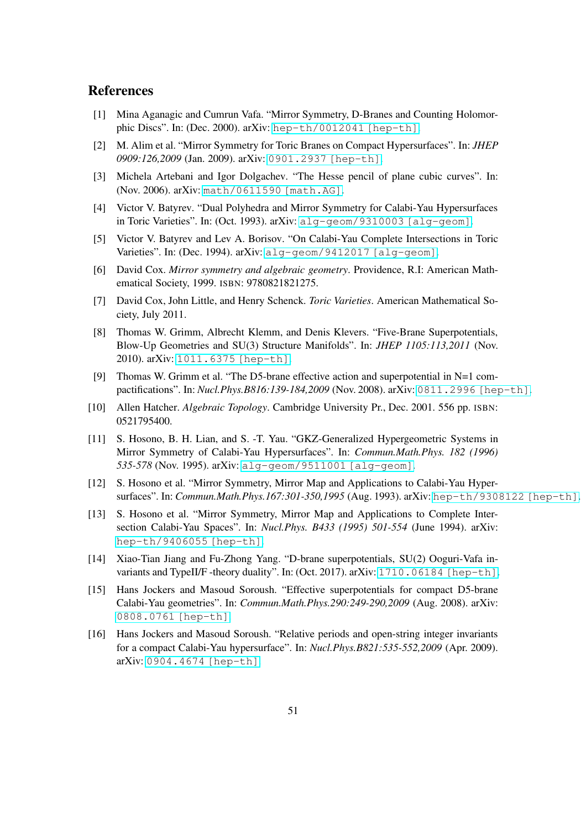#### References

- <span id="page-50-16"></span><span id="page-50-0"></span>[1] Mina Aganagic and Cumrun Vafa. "Mirror Symmetry, D-Branes and Counting Holomorphic Discs". In: (Dec. 2000). arXiv: [hep-th/0012041 \[hep-th\]](https://arxiv.org/abs/hep-th/0012041).
- <span id="page-50-1"></span>[2] M. Alim et al. "Mirror Symmetry for Toric Branes on Compact Hypersurfaces". In: *JHEP 0909:126,2009* (Jan. 2009). arXiv: [0901.2937 \[hep-th\]](https://arxiv.org/abs/0901.2937).
- <span id="page-50-15"></span>[3] Michela Artebani and Igor Dolgachev. "The Hesse pencil of plane cubic curves". In: (Nov. 2006). arXiv: [math/0611590 \[math.AG\]](https://arxiv.org/abs/math/0611590).
- <span id="page-50-7"></span>[4] Victor V. Batyrev. "Dual Polyhedra and Mirror Symmetry for Calabi-Yau Hypersurfaces in Toric Varieties". In: (Oct. 1993). arXiv: [alg-geom/9310003 \[alg-geom\]](https://arxiv.org/abs/alg-geom/9310003).
- <span id="page-50-8"></span>[5] Victor V. Batyrev and Lev A. Borisov. "On Calabi-Yau Complete Intersections in Toric Varieties". In: (Dec. 1994). arXiv: [alg-geom/9412017 \[alg-geom\]](https://arxiv.org/abs/alg-geom/9412017).
- <span id="page-50-12"></span>[6] David Cox. *Mirror symmetry and algebraic geometry*. Providence, R.I: American Mathematical Society, 1999. ISBN: 9780821821275.
- <span id="page-50-6"></span>[7] David Cox, John Little, and Henry Schenck. *Toric Varieties*. American Mathematical Society, July 2011.
- <span id="page-50-4"></span>[8] Thomas W. Grimm, Albrecht Klemm, and Denis Klevers. "Five-Brane Superpotentials, Blow-Up Geometries and SU(3) Structure Manifolds". In: *JHEP 1105:113,2011* (Nov. 2010). arXiv: [1011.6375 \[hep-th\]](https://arxiv.org/abs/1011.6375).
- <span id="page-50-5"></span>[9] Thomas W. Grimm et al. "The D5-brane effective action and superpotential in N=1 compactifications". In: *Nucl.Phys.B816:139-184,2009* (Nov. 2008). arXiv: [0811.2996 \[hep-th\]](https://arxiv.org/abs/0811.2996).
- <span id="page-50-13"></span>[10] Allen Hatcher. *Algebraic Topology*. Cambridge University Pr., Dec. 2001. 556 pp. ISBN: 0521795400.
- <span id="page-50-9"></span>[11] S. Hosono, B. H. Lian, and S. -T. Yau. "GKZ-Generalized Hypergeometric Systems in Mirror Symmetry of Calabi-Yau Hypersurfaces". In: *Commun.Math.Phys. 182 (1996) 535-578* (Nov. 1995). arXiv: [alg-geom/9511001 \[alg-geom\]](https://arxiv.org/abs/alg-geom/9511001).
- <span id="page-50-10"></span>[12] S. Hosono et al. "Mirror Symmetry, Mirror Map and Applications to Calabi-Yau Hypersurfaces". In: *Commun.Math.Phys.167:301-350,1995* (Aug. 1993). arXiv: [hep-th/9308122 \[hep-th\]](https://arxiv.org/abs/hep-th/9308122).
- <span id="page-50-11"></span>[13] S. Hosono et al. "Mirror Symmetry, Mirror Map and Applications to Complete Intersection Calabi-Yau Spaces". In: *Nucl.Phys. B433 (1995) 501-554* (June 1994). arXiv: [hep-th/9406055 \[hep-th\]](https://arxiv.org/abs/hep-th/9406055).
- <span id="page-50-14"></span>[14] Xiao-Tian Jiang and Fu-Zhong Yang. "D-brane superpotentials, SU(2) Ooguri-Vafa in-variants and TypeII/F -theory duality". In: (Oct. 2017). arXiv: [1710.06184 \[hep-th\]](https://arxiv.org/abs/1710.06184).
- <span id="page-50-2"></span>[15] Hans Jockers and Masoud Soroush. "Effective superpotentials for compact D5-brane Calabi-Yau geometries". In: *Commun.Math.Phys.290:249-290,2009* (Aug. 2008). arXiv: [0808.0761 \[hep-th\]](https://arxiv.org/abs/0808.0761).
- <span id="page-50-3"></span>[16] Hans Jockers and Masoud Soroush. "Relative periods and open-string integer invariants for a compact Calabi-Yau hypersurface". In: *Nucl.Phys.B821:535-552,2009* (Apr. 2009). arXiv: [0904.4674 \[hep-th\]](https://arxiv.org/abs/0904.4674).